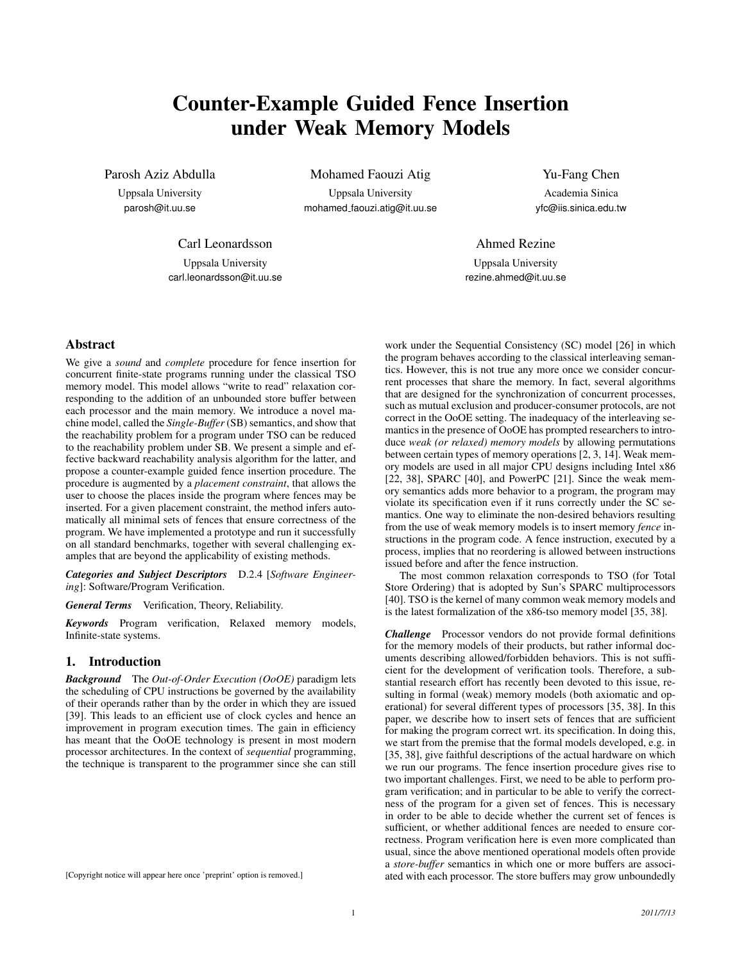# Counter-Example Guided Fence Insertion under Weak Memory Models

Parosh Aziz Abdulla

Uppsala University parosh@it.uu.se

Mohamed Faouzi Atig

Uppsala University mohamed faouzi.atig@it.uu.se Yu-Fang Chen

Academia Sinica yfc@iis.sinica.edu.tw

## Carl Leonardsson

Uppsala University carl.leonardsson@it.uu.se

# Ahmed Rezine

Uppsala University rezine.ahmed@it.uu.se

# Abstract

We give a *sound* and *complete* procedure for fence insertion for concurrent finite-state programs running under the classical TSO memory model. This model allows "write to read" relaxation corresponding to the addition of an unbounded store buffer between each processor and the main memory. We introduce a novel machine model, called the *Single-Buffer*(SB) semantics, and show that the reachability problem for a program under TSO can be reduced to the reachability problem under SB. We present a simple and effective backward reachability analysis algorithm for the latter, and propose a counter-example guided fence insertion procedure. The procedure is augmented by a *placement constraint*, that allows the user to choose the places inside the program where fences may be inserted. For a given placement constraint, the method infers automatically all minimal sets of fences that ensure correctness of the program. We have implemented a prototype and run it successfully on all standard benchmarks, together with several challenging examples that are beyond the applicability of existing methods.

*Categories and Subject Descriptors* D.2.4 [*Software Engineering*]: Software/Program Verification.

*General Terms* Verification, Theory, Reliability.

*Keywords* Program verification, Relaxed memory models, Infinite-state systems.

## 1. Introduction

*Background* The *Out-of-Order Execution (OoOE)* paradigm lets the scheduling of CPU instructions be governed by the availability of their operands rather than by the order in which they are issued [39]. This leads to an efficient use of clock cycles and hence an improvement in program execution times. The gain in efficiency has meant that the OoOE technology is present in most modern processor architectures. In the context of *sequential* programming, the technique is transparent to the programmer since she can still

work under the Sequential Consistency (SC) model [26] in which the program behaves according to the classical interleaving semantics. However, this is not true any more once we consider concurrent processes that share the memory. In fact, several algorithms that are designed for the synchronization of concurrent processes, such as mutual exclusion and producer-consumer protocols, are not correct in the OoOE setting. The inadequacy of the interleaving semantics in the presence of OoOE has prompted researchers to introduce *weak (or relaxed) memory models* by allowing permutations between certain types of memory operations [2, 3, 14]. Weak memory models are used in all major CPU designs including Intel x86 [22, 38], SPARC [40], and PowerPC [21]. Since the weak memory semantics adds more behavior to a program, the program may violate its specification even if it runs correctly under the SC semantics. One way to eliminate the non-desired behaviors resulting from the use of weak memory models is to insert memory *fence* instructions in the program code. A fence instruction, executed by a process, implies that no reordering is allowed between instructions issued before and after the fence instruction.

The most common relaxation corresponds to TSO (for Total Store Ordering) that is adopted by Sun's SPARC multiprocessors [40]. TSO is the kernel of many common weak memory models and is the latest formalization of the x86-tso memory model [35, 38].

*Challenge* Processor vendors do not provide formal definitions for the memory models of their products, but rather informal documents describing allowed/forbidden behaviors. This is not sufficient for the development of verification tools. Therefore, a substantial research effort has recently been devoted to this issue, resulting in formal (weak) memory models (both axiomatic and operational) for several different types of processors [35, 38]. In this paper, we describe how to insert sets of fences that are sufficient for making the program correct wrt. its specification. In doing this, we start from the premise that the formal models developed, e.g. in [35, 38], give faithful descriptions of the actual hardware on which we run our programs. The fence insertion procedure gives rise to two important challenges. First, we need to be able to perform program verification; and in particular to be able to verify the correctness of the program for a given set of fences. This is necessary in order to be able to decide whether the current set of fences is sufficient, or whether additional fences are needed to ensure correctness. Program verification here is even more complicated than usual, since the above mentioned operational models often provide a *store-buffer* semantics in which one or more buffers are associated with each processor. The store buffers may grow unboundedly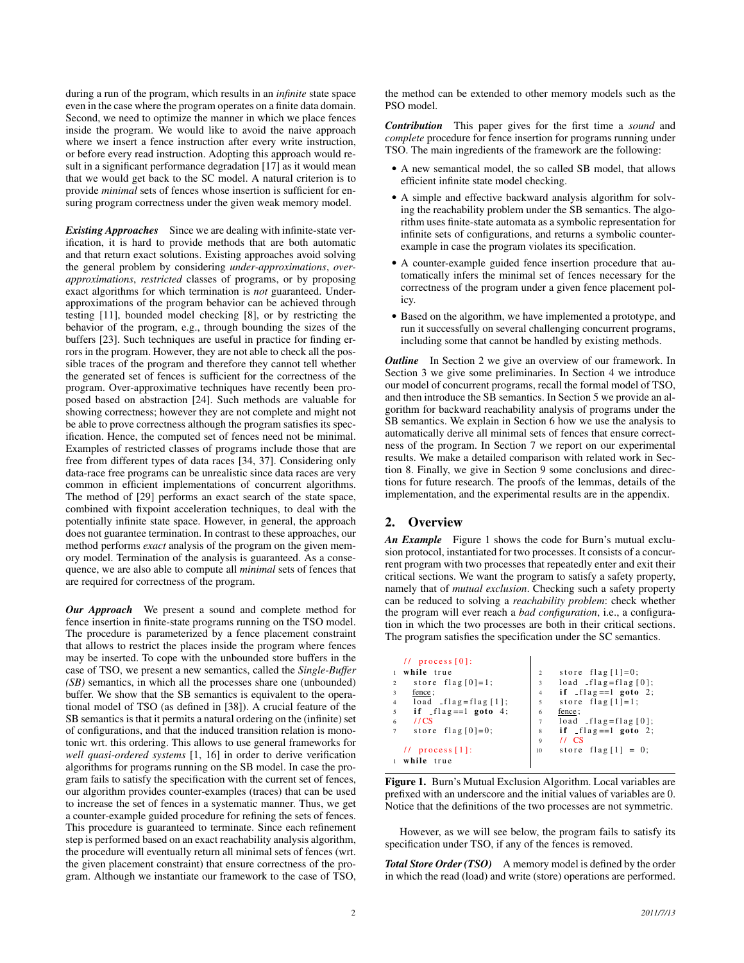during a run of the program, which results in an *infinite* state space even in the case where the program operates on a finite data domain. Second, we need to optimize the manner in which we place fences inside the program. We would like to avoid the naive approach where we insert a fence instruction after every write instruction, or before every read instruction. Adopting this approach would result in a significant performance degradation [17] as it would mean that we would get back to the SC model. A natural criterion is to provide *minimal* sets of fences whose insertion is sufficient for ensuring program correctness under the given weak memory model.

*Existing Approaches* Since we are dealing with infinite-state verification, it is hard to provide methods that are both automatic and that return exact solutions. Existing approaches avoid solving the general problem by considering *under-approximations*, *overapproximations*, *restricted* classes of programs, or by proposing exact algorithms for which termination is *not* guaranteed. Underapproximations of the program behavior can be achieved through testing [11], bounded model checking [8], or by restricting the behavior of the program, e.g., through bounding the sizes of the buffers [23]. Such techniques are useful in practice for finding errors in the program. However, they are not able to check all the possible traces of the program and therefore they cannot tell whether the generated set of fences is sufficient for the correctness of the program. Over-approximative techniques have recently been proposed based on abstraction [24]. Such methods are valuable for showing correctness; however they are not complete and might not be able to prove correctness although the program satisfies its specification. Hence, the computed set of fences need not be minimal. Examples of restricted classes of programs include those that are free from different types of data races [34, 37]. Considering only data-race free programs can be unrealistic since data races are very common in efficient implementations of concurrent algorithms. The method of [29] performs an exact search of the state space, combined with fixpoint acceleration techniques, to deal with the potentially infinite state space. However, in general, the approach does not guarantee termination. In contrast to these approaches, our method performs *exact* analysis of the program on the given memory model. Termination of the analysis is guaranteed. As a consequence, we are also able to compute all *minimal* sets of fences that are required for correctness of the program.

*Our Approach* We present a sound and complete method for fence insertion in finite-state programs running on the TSO model. The procedure is parameterized by a fence placement constraint that allows to restrict the places inside the program where fences may be inserted. To cope with the unbounded store buffers in the case of TSO, we present a new semantics, called the *Single-Buffer (SB)* semantics, in which all the processes share one (unbounded) buffer. We show that the SB semantics is equivalent to the operational model of TSO (as defined in [38]). A crucial feature of the SB semantics is that it permits a natural ordering on the (infinite) set of configurations, and that the induced transition relation is monotonic wrt. this ordering. This allows to use general frameworks for *well quasi-ordered systems* [1, 16] in order to derive verification algorithms for programs running on the SB model. In case the program fails to satisfy the specification with the current set of fences, our algorithm provides counter-examples (traces) that can be used to increase the set of fences in a systematic manner. Thus, we get a counter-example guided procedure for refining the sets of fences. This procedure is guaranteed to terminate. Since each refinement step is performed based on an exact reachability analysis algorithm, the procedure will eventually return all minimal sets of fences (wrt. the given placement constraint) that ensure correctness of the program. Although we instantiate our framework to the case of TSO, the method can be extended to other memory models such as the PSO model.

*Contribution* This paper gives for the first time a *sound* and *complete* procedure for fence insertion for programs running under TSO. The main ingredients of the framework are the following:

- A new semantical model, the so called SB model, that allows efficient infinite state model checking.
- A simple and effective backward analysis algorithm for solving the reachability problem under the SB semantics. The algorithm uses finite-state automata as a symbolic representation for infinite sets of configurations, and returns a symbolic counterexample in case the program violates its specification.
- A counter-example guided fence insertion procedure that automatically infers the minimal set of fences necessary for the correctness of the program under a given fence placement policy.
- Based on the algorithm, we have implemented a prototype, and run it successfully on several challenging concurrent programs, including some that cannot be handled by existing methods.

*Outline* In Section 2 we give an overview of our framework. In Section 3 we give some preliminaries. In Section 4 we introduce our model of concurrent programs, recall the formal model of TSO, and then introduce the SB semantics. In Section 5 we provide an algorithm for backward reachability analysis of programs under the SB semantics. We explain in Section 6 how we use the analysis to automatically derive all minimal sets of fences that ensure correctness of the program. In Section 7 we report on our experimental results. We make a detailed comparison with related work in Section 8. Finally, we give in Section 9 some conclusions and directions for future research. The proofs of the lemmas, details of the implementation, and the experimental results are in the appendix.

# 2. Overview

*An Example* Figure 1 shows the code for Burn's mutual exclusion protocol, instantiated for two processes. It consists of a concurrent program with two processes that repeatedly enter and exit their critical sections. We want the program to satisfy a safety property, namely that of *mutual exclusion*. Checking such a safety property can be reduced to solving a *reachability problem*: check whether the program will ever reach a *bad configuration*, i.e., a configuration in which the two processes are both in their critical sections. The program satisfies the specification under the SC semantics.

|                | $11$ process $[0]$ :              |                |                               |
|----------------|-----------------------------------|----------------|-------------------------------|
|                | while true                        | $\overline{2}$ | store $flag [1]=0;$           |
| 2              | store $flag[0]=1$ ;               | 3              | $load$ $_{1}flag = flag [0];$ |
| $\ddot{3}$     | fence;                            | $\overline{4}$ | if $-flag == 1$ goto 2;       |
| $\overline{4}$ | $load$ $_{1}$ flag = flag $[1]$ ; | 5              | store $flag[1]=1$ ;           |
| 5              | if $_{\text{flag}} == 1$ goto 4;  | 6              | fence ;                       |
| 6              | 1/CS                              | $\overline{7}$ | $load$ $_{1}flag = flag [0];$ |
| $\overline{7}$ | store flag $[0]=0$ ;              | 8              | if $-flag == 1$ goto 2;       |
|                |                                   | 9              | $11 \text{ CS}$               |
|                | $11$ process [1]:                 | 10             | store $flag[1] = 0;$          |
|                | while true                        |                |                               |

Figure 1. Burn's Mutual Exclusion Algorithm. Local variables are prefixed with an underscore and the initial values of variables are 0. Notice that the definitions of the two processes are not symmetric.

However, as we will see below, the program fails to satisfy its specification under TSO, if any of the fences is removed.

*Total Store Order (TSO)* A memory model is defined by the order in which the read (load) and write (store) operations are performed.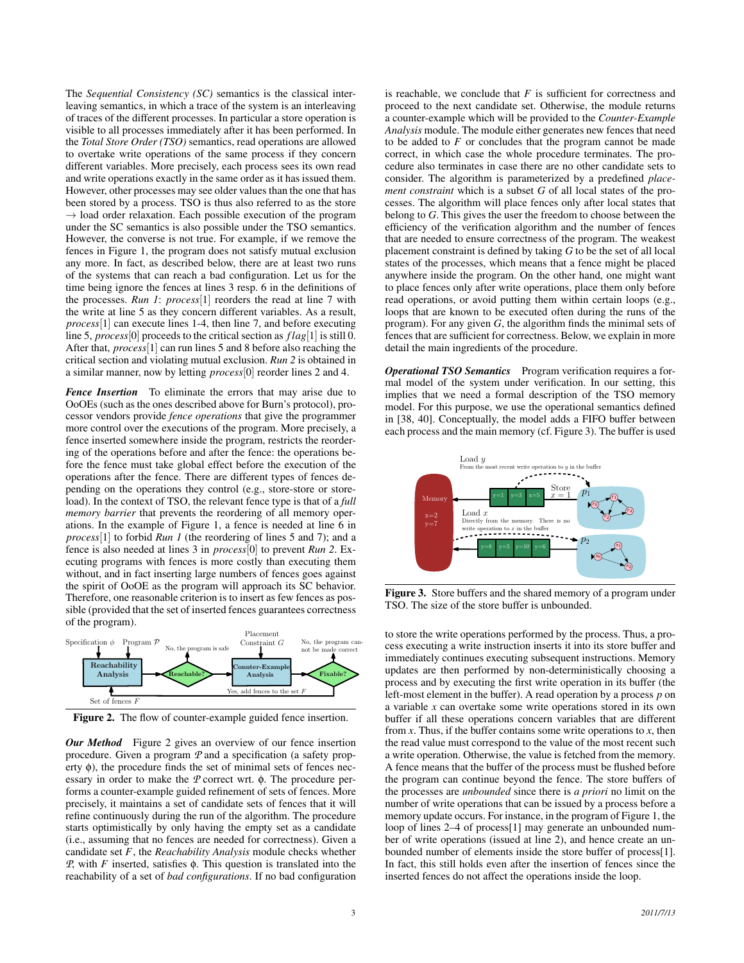The *Sequential Consistency (SC)* semantics is the classical interleaving semantics, in which a trace of the system is an interleaving of traces of the different processes. In particular a store operation is visible to all processes immediately after it has been performed. In the *Total Store Order (TSO)* semantics, read operations are allowed to overtake write operations of the same process if they concern different variables. More precisely, each process sees its own read and write operations exactly in the same order as it has issued them. However, other processes may see older values than the one that has been stored by a process. TSO is thus also referred to as the store  $\rightarrow$  load order relaxation. Each possible execution of the program under the SC semantics is also possible under the TSO semantics. However, the converse is not true. For example, if we remove the fences in Figure 1, the program does not satisfy mutual exclusion any more. In fact, as described below, there are at least two runs of the systems that can reach a bad configuration. Let us for the time being ignore the fences at lines 3 resp. 6 in the definitions of the processes. *Run 1*: *process*[1] reorders the read at line 7 with the write at line 5 as they concern different variables. As a result, *process*[1] can execute lines 1-4, then line 7, and before executing line 5, *process*[0] proceeds to the critical section as *f lag*[1] is still 0. After that, *process*[1] can run lines 5 and 8 before also reaching the critical section and violating mutual exclusion. *Run 2* is obtained in a similar manner, now by letting *process*[0] reorder lines 2 and 4.

*Fence Insertion* To eliminate the errors that may arise due to OoOEs (such as the ones described above for Burn's protocol), processor vendors provide *fence operations* that give the programmer more control over the executions of the program. More precisely, a fence inserted somewhere inside the program, restricts the reordering of the operations before and after the fence: the operations before the fence must take global effect before the execution of the operations after the fence. There are different types of fences depending on the operations they control (e.g., store-store or storeload). In the context of TSO, the relevant fence type is that of a *full memory barrier* that prevents the reordering of all memory operations. In the example of Figure 1, a fence is needed at line 6 in *process*[1] to forbid *Run 1* (the reordering of lines 5 and 7); and a fence is also needed at lines 3 in *process*[0] to prevent *Run 2*. Executing programs with fences is more costly than executing them without, and in fact inserting large numbers of fences goes against the spirit of OoOE as the program will approach its SC behavior. Therefore, one reasonable criterion is to insert as few fences as possible (provided that the set of inserted fences guarantees correctness of the program).



Figure 2. The flow of counter-example guided fence insertion.

*Our Method* Figure 2 gives an overview of our fence insertion procedure. Given a program *P* and a specification (a safety property  $\phi$ ), the procedure finds the set of minimal sets of fences necessary in order to make the *P* correct wrt. φ. The procedure performs a counter-example guided refinement of sets of fences. More precisely, it maintains a set of candidate sets of fences that it will refine continuously during the run of the algorithm. The procedure starts optimistically by only having the empty set as a candidate (i.e., assuming that no fences are needed for correctness). Given a candidate set *F*, the *Reachability Analysis* module checks whether *P*, with *F* inserted, satisfies φ. This question is translated into the reachability of a set of *bad configurations*. If no bad configuration is reachable, we conclude that  $F$  is sufficient for correctness and proceed to the next candidate set. Otherwise, the module returns a counter-example which will be provided to the *Counter-Example Analysis* module. The module either generates new fences that need to be added to *F* or concludes that the program cannot be made correct, in which case the whole procedure terminates. The procedure also terminates in case there are no other candidate sets to consider. The algorithm is parameterized by a predefined *placement constraint* which is a subset *G* of all local states of the processes. The algorithm will place fences only after local states that belong to *G*. This gives the user the freedom to choose between the efficiency of the verification algorithm and the number of fences that are needed to ensure correctness of the program. The weakest placement constraint is defined by taking *G* to be the set of all local states of the processes, which means that a fence might be placed anywhere inside the program. On the other hand, one might want to place fences only after write operations, place them only before read operations, or avoid putting them within certain loops (e.g., loops that are known to be executed often during the runs of the program). For any given *G*, the algorithm finds the minimal sets of fences that are sufficient for correctness. Below, we explain in more detail the main ingredients of the procedure.

*Operational TSO Semantics* Program verification requires a formal model of the system under verification. In our setting, this implies that we need a formal description of the TSO memory model. For this purpose, we use the operational semantics defined in [38, 40]. Conceptually, the model adds a FIFO buffer between each process and the main memory (cf. Figure 3). The buffer is used



Figure 3. Store buffers and the shared memory of a program under TSO. The size of the store buffer is unbounded.

to store the write operations performed by the process. Thus, a process executing a write instruction inserts it into its store buffer and immediately continues executing subsequent instructions. Memory updates are then performed by non-deterministically choosing a process and by executing the first write operation in its buffer (the left-most element in the buffer). A read operation by a process *p* on a variable *x* can overtake some write operations stored in its own buffer if all these operations concern variables that are different from *. Thus, if the buffer contains some write operations to*  $*x*$ *, then* the read value must correspond to the value of the most recent such a write operation. Otherwise, the value is fetched from the memory. A fence means that the buffer of the process must be flushed before the program can continue beyond the fence. The store buffers of the processes are *unbounded* since there is *a priori* no limit on the number of write operations that can be issued by a process before a memory update occurs. For instance, in the program of Figure 1, the loop of lines 2–4 of process[1] may generate an unbounded number of write operations (issued at line 2), and hence create an unbounded number of elements inside the store buffer of process[1]. In fact, this still holds even after the insertion of fences since the inserted fences do not affect the operations inside the loop.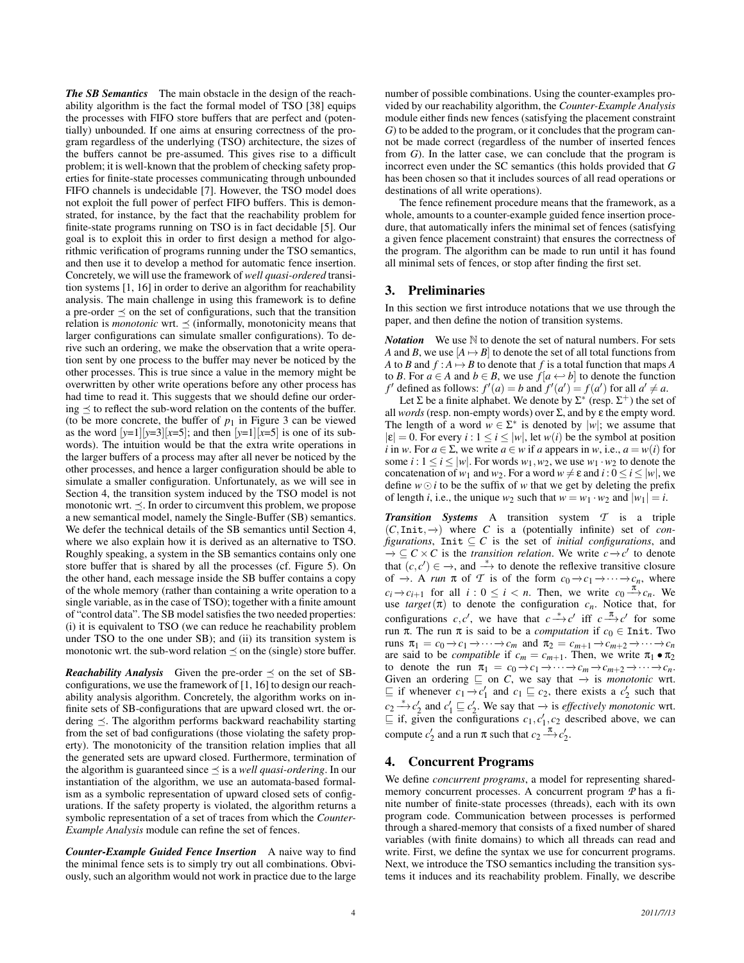*The SB Semantics* The main obstacle in the design of the reachability algorithm is the fact the formal model of TSO [38] equips the processes with FIFO store buffers that are perfect and (potentially) unbounded. If one aims at ensuring correctness of the program regardless of the underlying (TSO) architecture, the sizes of the buffers cannot be pre-assumed. This gives rise to a difficult problem; it is well-known that the problem of checking safety properties for finite-state processes communicating through unbounded FIFO channels is undecidable [7]. However, the TSO model does not exploit the full power of perfect FIFO buffers. This is demonstrated, for instance, by the fact that the reachability problem for finite-state programs running on TSO is in fact decidable [5]. Our goal is to exploit this in order to first design a method for algorithmic verification of programs running under the TSO semantics, and then use it to develop a method for automatic fence insertion. Concretely, we will use the framework of *well quasi-ordered* transition systems [1, 16] in order to derive an algorithm for reachability analysis. The main challenge in using this framework is to define a pre-order  $\preceq$  on the set of configurations, such that the transition relation is *monotonic* wrt.  $\prec$  (informally, monotonicity means that larger configurations can simulate smaller configurations). To derive such an ordering, we make the observation that a write operation sent by one process to the buffer may never be noticed by the other processes. This is true since a value in the memory might be overwritten by other write operations before any other process has had time to read it. This suggests that we should define our ordering  $\preceq$  to reflect the sub-word relation on the contents of the buffer. (to be more concrete, the buffer of  $p_1$  in Figure 3 can be viewed as the word  $[y=1][y=3][x=5]$ ; and then  $[y=1][x=5]$  is one of its subwords). The intuition would be that the extra write operations in the larger buffers of a process may after all never be noticed by the other processes, and hence a larger configuration should be able to simulate a smaller configuration. Unfortunately, as we will see in Section 4, the transition system induced by the TSO model is not monotonic wrt.  $\preceq$ . In order to circumvent this problem, we propose a new semantical model, namely the Single-Buffer (SB) semantics. We defer the technical details of the SB semantics until Section 4, where we also explain how it is derived as an alternative to TSO. Roughly speaking, a system in the SB semantics contains only one store buffer that is shared by all the processes (cf. Figure 5). On the other hand, each message inside the SB buffer contains a copy of the whole memory (rather than containing a write operation to a single variable, as in the case of TSO); together with a finite amount of "control data". The SB model satisfies the two needed properties: (i) it is equivalent to TSO (we can reduce he reachability problem under TSO to the one under SB); and (ii) its transition system is monotonic wrt. the sub-word relation  $\preceq$  on the (single) store buffer.

*Reachability Analysis* Given the pre-order  $\preceq$  on the set of SBconfigurations, we use the framework of [1, 16] to design our reachability analysis algorithm. Concretely, the algorithm works on infinite sets of SB-configurations that are upward closed wrt. the ordering  $\preceq$ . The algorithm performs backward reachability starting from the set of bad configurations (those violating the safety property). The monotonicity of the transition relation implies that all the generated sets are upward closed. Furthermore, termination of the algorithm is guaranteed since  $\preceq$  is a *well quasi-ordering*. In our instantiation of the algorithm, we use an automata-based formalism as a symbolic representation of upward closed sets of configurations. If the safety property is violated, the algorithm returns a symbolic representation of a set of traces from which the *Counter-Example Analysis* module can refine the set of fences.

*Counter-Example Guided Fence Insertion* A naive way to find the minimal fence sets is to simply try out all combinations. Obviously, such an algorithm would not work in practice due to the large number of possible combinations. Using the counter-examples provided by our reachability algorithm, the *Counter-Example Analysis* module either finds new fences (satisfying the placement constraint *G*) to be added to the program, or it concludes that the program cannot be made correct (regardless of the number of inserted fences from *G*). In the latter case, we can conclude that the program is incorrect even under the SC semantics (this holds provided that *G* has been chosen so that it includes sources of all read operations or destinations of all write operations).

The fence refinement procedure means that the framework, as a whole, amounts to a counter-example guided fence insertion procedure, that automatically infers the minimal set of fences (satisfying a given fence placement constraint) that ensures the correctness of the program. The algorithm can be made to run until it has found all minimal sets of fences, or stop after finding the first set.

### 3. Preliminaries

In this section we first introduce notations that we use through the paper, and then define the notion of transition systems.

*Notation* We use N to denote the set of natural numbers. For sets *A* and *B*, we use  $[A \mapsto B]$  to denote the set of all total functions from *A* to *B* and  $f : A \mapsto B$  to denote that *f* is a total function that maps *A* to *B*. For *a* ∈ *A* and *b* ∈ *B*, we use  $f$  [ $a \leftrightarrow b$ ] to denote the function *f*<sup> $\prime$ </sup> defined as follows:  $f'(a) = b$  and  $f'(a') = f(a')$  for all  $a' \neq a$ .

Let  $\Sigma$  be a finite alphabet. We denote by  $\Sigma^*$  (resp.  $\Sigma^+$ ) the set of all *words* (resp. non-empty words) over  $\Sigma$ , and by  $\varepsilon$  the empty word. The length of a word  $w \in \Sigma^*$  is denoted by  $|w|$ ; we assume that  $|\varepsilon| = 0$ . For every  $i : 1 \le i \le |w|$ , let  $w(i)$  be the symbol at position *i* in *w*. For  $a \in \Sigma$ , we write  $a \in w$  if *a* appears in *w*, i.e.,  $a = w(i)$  for some  $i: 1 \le i \le |w|$ . For words  $w_1, w_2$ , we use  $w_1 \cdot w_2$  to denote the concatenation of  $w_1$  and  $w_2$ . For a word  $w \neq \varepsilon$  and  $i : 0 \le i \le |w|$ , we define  $w \odot i$  to be the suffix of *w* that we get by deleting the prefix of length *i*, i.e., the unique  $w_2$  such that  $w = w_1 \cdot w_2$  and  $|w_1| = i$ .

*Transition Systems* A transition system *T* is a triple (*C*,Init,−→) where *C* is a (potentially infinite) set of *configurations*, Init  $\subseteq$  *C* is the set of *initial configurations*, and  $\rightarrow \subseteq C \times C$  is the *transition relation*. We write  $c \rightarrow c'$  to denote that  $(c, c') \in \rightarrow$ , and  $\stackrel{*}{\longrightarrow}$  to denote the reflexive transitive closure of  $\rightarrow$ . A *run*  $\pi$  of  $\mathcal{T}$  is of the form  $c_0 \rightarrow c_1 \rightarrow \cdots \rightarrow c_n$ , where  $c_i \rightarrow c_{i+1}$  for all  $i: 0 \leq i < n$ . Then, we write  $c_0 \stackrel{\pi}{\longrightarrow} c_n$ . We use  $\text{target}(\pi)$  to denote the configuration  $c_n$ . Notice that, for configurations *c*, *c'*, we have that  $c \stackrel{*}{\longrightarrow} c'$  iff  $c \stackrel{\pi}{\longrightarrow} c'$  for some run π. The run π is said to be a *computation* if  $c_0 \in$  Init. Two runs  $\pi_1 = c_0 \rightarrow c_1 \rightarrow \cdots \rightarrow c_m$  and  $\pi_2 = c_{m+1} \rightarrow c_{m+2} \rightarrow \cdots \rightarrow c_n$ are said to be *compatible* if  $c_m = c_{m+1}$ . Then, we write  $\pi_1 \bullet \pi_2$ to denote the run  $\pi_1 = c_0 \rightarrow c_1 \rightarrow \cdots \rightarrow c_m \rightarrow c_{m+2} \rightarrow \cdots \rightarrow c_n$ . Given an ordering  $\sqsubseteq$  on *C*, we say that  $\rightarrow$  is *monotonic* wrt.  $\subseteq$  if whenever  $c_1 \rightarrow c'_1$  and  $c_1 \subseteq c_2$ , there exists a  $c'_2$  such that  $c_2 \stackrel{*}{\longrightarrow} c'_2$  and  $c'_1 \sqsubseteq c'_2$ . We say that  $\rightarrow$  is *effectively monotonic* wrt.  $\subseteq$  if, given the configurations  $c_1, c'_1, c_2$  described above, we can compute  $c'_2$  and a run  $\pi$  such that  $c_2 \stackrel{\pi}{\longrightarrow} c'_2$ .

# 4. Concurrent Programs

We define *concurrent programs*, a model for representing sharedmemory concurrent processes. A concurrent program *P* has a finite number of finite-state processes (threads), each with its own program code. Communication between processes is performed through a shared-memory that consists of a fixed number of shared variables (with finite domains) to which all threads can read and write. First, we define the syntax we use for concurrent programs. Next, we introduce the TSO semantics including the transition systems it induces and its reachability problem. Finally, we describe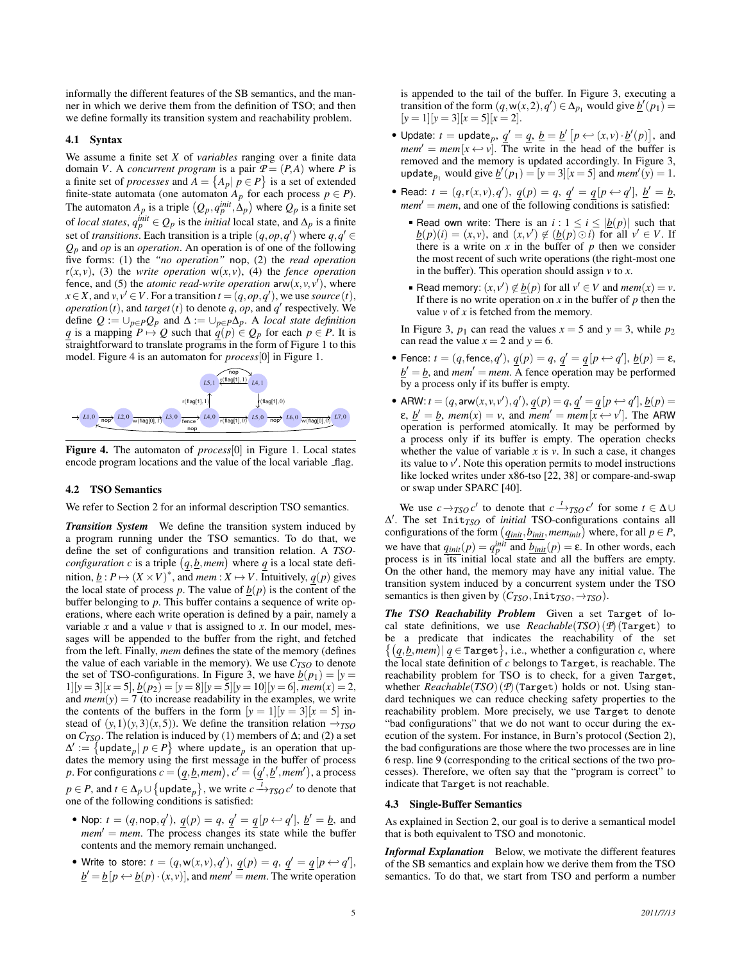informally the different features of the SB semantics, and the manner in which we derive them from the definition of TSO; and then we define formally its transition system and reachability problem.

#### 4.1 Syntax

We assume a finite set *X* of *variables* ranging over a finite data domain *V*. A *concurrent program* is a pair  $P = (P, A)$  where *P* is a finite set of *processes* and  $A = \{A_p | p \in P\}$  is a set of extended finite-state automata (one automaton  $A_p$  for each process  $p \in P$ ). The automaton  $A_p$  is a triple  $(Q_p, q_p^{init}, \Delta_p)$  where  $Q_p$  is a finite set of *local states*,  $q_p^{init} \in Q_p$  is the *initial* local state, and  $\Delta_p$  is a finite set of *transitions*. Each transition is a triple  $(q, op, q')$  where  $q, q' \in$ *Qp* and *op* is an *operation*. An operation is of one of the following five forms: (1) the *"no operation"* nop, (2) the *read operation*  $r(x, v)$ , (3) the *write operation*  $w(x, v)$ , (4) the *fence operation* fence, and (5) the *atomic read-write operation*  $\text{arw}(x, y, y')$ , where  $x \in X$ , and  $v, v' \in V$ . For a transition  $t = (q, op, q')$ , we use *source* (*t*), *operation* (*t*), and *target* (*t*) to denote *q*, *op*, and *q*<sup> $\prime$ </sup> respectively. We define  $Q := \bigcup_{p \in P} Q_p$  and  $\Delta := \bigcup_{p \in P} \Delta_p$ . A *local state definition q* is a mapping  $P \mapsto Q$  such that  $q(p) \in Q_p$  for each  $p \in P$ . It is straightforward to translate programs in the form of Figure 1 to this model. Figure 4 is an automaton for *process*[0] in Figure 1.



Figure 4. The automaton of *process*[0] in Figure 1. Local states encode program locations and the value of the local variable \_flag.

#### 4.2 TSO Semantics

We refer to Section 2 for an informal description TSO semantics.

*Transition System* We define the transition system induced by a program running under the TSO semantics. To do that, we define the set of configurations and transition relation. A *TSOconfiguration c* is a triple  $(q, b, mem)$  where *q* is a local state definition,  $\underline{b}: P \mapsto (X \times V)^*$ , and *mem* :  $X \mapsto V$ . Intuitively,  $\underline{q}(p)$  gives the local state of process *p*. The value of  $b(p)$  is the content of the buffer belonging to *p*. This buffer contains a sequence of write operations, where each write operation is defined by a pair, namely a variable  $x$  and a value  $v$  that is assigned to  $x$ . In our model, messages will be appended to the buffer from the right, and fetched from the left. Finally, *mem* defines the state of the memory (defines the value of each variable in the memory). We use  $C_{TSO}$  to denote the set of TSO-configurations. In Figure 3, we have  $\underline{b}(p_1) = [y =$  $1][y = 3][x = 5],$   $\underline{b}(p_2) = [y = 8][y = 5][y = 10][y = 6],$   $\underline{mem}(x) = 2,$ and  $mem(y) = 7$  (to increase readability in the examples, we write the contents of the buffers in the form  $[y = 1][y = 3][x = 5]$  instead of  $(y,1)(y,3)(x,5)$ ). We define the transition relation  $\rightarrow_{TSO}$ on  $C_{TSO}$ . The relation is induced by (1) members of  $\Delta$ ; and (2) a set  $\Delta' := \{ \text{update}_p | p \in P \}$  where update<sub>p</sub> is an operation that updates the memory using the first message in the buffer of process *p*. For configurations  $c = (q, \underline{b}, \underline{m}$ *em*),  $c' = (q', \underline{b}', \underline{m}$ *em*'), a process  $p \in P$ , and  $t \in \Delta_p \cup \{ \text{update}_p \}$ , we write  $c \xrightarrow{\overline{t}} T$ *TSO*  $c'$  to denote that one of the following conditions is satisfied:

- Nop:  $t = (q, \text{nop}, q'), \underline{q}(p) = q, \underline{q}' = \underline{q}[p \leftrightarrow q'], \underline{b}' = \underline{b}$ , and  $mem' = mem$ . The process changes its state while the buffer contents and the memory remain unchanged.
- Write to store:  $t = (q, w(x, v), q'), \underline{q}(p) = q, \underline{q}' = \underline{q}[p \leftarrow q'],$  $\underline{b}' = \underline{b} [p \leftrightarrow \underline{b}(p) \cdot (x, v)]$ , and *mem'* = *mem*. The write operation

is appended to the tail of the buffer. In Figure 3, executing a transition of the form  $(q, w(x, 2), q') \in \Delta_{p_1}$  would give  $\underline{b}'(p_1) =$  $[y = 1][y = 3][x = 5][x = 2].$ 

- Update:  $t = \text{update}_p, q' = \underline{q}, \underline{b} = \underline{b}' [p \leftarrow (x, v) \cdot \underline{b}'(p)],$  and  $m$ *em*<sup> $\prime$ </sup> = *mem*[ $x \leftrightarrow v$ ]. The write in the head of the buffer is removed and the memory is updated accordingly. In Figure 3, update<sub>*p*1</sub> would give  $\underline{b}'(p_1) = [y = 3][x = 5]$  and  $mem'(y) = 1$ .
- Read:  $t = (q, r(x, v), q'), g(p) = q, g' = q[p \leftrightarrow q'], b' = b$ ,  $mem' = mem$ , and one of the following conditions is satisfied:
	- Read own write: There is an  $i: 1 \le i \le |b(p)|$  such that  $\underline{b}(p)(i) = (x, v)$ , and  $(x, v') \notin (\underline{b}(p) \odot i)$  for all  $v' \in V$ . If there is a write on  $x$  in the buffer of  $p$  then we consider the most recent of such write operations (the right-most one in the buffer). This operation should assign *v* to *x*.
	- Read memory:  $(x, v') \notin \underline{b}(p)$  for all  $v' \in V$  and  $\textit{mem}(x) = v$ . If there is no write operation on  $x$  in the buffer of  $p$  then the value  $v$  of  $x$  is fetched from the memory.

In Figure 3,  $p_1$  can read the values  $x = 5$  and  $y = 3$ , while  $p_2$ can read the value  $x = 2$  and  $y = 6$ .

- Fence:  $t = (q, \text{fence}, q'), \underline{q}(p) = q, \underline{q}' = \underline{q}[p \leftarrow q'], \underline{b}(p) = \varepsilon$ ,  $b' = b$ , and *mem'* = *mem*. A fence operation may be performed by a process only if its buffer is empty.
- ARW:  $t = (q, \text{arw}(x, v, v'), q'), \underline{q}(p) = q, \underline{q}' = \underline{q}[p \leftrightarrow q'], \underline{b}(p) = q$  $\varepsilon$ ,  $\underline{b}' = \underline{b}$ ,  $\text{mem}(x) = v$ , and  $\text{mem}' = \text{mem}[x \leftrightarrow v']$ . The ARW operation is performed atomically. It may be performed by a process only if its buffer is empty. The operation checks whether the value of variable  $x$  is  $v$ . In such a case, it changes its value to  $v'$ . Note this operation permits to model instructions like locked writes under x86-tso [22, 38] or compare-and-swap or swap under SPARC [40].

We use  $c \rightarrow_{TSO} c'$  to denote that  $c \rightarrow_{TSO} c'$  for some  $t \in \Delta \cup$ ∆ 0 . The set Init*TSO* of *initial* TSO-configurations contains all configurations of the form  $(q_{init}, b_{init}, \text{mem}_{init})$  where, for all  $p \in P$ , we have that  $q_{init}(p) = q_p^{init}$  and  $b_{init}(p) = \varepsilon$ . In other words, each process is in its initial local state and all the buffers are empty. On the other hand, the memory may have any initial value. The transition system induced by a concurrent system under the TSO semantics is then given by  $(C_{TSO},Init_{TSO}, \rightarrow_{TSO})$ .

*The TSO Reachability Problem* Given a set Target of local state definitions, we use *Reachable*(*TSO*) (*P*) (Target) to be a predicate that indicates the reachability of the set  $\{(\underline{q}, \underline{b}, \underline{mem}) | \underline{q} \in \text{Target}\},$  i.e., whether a configuration *c*, where the local state definition of *c* belongs to Target, is reachable. The reachability problem for TSO is to check, for a given Target, whether *Reachable*(*TSO*) (*P*) (Target) holds or not. Using standard techniques we can reduce checking safety properties to the reachability problem. More precisely, we use Target to denote "bad configurations" that we do not want to occur during the execution of the system. For instance, in Burn's protocol (Section 2), the bad configurations are those where the two processes are in line 6 resp. line 9 (corresponding to the critical sections of the two processes). Therefore, we often say that the "program is correct" to indicate that Target is not reachable.

#### 4.3 Single-Buffer Semantics

As explained in Section 2, our goal is to derive a semantical model that is both equivalent to TSO and monotonic.

*Informal Explanation* Below, we motivate the different features of the SB semantics and explain how we derive them from the TSO semantics. To do that, we start from TSO and perform a number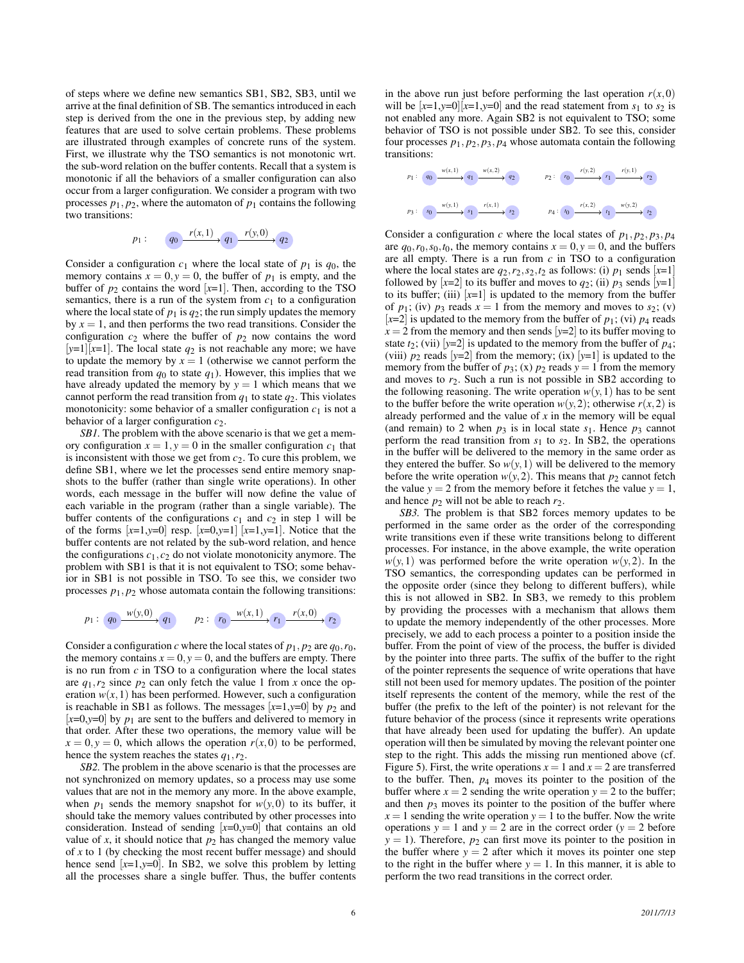of steps where we define new semantics SB1, SB2, SB3, until we arrive at the final definition of SB. The semantics introduced in each step is derived from the one in the previous step, by adding new features that are used to solve certain problems. These problems are illustrated through examples of concrete runs of the system. First, we illustrate why the TSO semantics is not monotonic wrt. the sub-word relation on the buffer contents. Recall that a system is monotonic if all the behaviors of a smaller configuration can also occur from a larger configuration. We consider a program with two processes  $p_1, p_2$ , where the automaton of  $p_1$  contains the following two transitions:



Consider a configuration  $c_1$  where the local state of  $p_1$  is  $q_0$ , the memory contains  $x = 0$ ,  $y = 0$ , the buffer of  $p_1$  is empty, and the buffer of  $p_2$  contains the word  $[x=1]$ . Then, according to the TSO semantics, there is a run of the system from  $c_1$  to a configuration where the local state of  $p_1$  is  $q_2$ ; the run simply updates the memory by  $x = 1$ , and then performs the two read transitions. Consider the configuration  $c_2$  where the buffer of  $p_2$  now contains the word  $[y=1][x=1]$ . The local state  $q_2$  is not reachable any more; we have to update the memory by  $x = 1$  (otherwise we cannot perform the read transition from  $q_0$  to state  $q_1$ ). However, this implies that we have already updated the memory by  $y = 1$  which means that we cannot perform the read transition from  $q_1$  to state  $q_2$ . This violates monotonicity: some behavior of a smaller configuration  $c_1$  is not a behavior of a larger configuration *c*2.

*SB1.* The problem with the above scenario is that we get a memory configuration  $x = 1$ ,  $y = 0$  in the smaller configuration  $c_1$  that is inconsistent with those we get from *c*2. To cure this problem, we define SB1, where we let the processes send entire memory snapshots to the buffer (rather than single write operations). In other words, each message in the buffer will now define the value of each variable in the program (rather than a single variable). The buffer contents of the configurations  $c_1$  and  $c_2$  in step 1 will be of the forms  $[x=1,y=0]$  resp.  $[x=0,y=1]$   $[x=1,y=1]$ . Notice that the buffer contents are not related by the sub-word relation, and hence the configurations  $c_1$ ,  $c_2$  do not violate monotonicity anymore. The problem with SB1 is that it is not equivalent to TSO; some behavior in SB1 is not possible in TSO. To see this, we consider two processes  $p_1$ ,  $p_2$  whose automata contain the following transitions:

$$
p_1: q_0 \xrightarrow{w(y,0)} q_1 \qquad p_2: r_0 \xrightarrow{w(x,1)} r_1 \xrightarrow{r(x,0)} r_2
$$

Consider a configuration *c* where the local states of  $p_1, p_2$  are  $q_0, r_0$ , the memory contains  $x = 0$ ,  $y = 0$ , and the buffers are empty. There is no run from *c* in TSO to a configuration where the local states are  $q_1, r_2$  since  $p_2$  can only fetch the value 1 from *x* once the operation  $w(x, 1)$  has been performed. However, such a configuration is reachable in SB1 as follows. The messages  $[x=1,y=0]$  by  $p_2$  and  $[x=0,y=0]$  by  $p_1$  are sent to the buffers and delivered to memory in that order. After these two operations, the memory value will be  $x = 0, y = 0$ , which allows the operation  $r(x,0)$  to be performed, hence the system reaches the states *q*1,*r*2.

*SB2.* The problem in the above scenario is that the processes are not synchronized on memory updates, so a process may use some values that are not in the memory any more. In the above example, when  $p_1$  sends the memory snapshot for  $w(y,0)$  to its buffer, it should take the memory values contributed by other processes into consideration. Instead of sending [*x*=0,*y*=0] that contains an old value of  $x$ , it should notice that  $p_2$  has changed the memory value of *x* to 1 (by checking the most recent buffer message) and should hence send  $[x=1,y=0]$ . In SB2, we solve this problem by letting all the processes share a single buffer. Thus, the buffer contents in the above run just before performing the last operation  $r(x,0)$ will be  $[x=1,y=0][x=1,y=0]$  and the read statement from  $s_1$  to  $s_2$  is not enabled any more. Again SB2 is not equivalent to TSO; some behavior of TSO is not possible under SB2. To see this, consider four processes  $p_1$ ,  $p_2$ ,  $p_3$ ,  $p_4$  whose automata contain the following transitions:



Consider a configuration *c* where the local states of  $p_1$ ,  $p_2$ ,  $p_3$ ,  $p_4$ are  $q_0, r_0, s_0, t_0$ , the memory contains  $x = 0, y = 0$ , and the buffers are all empty. There is a run from *c* in TSO to a configuration where the local states are  $q_2, r_2, s_2, t_2$  as follows: (i)  $p_1$  sends  $[x=1]$ followed by  $[x=2]$  to its buffer and moves to  $q_2$ ; (ii)  $p_3$  sends  $[y=1]$ to its buffer; (iii)  $[x=1]$  is updated to the memory from the buffer of  $p_1$ ; (iv)  $p_3$  reads  $x = 1$  from the memory and moves to  $s_2$ ; (v)  $[x=2]$  is updated to the memory from the buffer of  $p_1$ ; (vi)  $p_4$  reads  $x = 2$  from the memory and then sends  $[y=2]$  to its buffer moving to state  $t_2$ ; (vii) [ $y=2$ ] is updated to the memory from the buffer of  $p_4$ ; (viii)  $p_2$  reads [ $y=2$ ] from the memory; (ix) [ $y=1$ ] is updated to the memory from the buffer of  $p_3$ ; (x)  $p_2$  reads  $y = 1$  from the memory and moves to  $r_2$ . Such a run is not possible in SB2 according to the following reasoning. The write operation  $w(y,1)$  has to be sent to the buffer before the write operation  $w(y, 2)$ ; otherwise  $r(x, 2)$  is already performed and the value of *x* in the memory will be equal (and remain) to 2 when  $p_3$  is in local state  $s_1$ . Hence  $p_3$  cannot perform the read transition from *s*<sup>1</sup> to *s*2. In SB2, the operations in the buffer will be delivered to the memory in the same order as they entered the buffer. So  $w(y,1)$  will be delivered to the memory before the write operation  $w(y, 2)$ . This means that  $p_2$  cannot fetch the value  $y = 2$  from the memory before it fetches the value  $y = 1$ , and hence  $p_2$  will not be able to reach  $r_2$ .

*SB3.* The problem is that SB2 forces memory updates to be performed in the same order as the order of the corresponding write transitions even if these write transitions belong to different processes. For instance, in the above example, the write operation  $w(y, 1)$  was performed before the write operation  $w(y, 2)$ . In the TSO semantics, the corresponding updates can be performed in the opposite order (since they belong to different buffers), while this is not allowed in SB2. In SB3, we remedy to this problem by providing the processes with a mechanism that allows them to update the memory independently of the other processes. More precisely, we add to each process a pointer to a position inside the buffer. From the point of view of the process, the buffer is divided by the pointer into three parts. The suffix of the buffer to the right of the pointer represents the sequence of write operations that have still not been used for memory updates. The position of the pointer itself represents the content of the memory, while the rest of the buffer (the prefix to the left of the pointer) is not relevant for the future behavior of the process (since it represents write operations that have already been used for updating the buffer). An update operation will then be simulated by moving the relevant pointer one step to the right. This adds the missing run mentioned above (cf. Figure 5). First, the write operations  $x = 1$  and  $x = 2$  are transferred to the buffer. Then, *p*<sup>4</sup> moves its pointer to the position of the buffer where  $x = 2$  sending the write operation  $y = 2$  to the buffer; and then  $p_3$  moves its pointer to the position of the buffer where  $x = 1$  sending the write operation  $y = 1$  to the buffer. Now the write operations  $y = 1$  and  $y = 2$  are in the correct order ( $y = 2$  before  $y = 1$ ). Therefore,  $p_2$  can first move its pointer to the position in the buffer where  $y = 2$  after which it moves its pointer one step to the right in the buffer where  $y = 1$ . In this manner, it is able to perform the two read transitions in the correct order.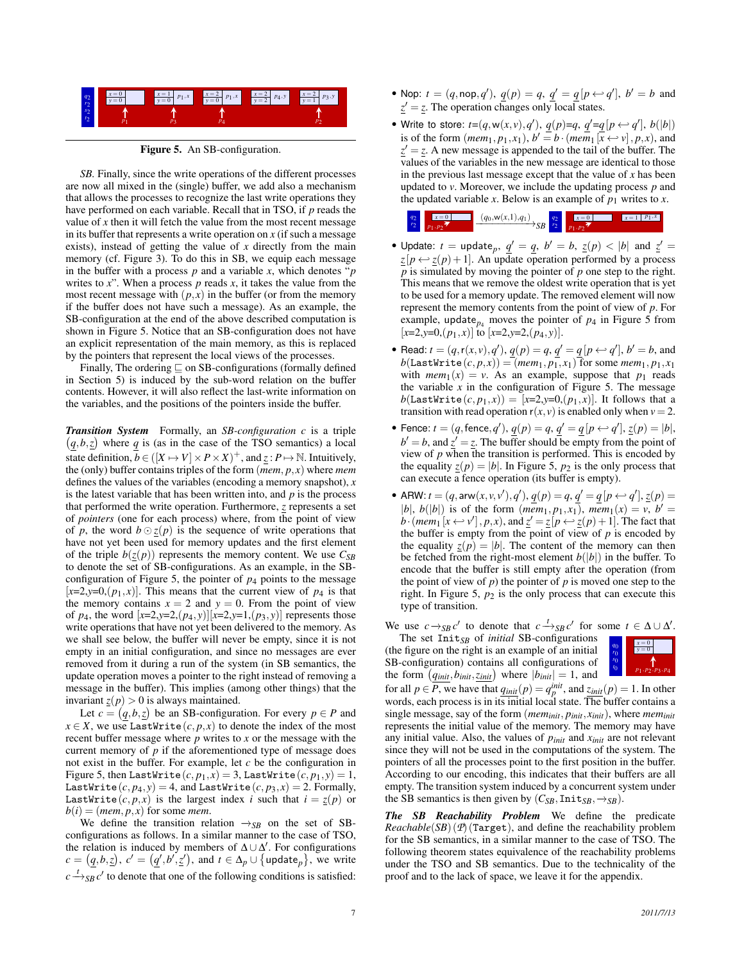

Figure 5. An SB-configuration.

*SB.* Finally, since the write operations of the different processes are now all mixed in the (single) buffer, we add also a mechanism that allows the processes to recognize the last write operations they have performed on each variable. Recall that in TSO, if *p* reads the value of *x* then it will fetch the value from the most recent message in its buffer that represents a write operation on  $x$  (if such a message exists), instead of getting the value of *x* directly from the main memory (cf. Figure 3). To do this in SB, we equip each message in the buffer with a process *p* and a variable *x*, which denotes "*p* writes to *x*". When a process *p* reads *x*, it takes the value from the most recent message with  $(p, x)$  in the buffer (or from the memory if the buffer does not have such a message). As an example, the SB-configuration at the end of the above described computation is shown in Figure 5. Notice that an SB-configuration does not have an explicit representation of the main memory, as this is replaced by the pointers that represent the local views of the processes.

Finally, The ordering  $\sqsubseteq$  on SB-configurations (formally defined in Section 5) is induced by the sub-word relation on the buffer contents. However, it will also reflect the last-write information on the variables, and the positions of the pointers inside the buffer.

*Transition System* Formally, an *SB-configuration c* is a triple  $(q, b, z)$  where *q* is (as in the case of the TSO semantics) a local state definition,  $\overline{b} \in ([X \mapsto V] \times P \times X)^+$ , and  $\underline{z}: P \mapsto \mathbb{N}$ . Intuitively, the (only) buffer contains triples of the form (*mem*, *p*, *x*) where *mem* defines the values of the variables (encoding a memory snapshot), *x* is the latest variable that has been written into, and *p* is the process that performed the write operation. Furthermore, *z* represents a set of *pointers* (one for each process) where, from the point of view of p, the word  $b \odot z(p)$  is the sequence of write operations that have not yet been used for memory updates and the first element of the triple  $b(z(p))$  represents the memory content. We use  $C_{SB}$ to denote the set of SB-configurations. As an example, in the SBconfiguration of Figure 5, the pointer of  $p<sub>4</sub>$  points to the message  $[x=2,y=0,(p_1,x)]$ . This means that the current view of  $p_4$  is that the memory contains  $x = 2$  and  $y = 0$ . From the point of view of  $p_4$ , the word  $[x=2,y=2,(p_4,y)][x=2,y=1,(p_3,y)]$  represents those write operations that have not yet been delivered to the memory. As we shall see below, the buffer will never be empty, since it is not empty in an initial configuration, and since no messages are ever removed from it during a run of the system (in SB semantics, the update operation moves a pointer to the right instead of removing a message in the buffer). This implies (among other things) that the invariant  $\underline{z}(p) > 0$  is always maintained.

Let  $c = (q, b, z)$  be an SB-configuration. For every  $p \in P$  and  $x \in X$ , we use LastWrite  $(c, p, x)$  to denote the index of the most recent buffer message where *p* writes to *x* or the message with the current memory of *p* if the aforementioned type of message does not exist in the buffer. For example, let *c* be the configuration in Figure 5, then LastWrite $(c, p_1, x) = 3$ , LastWrite $(c, p_1, y) = 1$ , LastWrite $(c, p_4, y) = 4$ , and LastWrite $(c, p_3, x) = 2$ . Formally, LastWrite( $c, p, x$ ) is the largest index *i* such that  $i = z(p)$  or  $b(i) = (mem, p, x)$  for some *mem*.

We define the transition relation  $\rightarrow_{SB}$  on the set of SBconfigurations as follows. In a similar manner to the case of TSO, the relation is induced by members of  $\Delta \cup \Delta'$ . For configurations  $c = (q, b, z)$ ,  $c' = (q', b', z')$ , and  $t \in \Delta_p \cup \{\text{update}_p\}$ , we write  $c \stackrel{t}{\longrightarrow}_{SB} c'$  to denote that one of the following conditions is satisfied:

- Nop:  $t = (q, \text{nop}, q'), \underline{q}(p) = q, \underline{q}' = \underline{q}[p \leftarrow q'], b' = b$  and  $z' = z$ . The operation changes only local states.
- Write to store:  $t=(q, w(x, v), q'), \underline{q}(p)=q, \underline{q}'=q[p \leftarrow q'], b(|b|)$ is of the form  $(\textit{mem}_1, p_1, x_1), b' = b \cdot (\textit{mem}_1 [x \leftrightarrow v], p, x)$ , and  $z' = z$ . A new message is appended to the tail of the buffer. The values of the variables in the new message are identical to those in the previous last message except that the value of *x* has been updated to *v*. Moreover, we include the updating process *p* and the updated variable *x*. Below is an example of  $p_1$  writes to *x*.

| $q_2$<br>r <sub>2</sub> |  | $(q_0, w(x,1), q_1)$<br>مد | $a\gamma$<br>24 |  |  |
|-------------------------|--|----------------------------|-----------------|--|--|
|-------------------------|--|----------------------------|-----------------|--|--|

- Update:  $t =$  update<sub>p</sub>,  $\underline{q}' = \underline{q}$ ,  $b' = b$ ,  $\underline{z}(p) < |b|$  and  $\underline{z}' =$  $z[p \leftrightarrow z(p) + 1]$ . An update operation performed by a process *p* is simulated by moving the pointer of *p* one step to the right. This means that we remove the oldest write operation that is yet to be used for a memory update. The removed element will now represent the memory contents from the point of view of *p*. For example, update<sub> $p_4$ </sub> moves the pointer of  $p_4$  in Figure 5 from  $[x=2,y=0,(p_1,x)]$  to  $[x=2,y=2,(p_4,y)]$ .
- Read:  $t = (q, r(x, v), q'), \underline{q}(p) = q, \underline{q}' = \underline{q}[p \leftrightarrow q'], b' = b$ , and  $b$ (LastWrite $(c, p, x)$ ) =  $(mem_1, p_1, x_1)$  for some  $mem_1, p_1, x_1$ with  $mem_1(x) = v$ . As an example, suppose that  $p_1$  reads the variable  $x$  in the configuration of Figure 5. The message  $b(\text{LastWrite}(c, p_1, x)) = [x=2, y=0, (p_1, x)]$ . It follows that a transition with read operation  $r(x, y)$  is enabled only when  $v = 2$ .
- Fence:  $t = (q, \text{fence}, q'), \underline{q}(p) = q, \underline{q}' = \underline{q}[p \leftrightarrow q'], \underline{z}(p) = |b|,$  $b' = b$ , and  $\underline{z}' = \underline{z}$ . The buffer should be empty from the point of view of  $p$  when the transition is performed. This is encoded by the equality  $\underline{z}(p) = |b|$ . In Figure 5,  $p_2$  is the only process that can execute a fence operation (its buffer is empty).
- ARW:  $t = (q, \text{arw}(x, v, v'), q'), \underline{q}(p) = q, \underline{q}' = \underline{q}[p \leftarrow q'], \underline{z}(p) =$ |*b*|, *b*(|*b*|) is of the form (*mem*<sub>1</sub>, *p*<sub>1</sub>, *x*<sub>1</sub>), *mem*<sub>1</sub>(*x*) = *v*, *b*<sup>'</sup> = *b*·(*mem*<sub>1</sub> [ $x \leftrightarrow v'$ ], *p*, *x*), and  $z' = z[p \leftrightarrow z(p) + 1]$ . The fact that the buffer is empty from the point of view of *p* is encoded by the equality  $z(p) = |b|$ . The content of the memory can then be fetched from the right-most element  $b(|b|)$  in the buffer. To encode that the buffer is still empty after the operation (from the point of view of *p*) the pointer of *p* is moved one step to the right. In Figure 5,  $p_2$  is the only process that can execute this type of transition.

We use  $c \rightarrow_{SB} c'$  to denote that  $c \rightarrow_{SB} c'$  for some  $t \in \Delta \cup \Delta'$ .

The set Init*SB* of *initial* SB-configurations (the figure on the right is an example of an initial SB-configuration) contains all configurations of the form  $(q_{init}, b_{init}, z_{init})$  where  $|b_{init}| = 1$ , and



for all  $p \in \overline{P}$ , we have that  $q_{init}(p) = q_p^{init}$ , and  $z_{init}(p) = 1$ . In other words, each process is in its initial local state. The buffer contains a single message, say of the form (*meminit*, *pinit*, *xinit*), where *meminit* represents the initial value of the memory. The memory may have any initial value. Also, the values of  $p_{init}$  and  $x_{init}$  are not relevant since they will not be used in the computations of the system. The pointers of all the processes point to the first position in the buffer. According to our encoding, this indicates that their buffers are all empty. The transition system induced by a concurrent system under the SB semantics is then given by  $(C_{SB}, \text{Init}_{SB}, \rightarrow_{SB})$ .

*The SB Reachability Problem* We define the predicate  $Reachable(SB)$  ( $P$ ) (Target), and define the reachability problem for the SB semantics, in a similar manner to the case of TSO. The following theorem states equivalence of the reachability problems under the TSO and SB semantics. Due to the technicality of the proof and to the lack of space, we leave it for the appendix.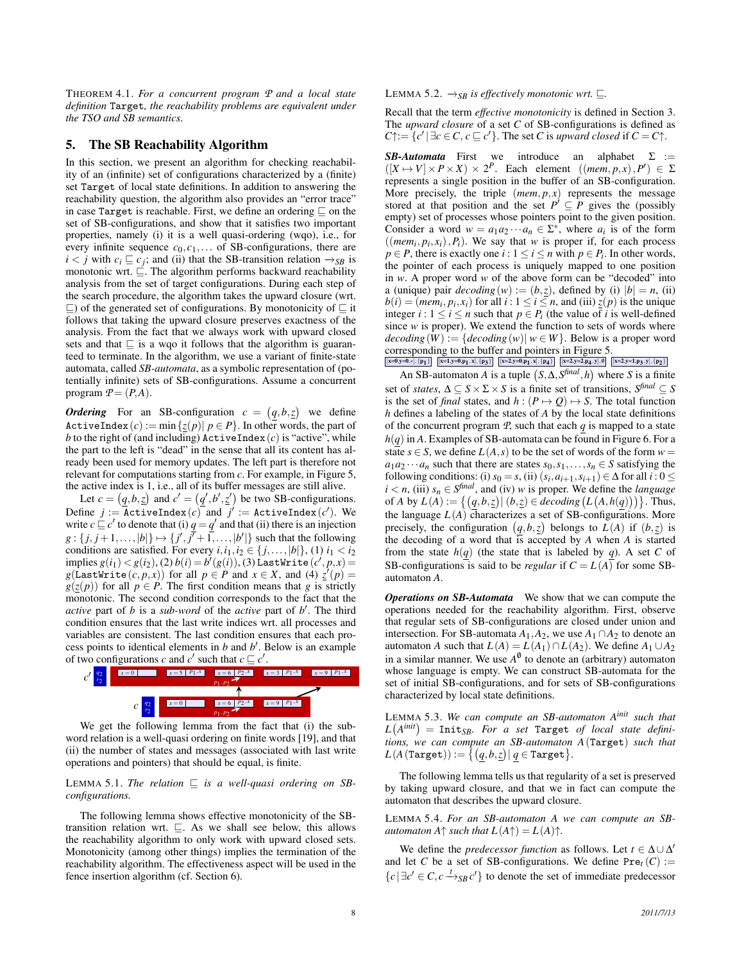THEOREM 4.1. *For a concurrent program P and a local state definition* Target*, the reachability problems are equivalent under the TSO and SB semantics.*

# 5. The SB Reachability Algorithm

In this section, we present an algorithm for checking reachability of an (infinite) set of configurations characterized by a (finite) set Target of local state definitions. In addition to answering the reachability question, the algorithm also provides an "error trace" in case Target is reachable. First, we define an ordering  $\sqsubseteq$  on the set of SB-configurations, and show that it satisfies two important properties, namely (i) it is a well quasi-ordering (wqo), i.e., for every infinite sequence  $c_0, c_1, \ldots$  of SB-configurations, there are *i* < *j* with  $c_i \sqsubseteq c_j$ ; and (ii) that the SB-transition relation  $\rightarrow_{SB}$  is monotonic wrt.  $\subseteq$ . The algorithm performs backward reachability analysis from the set of target configurations. During each step of the search procedure, the algorithm takes the upward closure (wrt.  $\subseteq$ ) of the generated set of configurations. By monotonicity of  $\subseteq$  it follows that taking the upward closure preserves exactness of the analysis. From the fact that we always work with upward closed sets and that  $\sqsubseteq$  is a wqo it follows that the algorithm is guaranteed to terminate. In the algorithm, we use a variant of finite-state automata, called *SB-automata*, as a symbolic representation of (potentially infinite) sets of SB-configurations. Assume a concurrent program  $P = (P, A)$ .

*Ordering* For an SB-configuration  $c = (q, b, z)$  we define ActiveIndex  $(c) := \min \{z(p) | p \in P\}$ . In other words, the part of *b* to the right of (and including)  $\texttt{ActiveIndex}(c)$  is "active", while the part to the left is "dead" in the sense that all its content has already been used for memory updates. The left part is therefore not relevant for computations starting from *c*. For example, in Figure 5, the active index is 1, i.e., all of its buffer messages are still alive.

Let  $c = (q, b, z)$  and  $c' = (q', b', z')$  be two SB-configurations.  $\text{Define} \;\; j := \texttt{ActiveIndex}\,(c) \;\; \text{and} \;\; j' := \texttt{ActiveIndex}\,(c').$  We write  $c \sqsubseteq c'$  to denote that (i)  $q = q'$  and that (ii) there is an injection  $g: \{j, j+1, \ldots, |b|\} \mapsto \{j', j'+1, \ldots, |b'|\}$  such that the following conditions are satisfied. For every  $i, i_1, i_2 \in \{j, ..., |b|\}$ , (1)  $i_1 < i_2$  $\text{implies}\,g(i_1) < g(i_2), (2)\,b(i) = b'(g(i)), (3)\,\text{LastWrite}\,(c',p,x) = 0$  $g(\text{LastWrite}(c, p, x))$  for all  $p \in P$  and  $x \in X$ , and (4)  $\underline{z}'(p) =$  $g(z(p))$  for all  $p \in P$ . The first condition means that *g* is strictly monotonic. The second condition corresponds to the fact that the *active* part of *b* is a *sub-word* of the *active* part of *b* 0 . The third condition ensures that the last write indices wrt. all processes and variables are consistent. The last condition ensures that each process points to identical elements in  $b$  and  $b'$ . Below is an example of two configurations *c* and *c*' such that  $c \sqsubseteq c'$ .



We get the following lemma from the fact that (i) the subword relation is a well-quasi ordering on finite words [19], and that (ii) the number of states and messages (associated with last write operations and pointers) that should be equal, is finite.

#### LEMMA 5.1. The relation  $\sqsubseteq$  is a well-quasi ordering on SB*configurations.*

The following lemma shows effective monotonicity of the SBtransition relation wrt.  $\sqsubseteq$ . As we shall see below, this allows the reachability algorithm to only work with upward closed sets. Monotonicity (among other things) implies the termination of the reachability algorithm. The effectiveness aspect will be used in the fence insertion algorithm (cf. Section 6).

LEMMA 5.2.  $\rightarrow_{SB}$  *is effectively monotonic wrt.*  $\sqsubseteq$ .

Recall that the term *effective monotonicity* is defined in Section 3. The *upward closure* of a set *C* of SB-configurations is defined as  $C \uparrow := \{c' | \exists c \in C, c \sqsubseteq c' \}.$  The set *C* is *upward closed* if  $C = C \uparrow$ .

*SB-Automata* First we introduce an alphabet  $\Sigma$  :=  $([X \mapsto V] \times P \times X) \times 2^P$ . Each element  $((mem, p, x), P') \in \Sigma$ represents a single position in the buffer of an SB-configuration. More precisely, the triple  $(mem, p, x)$  represents the message stored at that position and the set  $P' \subseteq P$  gives the (possibly empty) set of processes whose pointers point to the given position. Consider a word  $w = a_1 a_2 \cdots a_n \in \Sigma^*$ , where  $a_i$  is of the form  $((\text{mem}_i, p_i, x_i), P_i)$ . We say that *w* is proper if, for each process *p* ∈ *P*, there is exactly one *i* :  $1 \le i \le n$  with  $p \in P_i$ . In other words, the pointer of each process is uniquely mapped to one position in *w*. A proper word *w* of the above form can be "decoded" into a (unique) pair  $decoding(w) := (b, z)$ , defined by (i)  $|b| = n$ , (ii)  $b(i) = (mem_i, p_i, x_i)$  for all  $i : 1 \le i \le n$ , and (iii)  $\underline{z}(p)$  is the unique integer  $i: 1 \le i \le n$  such that  $p \in P_i$  (the value of *i* is well-defined since  $w$  is proper). We extend the function to sets of words where  $decoding(W) := {decoding(w) | w \in W}$ . Below is a proper word corresponding to the buffer and pointers in Figure 5.  $[x=0,y=0,*], \{p_1\} \quad |x=1,y=0,p_1,x], \{p_3\} \quad |x=2,y=0,p_1,x], \{p_4\} \quad |[x=2,y=2,p_4,y], 0 \quad |x=2,y=1,p_3,y], \{p_2\}$ 

An SB-automaton *A* is a tuple  $(S, \Delta, S^{final}, h)$  where *S* is a finite set of *states*,  $\Delta \subseteq S \times \Sigma \times S$  is a finite set of transitions,  $S^{final} \subseteq S$ is the set of *final* states, and  $h : (P \mapsto Q) \mapsto S$ . The total function *h* defines a labeling of the states of *A* by the local state definitions of the concurrent program  $P$ , such that each  $q$  is mapped to a state *h*(*q*) in *A*. Examples of SB-automata can be found in Figure 6. For a state  $s \in S$ , we define  $L(A, s)$  to be the set of words of the form  $w =$  $a_1 a_2 \cdots a_n$  such that there are states  $s_0, s_1, \ldots, s_n \in S$  satisfying the following conditions: (i)  $s_0 = s$ , (ii)  $(s_i, a_{i+1}, s_{i+1}) \in \Delta$  for all  $i : 0 \le$  $i < n$ , (iii)  $s_n \in S^{final}$ , and (iv) *w* is proper. We define the *language* of *A* by  $L(A) := \{ (q, b, z) | (b, z) \in decoding(L(A, h(q))) \}$ . Thus, the language *L*(*A*) characterizes a set of SB-configurations. More precisely, the configuration  $(q, b, z)$  belongs to  $L(A)$  if  $(b, z)$  is the decoding of a word that is accepted by *A* when *A* is started from the state  $h(q)$  (the state that is labeled by *q*). A set *C* of SB-configurations is said to be *regular* if  $C = L(A)$  for some SBautomaton *A*.

*Operations on SB-Automata* We show that we can compute the operations needed for the reachability algorithm. First, observe that regular sets of SB-configurations are closed under union and intersection. For SB-automata  $A_1$ , $A_2$ , we use  $A_1 \cap A_2$  to denote an automaton *A* such that  $L(A) = L(A_1) \cap L(A_2)$ . We define  $A_1 \cup A_2$ in a similar manner. We use  $A^0$  to denote an (arbitrary) automaton whose language is empty. We can construct SB-automata for the set of initial SB-configurations, and for sets of SB-configurations characterized by local state definitions.

LEMMA 5.3. *We can compute an SB-automaton Ainit such that*  $L(A^{init}) = \text{Init}_{SB}$ *. For a set* Target *of local state definitions, we can compute an SB-automaton A*(Target) *such that*  $L(A(\texttt{Target})) := \big\{ \big( \underline{q}, \underline{b}, \underline{z} \big) \big| \, \underline{q} \in \texttt{Target} \big\}.$ 

The following lemma tells us that regularity of a set is preserved by taking upward closure, and that we in fact can compute the automaton that describes the upward closure.

LEMMA 5.4. *For an SB-automaton A we can compute an SBautomaton*  $A \uparrow$  *such that*  $L(A \uparrow) = L(A) \uparrow$ .

We define the *predecessor function* as follows. Let  $t \in \Delta \cup \Delta'$ and let *C* be a set of SB-configurations. We define  $Pre<sub>t</sub>(C) :=$  ${c \in C, c \xrightarrow{t}_{SB} c'}$  to denote the set of immediate predecessor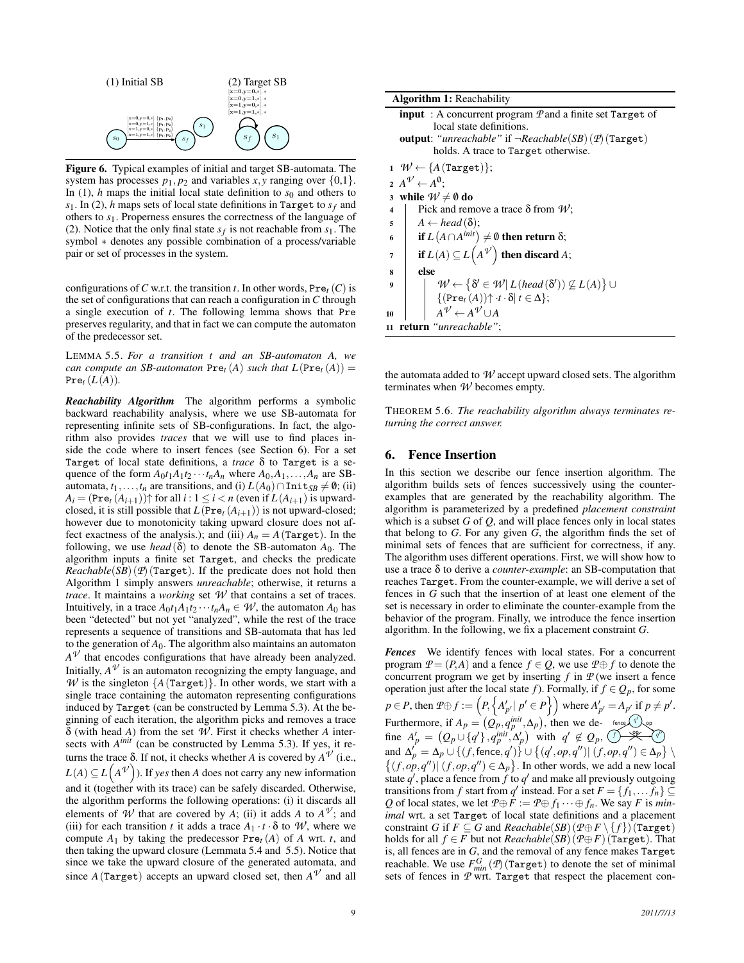

Figure 6. Typical examples of initial and target SB-automata. The system has processes  $p_1$ ,  $p_2$  and variables  $x$ ,  $y$  ranging over  $\{0,1\}$ . In (1), *h* maps the initial local state definition to  $s<sub>0</sub>$  and others to *s*1. In (2), *h* maps sets of local state definitions in Target to *s<sup>f</sup>* and others to *s*1. Properness ensures the correctness of the language of (2). Notice that the only final state  $s_f$  is not reachable from  $s_1$ . The symbol \* denotes any possible combination of a process/variable pair or set of processes in the system.

configurations of *C* w.r.t. the transition *t*. In other words,  $Pre<sub>t</sub>(C)$  is the set of configurations that can reach a configuration in *C* through a single execution of *t*. The following lemma shows that Pre preserves regularity, and that in fact we can compute the automaton of the predecessor set.

LEMMA 5.5. *For a transition t and an SB-automaton A, we can compute an SB-automaton*  $Pre<sub>t</sub>(A)$  *such that*  $L(Pre<sub>t</sub>(A)) =$  $Pre_t (L(A)).$ 

*Reachability Algorithm* The algorithm performs a symbolic backward reachability analysis, where we use SB-automata for representing infinite sets of SB-configurations. In fact, the algorithm also provides *traces* that we will use to find places inside the code where to insert fences (see Section 6). For a set Target of local state definitions, a *trace* δ to Target is a sequence of the form  $A_0t_1A_1t_2\cdots t_nA_n$  where  $A_0, A_1, \ldots, A_n$  are SBautomata,  $t_1, \ldots, t_n$  are transitions, and (i)  $L(A_0) \cap \text{Init}_{SB} \neq \emptyset$ ; (ii)  $A_i = (\text{Pre}_t (A_{i+1})) \uparrow$  for all  $i : 1 \leq i < n$  (even if  $L(A_{i+1})$  is upwardclosed, it is still possible that  $L(Pre_t(A_{i+1}))$  is not upward-closed; however due to monotonicity taking upward closure does not affect exactness of the analysis.); and (iii)  $A_n = A$ (Target). In the following, we use *head* ( $\delta$ ) to denote the SB-automaton  $A_0$ . The algorithm inputs a finite set Target, and checks the predicate  $Reachable(SB)$  ( $\mathcal{P}$ ) (Target). If the predicate does not hold then Algorithm 1 simply answers *unreachable*; otherwise, it returns a *trace*. It maintains a *working* set *W* that contains a set of traces. Intuitively, in a trace  $A_0t_1A_1t_2\cdots t_nA_n \in \mathcal{W}$ , the automaton  $A_0$  has been "detected" but not yet "analyzed", while the rest of the trace represents a sequence of transitions and SB-automata that has led to the generation of  $A_0$ . The algorithm also maintains an automaton  $A^{\mathcal{V}}$  that encodes configurations that have already been analyzed. Initially,  $A^{\mathcal{V}}$  is an automaton recognizing the empty language, and *W* is the singleton  ${A(\text{Target})}$ . In other words, we start with a single trace containing the automaton representing configurations induced by Target (can be constructed by Lemma 5.3). At the beginning of each iteration, the algorithm picks and removes a trace δ (with head *A*) from the set *W* . First it checks whether *A* intersects with *A<sup>init</sup>* (can be constructed by Lemma 5.3). If yes, it returns the trace  $\delta$ . If not, it checks whether *A* is covered by  $A^{\mathcal{V}}$  (i.e.,  $L(A) \subseteq L(A^{\mathcal{V}})$ ). If *yes* then *A* does not carry any new information and it (together with its trace) can be safely discarded. Otherwise, the algorithm performs the following operations: (i) it discards all elements of *W* that are covered by *A*; (ii) it adds *A* to  $A^V$ ; and (iii) for each transition *t* it adds a trace  $A_1 \cdot t \cdot \delta$  to *W*, where we compute  $A_1$  by taking the predecessor  $Pre_t(A)$  of  $A$  wrt.  $t$ , and then taking the upward closure (Lemmata 5.4 and 5.5). Notice that since we take the upward closure of the generated automata, and since  $A$  (Target) accepts an upward closed set, then  $A^{\mathcal{V}}$  and all

| <b>Algorithm 1: Reachability</b>                                                                                                                                               |  |  |
|--------------------------------------------------------------------------------------------------------------------------------------------------------------------------------|--|--|
|                                                                                                                                                                                |  |  |
| <b>input</b> : A concurrent program $\mathcal{P}$ and a finite set Target of<br>local state definitions.                                                                       |  |  |
| <b>output</b> : " <i>unreachable</i> " if $\neg Reachable(SB)(P)$ (Target)                                                                                                     |  |  |
|                                                                                                                                                                                |  |  |
| holds. A trace to Target otherwise.                                                                                                                                            |  |  |
| $1 \mathcal{W} \leftarrow \{A \text{ (Target)}\};$                                                                                                                             |  |  |
| $A^{\mathcal{V}} \leftarrow A^{\mathbf{0}}$ :                                                                                                                                  |  |  |
| while $W \neq \emptyset$ do<br>$\mathbf{3}$                                                                                                                                    |  |  |
| Pick and remove a trace $\delta$ from $W$ ;<br>$\overline{\mathbf{4}}$                                                                                                         |  |  |
| $A \leftarrow head(\delta);$<br>5                                                                                                                                              |  |  |
| if $L(A \cap A^{init}) \neq \emptyset$ then return $\delta$ ;<br>6                                                                                                             |  |  |
| if $L(A) \subseteq L(A^{\mathcal{V}})$ then discard A;<br>7                                                                                                                    |  |  |
| else<br>8                                                                                                                                                                      |  |  |
| $\mathcal{W} \leftarrow \left\{\delta' \in \mathcal{W} \vert \, L \left(\text{head}\left(\delta'\right)\right) \not\subseteq L\left(A\right)\right\} \cup$<br>$\boldsymbol{9}$ |  |  |
| $\{(\text{Pre}_t(A))\uparrow \cdot t \cdot \delta   t \in \Delta\};$                                                                                                           |  |  |
| $A^{\mathcal{V}} \leftarrow A^{\mathcal{V}} \cup A$<br>10                                                                                                                      |  |  |
| return "unreachable":<br>11                                                                                                                                                    |  |  |

the automata added to *W* accept upward closed sets. The algorithm terminates when *W* becomes empty.

THEOREM 5.6. *The reachability algorithm always terminates returning the correct answer.*

## 6. Fence Insertion

In this section we describe our fence insertion algorithm. The algorithm builds sets of fences successively using the counterexamples that are generated by the reachability algorithm. The algorithm is parameterized by a predefined *placement constraint* which is a subset  $G$  of  $Q$ , and will place fences only in local states that belong to *G*. For any given *G*, the algorithm finds the set of minimal sets of fences that are sufficient for correctness, if any. The algorithm uses different operations. First, we will show how to use a trace δ to derive a *counter-example*: an SB-computation that reaches Target. From the counter-example, we will derive a set of fences in *G* such that the insertion of at least one element of the set is necessary in order to eliminate the counter-example from the behavior of the program. Finally, we introduce the fence insertion algorithm. In the following, we fix a placement constraint *G*.

*Fences* We identify fences with local states. For a concurrent program  $P = (P, A)$  and a fence  $f \in Q$ , we use  $P \oplus f$  to denote the concurrent program we get by inserting  $f$  in  $P$  (we insert a fence operation just after the local state *f*). Formally, if  $f \in Q_p$ , for some  $p \in P$ , then  $\mathcal{P} \oplus f := \left( P, \left\{ A'_{p'} | p' \in P \right\} \right)$  where  $A'_{p'} = A_{p'}$  if  $p \neq p'$ .  $f \rightarrow \mathcal{K}$   $q''$  $q'$ ). Furthermore, if  $A_p = (Q_p, q^{init}, \Delta_p)$ , then we define  $A'_p = (Q_p \cup \{q'\}, q_p^{\text{init}}, \Delta'_p)$  with  $q' \notin Q_p$ , and  $\Delta'_p = \Delta_p \cup \{(f, \text{fence}, q')\} \cup \{(q', op, q'') | (f, op, q'') \in \Delta_p\} \setminus$  $\{(f, op, q'') | (f, op, q'') \in \Delta_p\}$ . In other words, we add a new local state  $q'$ , place a fence from  $f$  to  $q'$  and make all previously outgoing transitions from *f* start from *q*<sup> $\prime$ </sup> instead. For a set  $F = \{f_1, \ldots, f_n\} \subseteq$ *Q* of local states, we let  $P \oplus F := P \oplus f_1 \cdots \oplus f_n$ . We say *F* is *minimal* wrt. a set Target of local state definitions and a placement constraint *G* if  $F \subseteq G$  and  $Reachable(SB)(\mathcal{P} \oplus F \setminus \{f\})$  (Target) holds for all *f* ∈ *F* but not *Reachable*(*SB*) ( $P \oplus F$ ) (Target). That is, all fences are in *G*, and the removal of any fence makes Target reachable. We use  $F_{min}^{G}(\mathcal{P})$  (Target) to denote the set of minimal sets of fences in *P* wrt. Target that respect the placement con-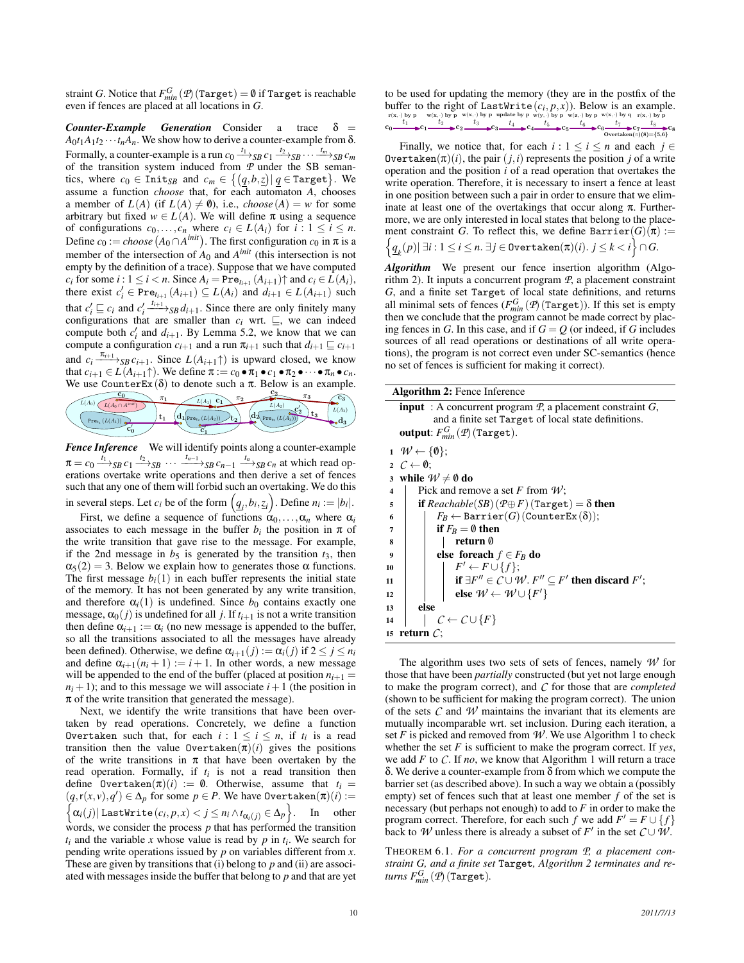straint *G*. Notice that  $F_{min}^G$  ( $p$ ) (Target) = 0 if Target is reachable even if fences are placed at all locations in *G*.

 $Counter-Example$  *Generation* Consider a trace  $\delta$  =  $A_0t_1A_1t_2\cdots t_nA_n$ . We show how to derive a counter-example from  $\delta$ . Formally, a counter-example is a run  $c_0 \xrightarrow{t_1} s_{SB} c_1 \xrightarrow{t_2} s_{SB} \cdots \xrightarrow{t_m} s_{SB} c_m$ of the transition system induced from *P* under the SB semantics, where  $c_0 \in \texttt{Init}_{SB}$  and  $c_m \in \{(\underline{q}, b, \underline{z}) | \underline{q} \in \texttt{Target}\}.$  We assume a function *choose* that, for each automaton *A*, chooses a member of  $L(A)$  (if  $L(A) \neq \emptyset$ ), i.e., *choose* (A) = *w* for some arbitrary but fixed *w* ∈ *L*(*A*). We will define π using a sequence of configurations  $c_0, \ldots, c_n$  where  $c_i \in L(A_i)$  for  $i : 1 \le i \le n$ . Define  $c_0 := choose(A_0 \cap A^{init})$ . The first configuration  $c_0$  in  $\pi$  is a member of the intersection of  $A_0$  and  $A^{init}$  (this intersection is not empty by the definition of a trace). Suppose that we have computed  $c_i$  for some  $i : 1 \le i < n$ . Since  $A_i = \text{Pre}_{t_{i+1}}(A_{i+1}) \uparrow$  and  $c_i \in L(A_i)$ , there exist  $c'_i \in \text{Pre}_{t_{i+1}}(A_{i+1}) \subseteq L(A_i)$  and  $d_{i+1} \in L(A_{i+1})$  such that  $c'_i \sqsubseteq c_i$  and  $c'_i \xrightarrow{t_{i+1}} s_B d_{i+1}$ . Since there are only finitely many configurations that are smaller than  $c_i$  wrt.  $\sqsubseteq$ , we can indeed compute both  $c_i'$  and  $d_{i+1}$ . By Lemma 5.2, we know that we can compute a configuration  $c_{i+1}$  and a run  $\pi_{i+1}$  such that  $d_{i+1} \sqsubseteq c_{i+1}$ and  $c_i \xrightarrow{\pi_{i+1}} s_B c_{i+1}$ . Since  $L(A_{i+1} \uparrow)$  is upward closed, we know that  $c_{i+1} \in L(A_{i+1} \uparrow)$ . We define  $\pi := c_0 \bullet \pi_1 \bullet c_1 \bullet \pi_2 \bullet \cdots \bullet \pi_n \bullet c_n$ . We use CounterEx( $\delta$ ) to denote such a  $\pi$ . Below is an example.



*Fence Inference* We will identify points along a counter-example  $\pi = c_0 \xrightarrow{t_1}$ <sub>SB</sub>  $c_1 \xrightarrow{t_2}$ <sub>SB</sub>  $\cdots \xrightarrow{t_{n-1}}$ <sub>SB</sub>  $c_{n-1} \xrightarrow{t_n}$ <sub>SB</sub>  $c_n$  at which read operations overtake write operations and then derive a set of fences such that any one of them will forbid such an overtaking. We do this in several steps. Let *c<sub>i</sub>* be of the form  $(q_i, b_i, z_i)$ . Define  $n_i := |b_i|$ .

First, we define a sequence of functions  $\alpha_0, \ldots, \alpha_n$  where  $\alpha_i$ associates to each message in the buffer  $b_i$  the position in  $\pi$  of the write transition that gave rise to the message. For example, if the 2nd message in  $b_5$  is generated by the transition  $t_3$ , then  $\alpha_5(2) = 3$ . Below we explain how to generates those  $\alpha$  functions. The first message  $b_i(1)$  in each buffer represents the initial state of the memory. It has not been generated by any write transition, and therefore  $\alpha_i(1)$  is undefined. Since  $b_0$  contains exactly one message,  $\alpha_0(j)$  is undefined for all *j*. If  $t_{i+1}$  is not a write transition then define  $\alpha_{i+1} := \alpha_i$  (no new message is appended to the buffer, so all the transitions associated to all the messages have already been defined). Otherwise, we define  $\alpha_{i+1}(j) := \alpha_i(j)$  if  $2 \leq j \leq n_i$ and define  $\alpha_{i+1}(n_i + 1) := i + 1$ . In other words, a new message will be appended to the end of the buffer (placed at position  $n_{i+1}$  =  $n<sub>i</sub> + 1$ ); and to this message we will associate  $i + 1$  (the position in  $\pi$  of the write transition that generated the message).

Next, we identify the write transitions that have been overtaken by read operations. Concretely, we define a function Overtaken such that, for each  $i: 1 \le i \le n$ , if  $t_i$  is a read transition then the value  $\text{Overtaken}(\pi)(i)$  gives the positions of the write transitions in  $\pi$  that have been overtaken by the read operation. Formally, if *ti* is not a read transition then define  $\text{Overtaken}(\pi)(i) := \emptyset$ . Otherwise, assume that  $t_i =$  $(q, r(x, v), q') \in \Delta_p$  for some  $p \in P$ . We have 0vertaken $(\pi)(i) :=$ <br> $\{q, (i) \mid i \text{ setWrite}(c, n, v) < i \leq n \land t \leq n \leq \Lambda\}$  In other  $\alpha_i(j)$ | LastWrite $(c_i, p, x) < j \leq n_i \wedge t_{\alpha_i(j)} \in \Delta_p \bigg\}$ . In other words, we consider the process  $p$  that has performed the transition  $t_i$  and the variable *x* whose value is read by *p* in  $t_i$ . We search for pending write operations issued by *p* on variables different from *x*. These are given by transitions that (i) belong to *p* and (ii) are associated with messages inside the buffer that belong to *p* and that are yet to be used for updating the memory (they are in the postfix of the buffer to the right of LastWrite $(c_i, p, x)$ ). Below is an example. r(x, ·) by p w(x, ·) by p w(x, ·) by p w(x, ·) by p w(x, ·) by p  $\frac{t_1}{t_1}$  t<sub>2</sub> t<sub>3</sub> t<sub>4</sub> t<sub>5</sub> t<sub>5</sub> t<sub>6</sub> t<sub>7</sub> t<sub>8</sub> c<sub>8</sub> t<sub>7</sub> t<sub>8</sub> c<sub>8</sub> t<sub>7</sub> t<sub>8</sub> c<sub>8</sub> t<sub>7</sub> t<sub>8</sub> c<sub>8</sub> t<sub>7</sub> t<sub>8</sub> c<sub>8</sub> t<sub>7</sub> c<sub>8</sub> t<sub>7</sub> c<sub>8</sub> c<sub>8</sub> t<sub>7</sub> c<sub>8</sub> c<sub></sub>  $r(x, \cdot)$  by p w(x,  $\cdot$ ) by p w(x,  $\cdot$ ) by p update by p w(y,  $\cdot$ ) by p w(z,  $\cdot$ ) by q update by p w(x,  $\cdot$ ) by q

 $\mathrm{Overtaken}(\pi)(8){=}\{5{,}6\}$ 

Finally, we notice that, for each  $i: 1 \le i \le n$  and each  $j \in$ Overtaken $(\pi)(i)$ , the pair  $(j, i)$  represents the position *j* of a write operation and the position *i* of a read operation that overtakes the write operation. Therefore, it is necessary to insert a fence at least in one position between such a pair in order to ensure that we eliminate at least one of the overtakings that occur along  $\pi$ . Furthermore, we are only interested in local states that belong to the placement constraint *G*. To reflect this, we define  $\texttt{Barrier}(G)(\pi) :=$  $\left\{ \underline{q}_{k}(p) \vert \; \exists i : 1 \leq i \leq n. \; \exists j \in \texttt{Overtaken}(\pi)(i). \; j \leq k < i \right\} \cap G.$ 

*Algorithm* We present our fence insertion algorithm (Algorithm 2). It inputs a concurrent program *P*, a placement constraint *G*, and a finite set Target of local state definitions, and returns all minimal sets of fences  $(F_{min}^G(\mathcal{P})(\text{Target}))$ . If this set is empty then we conclude that the program cannot be made correct by placing fences in *G*. In this case, and if  $G = Q$  (or indeed, if *G* includes sources of all read operations or destinations of all write operations), the program is not correct even under SC-semantics (hence no set of fences is sufficient for making it correct).

Algorithm 2: Fence Inference

input : A concurrent program *P*, a placement constraint *G*, and a finite set Target of local state definitions.  $\textbf{output:}~F_{min}^{G}\left(\textcolor{red}{\mathcal{P}}\right) \left(\texttt{Target}\right).$ 

|                         | $1 \quad W \leftarrow \{0\};$                                          |
|-------------------------|------------------------------------------------------------------------|
|                         | 2 $C \leftarrow \emptyset$ ;                                           |
|                         | 3 while $W \neq \emptyset$ do                                          |
| $\overline{\mathbf{4}}$ | Pick and remove a set F from $W$ ;                                     |
| 5                       | <b>if</b> $Reachable(SB)(P \oplus F)$ (Target) = $\delta$ then         |
| 6                       | $F_R \leftarrow$ Barrier(G)(CounterEx( $\delta$ ));                    |
| $\overline{7}$          | if $F_R = \emptyset$ then                                              |
| 8                       | return 0                                                               |
| 9                       | else foreach $f \in F_B$ do                                            |
| 10                      | $F' \leftarrow F \cup \{f\};$                                          |
| 11                      | if $\exists F'' \in C \cup W$ . $F'' \subseteq F'$ then discard $F'$ ; |
| 12                      | else $W \leftarrow W \cup \{F'\}$                                      |
| 13                      | else                                                                   |
| 14                      | $C \leftarrow C \cup \{F\}$                                            |
|                         | 15 return $\mathcal{C}$ :                                              |
|                         |                                                                        |

The algorithm uses two sets of sets of fences, namely *W* for those that have been *partially* constructed (but yet not large enough to make the program correct), and *C* for those that are *completed* (shown to be sufficient for making the program correct). The union of the sets *C* and *W* maintains the invariant that its elements are mutually incomparable wrt. set inclusion. During each iteration, a set  $F$  is picked and removed from  $W$ . We use Algorithm 1 to check whether the set *F* is sufficient to make the program correct. If *yes*, we add *F* to *C*. If *no*, we know that Algorithm 1 will return a trace δ. We derive a counter-example from δ from which we compute the barrier set (as described above). In such a way we obtain a (possibly empty) set of fences such that at least one member *f* of the set is necessary (but perhaps not enough) to add to *F* in order to make the program correct. Therefore, for each such *f* we add  $F' = F \cup \{f\}$ back to *W* unless there is already a subset of  $F'$  in the set  $C \cup W$ .

THEOREM 6.1. *For a concurrent program P, a placement constraint G, and a finite set* Target*, Algorithm 2 terminates and re* $turns F_{min}^G(\mathcal{P})(\texttt{Target}).$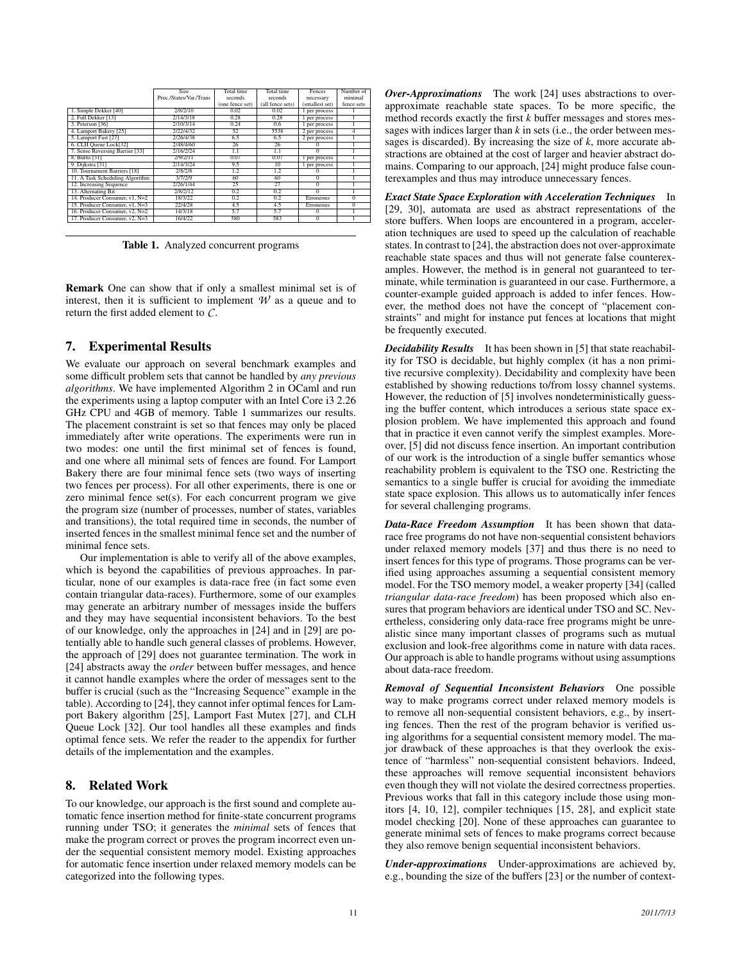|                                 | <b>Size</b>             | Total time      | Total time.      | Fences         | Number of      |
|---------------------------------|-------------------------|-----------------|------------------|----------------|----------------|
|                                 | Proc./States/Var./Trans | seconds         | seconds          | necessary      | minimal        |
|                                 |                         | (one fence set) | (all fence sets) | (smallest set) | fence sets     |
| 1. Simple Dekker [40]           | 2/8/2/10                | 0.02.           | 0.02             | 1 per process  |                |
| 2. Full Dekker [13]             | 2/14/3/18               | 0.28            | 0.28             | 1 per process  |                |
| 3. Peterson [36]                | 2/10/3/14               | 0.24            | 0.6              | 1 per process  |                |
| 4. Lamport Bakery [25]          | 212214132               | 52              | 5538             | 2 per process  | 4              |
| 5. Lamport Fast [27]            | 2/26/4/38               | 6.5             | 6.5              | 2 per process  |                |
| 6. CLH Queue Lock[32]           | 2/48/4/60               | 26              | 26               |                |                |
| 7. Sense Reversing Barrier [33] | 2/16/2/24               | 1.1             | 1.1              | $\overline{0}$ |                |
| 8. Burns [31]                   | 2/9/2/11                | 0.07            | 0.07             | per process    |                |
| 9. Dijkstra [31]                | 2/14/3/24               | 9.5             | 10               | 1 per process  |                |
| 10. Tournament Barriers [18]    | 2/8/2/8                 | 1.2             | 1.2              |                |                |
| 11. A Task Scheduling Algorithm | 3/7/2/9                 | 60              | 60               | $\Omega$       |                |
| 12. Increasing Sequence         | 2/26/1/44               | 25              | $^{77}$          | $^{0}$         |                |
| 13. Alternating Bit             | 2/8/2/12                | 0.2             | 0.2              | $\overline{0}$ |                |
| 14. Producer Consumer, v1, N=2  | 18/3/22                 | 0.2             | 0.2              | Erroneous      | $\overline{0}$ |
| 15. Producer Consumer, v1, N=3  | 22/4/28                 | 4.5             | 4.5              | Erroneous      | $\Omega$       |
| 16. Producer Consumer, v2, N=2  | 14/3/18                 | 5.7             | 5.7              | $^{0}$         |                |
| 17. Producer Consumer, v2, N=3  | 16/4/22                 | 580             | 583              | $\overline{0}$ |                |
|                                 |                         |                 |                  |                |                |

Table 1. Analyzed concurrent programs

Remark One can show that if only a smallest minimal set is of interest, then it is sufficient to implement  $W$  as a queue and to return the first added element to *C*.

# 7. Experimental Results

We evaluate our approach on several benchmark examples and some difficult problem sets that cannot be handled by *any previous algorithms*. We have implemented Algorithm 2 in OCaml and run the experiments using a laptop computer with an Intel Core i3 2.26 GHz CPU and 4GB of memory. Table 1 summarizes our results. The placement constraint is set so that fences may only be placed immediately after write operations. The experiments were run in two modes: one until the first minimal set of fences is found, and one where all minimal sets of fences are found. For Lamport Bakery there are four minimal fence sets (two ways of inserting two fences per process). For all other experiments, there is one or zero minimal fence  $set(s)$ . For each concurrent program we give the program size (number of processes, number of states, variables and transitions), the total required time in seconds, the number of inserted fences in the smallest minimal fence set and the number of minimal fence sets.

Our implementation is able to verify all of the above examples, which is beyond the capabilities of previous approaches. In particular, none of our examples is data-race free (in fact some even contain triangular data-races). Furthermore, some of our examples may generate an arbitrary number of messages inside the buffers and they may have sequential inconsistent behaviors. To the best of our knowledge, only the approaches in [24] and in [29] are potentially able to handle such general classes of problems. However, the approach of [29] does not guarantee termination. The work in [24] abstracts away the *order* between buffer messages, and hence it cannot handle examples where the order of messages sent to the buffer is crucial (such as the "Increasing Sequence" example in the table). According to [24], they cannot infer optimal fences for Lamport Bakery algorithm [25], Lamport Fast Mutex [27], and CLH Queue Lock [32]. Our tool handles all these examples and finds optimal fence sets. We refer the reader to the appendix for further details of the implementation and the examples.

## 8. Related Work

To our knowledge, our approach is the first sound and complete automatic fence insertion method for finite-state concurrent programs running under TSO; it generates the *minimal* sets of fences that make the program correct or proves the program incorrect even under the sequential consistent memory model. Existing approaches for automatic fence insertion under relaxed memory models can be categorized into the following types.

*Over-Approximations* The work [24] uses abstractions to overapproximate reachable state spaces. To be more specific, the method records exactly the first *k* buffer messages and stores messages with indices larger than *k* in sets (i.e., the order between messages is discarded). By increasing the size of *k*, more accurate abstractions are obtained at the cost of larger and heavier abstract domains. Comparing to our approach, [24] might produce false counterexamples and thus may introduce unnecessary fences.

*Exact State Space Exploration with Acceleration Techniques* In [29, 30], automata are used as abstract representations of the store buffers. When loops are encountered in a program, acceleration techniques are used to speed up the calculation of reachable states. In contrast to [24], the abstraction does not over-approximate reachable state spaces and thus will not generate false counterexamples. However, the method is in general not guaranteed to terminate, while termination is guaranteed in our case. Furthermore, a counter-example guided approach is added to infer fences. However, the method does not have the concept of "placement constraints" and might for instance put fences at locations that might be frequently executed.

*Decidability Results* It has been shown in [5] that state reachability for TSO is decidable, but highly complex (it has a non primitive recursive complexity). Decidability and complexity have been established by showing reductions to/from lossy channel systems. However, the reduction of [5] involves nondeterministically guessing the buffer content, which introduces a serious state space explosion problem. We have implemented this approach and found that in practice it even cannot verify the simplest examples. Moreover, [5] did not discuss fence insertion. An important contribution of our work is the introduction of a single buffer semantics whose reachability problem is equivalent to the TSO one. Restricting the semantics to a single buffer is crucial for avoiding the immediate state space explosion. This allows us to automatically infer fences for several challenging programs.

*Data-Race Freedom Assumption* It has been shown that datarace free programs do not have non-sequential consistent behaviors under relaxed memory models [37] and thus there is no need to insert fences for this type of programs. Those programs can be verified using approaches assuming a sequential consistent memory model. For the TSO memory model, a weaker property [34] (called *triangular data-race freedom*) has been proposed which also ensures that program behaviors are identical under TSO and SC. Nevertheless, considering only data-race free programs might be unrealistic since many important classes of programs such as mutual exclusion and look-free algorithms come in nature with data races. Our approach is able to handle programs without using assumptions about data-race freedom.

*Removal of Sequential Inconsistent Behaviors* One possible way to make programs correct under relaxed memory models is to remove all non-sequential consistent behaviors, e.g., by inserting fences. Then the rest of the program behavior is verified using algorithms for a sequential consistent memory model. The major drawback of these approaches is that they overlook the existence of "harmless" non-sequential consistent behaviors. Indeed, these approaches will remove sequential inconsistent behaviors even though they will not violate the desired correctness properties. Previous works that fall in this category include those using monitors [4, 10, 12], compiler techniques [15, 28], and explicit state model checking [20]. None of these approaches can guarantee to generate minimal sets of fences to make programs correct because they also remove benign sequential inconsistent behaviors.

*Under-approximations* Under-approximations are achieved by, e.g., bounding the size of the buffers [23] or the number of context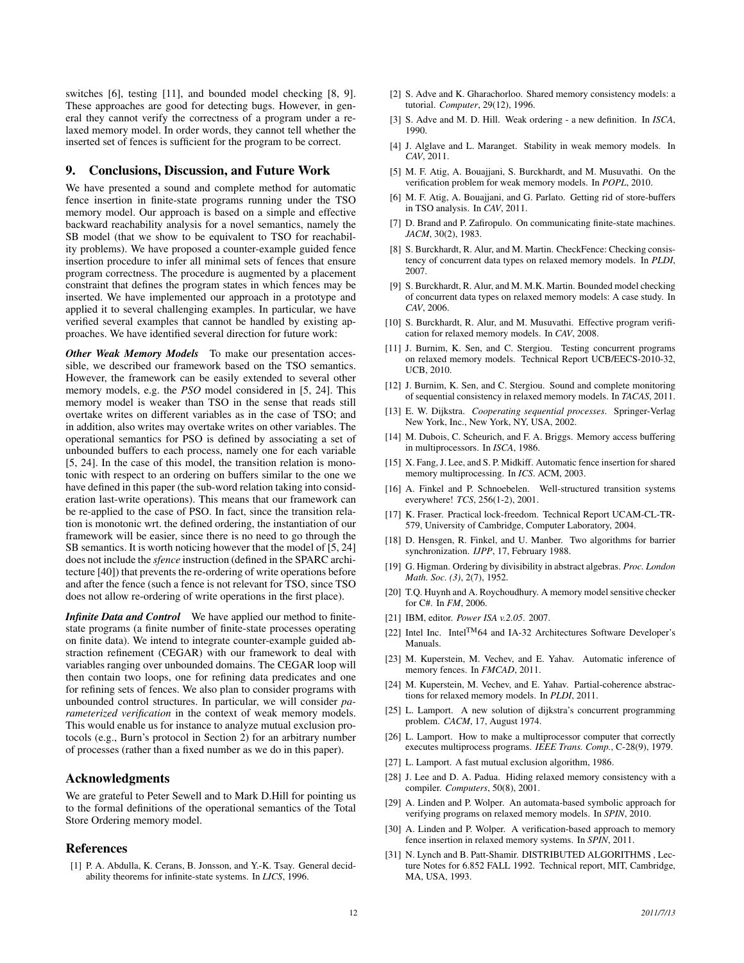switches [6], testing [11], and bounded model checking [8, 9]. These approaches are good for detecting bugs. However, in general they cannot verify the correctness of a program under a relaxed memory model. In order words, they cannot tell whether the inserted set of fences is sufficient for the program to be correct.

#### 9. Conclusions, Discussion, and Future Work

We have presented a sound and complete method for automatic fence insertion in finite-state programs running under the TSO memory model. Our approach is based on a simple and effective backward reachability analysis for a novel semantics, namely the SB model (that we show to be equivalent to TSO for reachability problems). We have proposed a counter-example guided fence insertion procedure to infer all minimal sets of fences that ensure program correctness. The procedure is augmented by a placement constraint that defines the program states in which fences may be inserted. We have implemented our approach in a prototype and applied it to several challenging examples. In particular, we have verified several examples that cannot be handled by existing approaches. We have identified several direction for future work:

*Other Weak Memory Models* To make our presentation accessible, we described our framework based on the TSO semantics. However, the framework can be easily extended to several other memory models, e.g. the *PSO* model considered in [5, 24]. This memory model is weaker than TSO in the sense that reads still overtake writes on different variables as in the case of TSO; and in addition, also writes may overtake writes on other variables. The operational semantics for PSO is defined by associating a set of unbounded buffers to each process, namely one for each variable [5, 24]. In the case of this model, the transition relation is monotonic with respect to an ordering on buffers similar to the one we have defined in this paper (the sub-word relation taking into consideration last-write operations). This means that our framework can be re-applied to the case of PSO. In fact, since the transition relation is monotonic wrt. the defined ordering, the instantiation of our framework will be easier, since there is no need to go through the SB semantics. It is worth noticing however that the model of [5, 24] does not include the *sfence* instruction (defined in the SPARC architecture [40]) that prevents the re-ordering of write operations before and after the fence (such a fence is not relevant for TSO, since TSO does not allow re-ordering of write operations in the first place).

*Infinite Data and Control* We have applied our method to finitestate programs (a finite number of finite-state processes operating on finite data). We intend to integrate counter-example guided abstraction refinement (CEGAR) with our framework to deal with variables ranging over unbounded domains. The CEGAR loop will then contain two loops, one for refining data predicates and one for refining sets of fences. We also plan to consider programs with unbounded control structures. In particular, we will consider *parameterized verification* in the context of weak memory models. This would enable us for instance to analyze mutual exclusion protocols (e.g., Burn's protocol in Section 2) for an arbitrary number of processes (rather than a fixed number as we do in this paper).

# Acknowledgments

We are grateful to Peter Sewell and to Mark D.Hill for pointing us to the formal definitions of the operational semantics of the Total Store Ordering memory model.

#### References

[1] P. A. Abdulla, K. Cerans, B. Jonsson, and Y.-K. Tsay. General decidability theorems for infinite-state systems. In *LICS*, 1996.

- [2] S. Adve and K. Gharachorloo. Shared memory consistency models: a tutorial. *Computer*, 29(12), 1996.
- [3] S. Adve and M. D. Hill. Weak ordering a new definition. In *ISCA*, 1990.
- [4] J. Alglave and L. Maranget. Stability in weak memory models. In *CAV*, 2011.
- [5] M. F. Atig, A. Bouajjani, S. Burckhardt, and M. Musuvathi. On the verification problem for weak memory models. In *POPL*, 2010.
- [6] M. F. Atig, A. Bouajjani, and G. Parlato. Getting rid of store-buffers in TSO analysis. In *CAV*, 2011.
- [7] D. Brand and P. Zafiropulo. On communicating finite-state machines. *JACM*, 30(2), 1983.
- [8] S. Burckhardt, R. Alur, and M. Martin. CheckFence: Checking consistency of concurrent data types on relaxed memory models. In *PLDI*, 2007.
- [9] S. Burckhardt, R. Alur, and M. M.K. Martin. Bounded model checking of concurrent data types on relaxed memory models: A case study. In *CAV*, 2006.
- [10] S. Burckhardt, R. Alur, and M. Musuvathi. Effective program verification for relaxed memory models. In *CAV*, 2008.
- [11] J. Burnim, K. Sen, and C. Stergiou. Testing concurrent programs on relaxed memory models. Technical Report UCB/EECS-2010-32, UCB, 2010.
- [12] J. Burnim, K. Sen, and C. Stergiou. Sound and complete monitoring of sequential consistency in relaxed memory models. In *TACAS*, 2011.
- [13] E. W. Dijkstra. *Cooperating sequential processes*. Springer-Verlag New York, Inc., New York, NY, USA, 2002.
- [14] M. Dubois, C. Scheurich, and F. A. Briggs. Memory access buffering in multiprocessors. In *ISCA*, 1986.
- [15] X. Fang, J. Lee, and S. P. Midkiff. Automatic fence insertion for shared memory multiprocessing. In *ICS*. ACM, 2003.
- [16] A. Finkel and P. Schnoebelen. Well-structured transition systems everywhere! *TCS*, 256(1-2), 2001.
- [17] K. Fraser. Practical lock-freedom. Technical Report UCAM-CL-TR-579, University of Cambridge, Computer Laboratory, 2004.
- [18] D. Hensgen, R. Finkel, and U. Manber. Two algorithms for barrier synchronization. *IJPP*, 17, February 1988.
- [19] G. Higman. Ordering by divisibility in abstract algebras. *Proc. London Math. Soc. (3)*, 2(7), 1952.
- [20] T.Q. Huynh and A. Roychoudhury. A memory model sensitive checker for C#. In *FM*, 2006.
- [21] IBM, editor. *Power ISA v.2.05*. 2007.
- [22] Intel Inc. Intel<sup>TM</sup>64 and IA-32 Architectures Software Developer's Manuals.
- [23] M. Kuperstein, M. Vechev, and E. Yahav. Automatic inference of memory fences. In *FMCAD*, 2011.
- [24] M. Kuperstein, M. Vechev, and E. Yahav. Partial-coherence abstractions for relaxed memory models. In *PLDI*, 2011.
- [25] L. Lamport. A new solution of dijkstra's concurrent programming problem. *CACM*, 17, August 1974.
- [26] L. Lamport. How to make a multiprocessor computer that correctly executes multiprocess programs. *IEEE Trans. Comp.*, C-28(9), 1979.
- [27] L. Lamport. A fast mutual exclusion algorithm, 1986.
- [28] J. Lee and D. A. Padua. Hiding relaxed memory consistency with a compiler. *Computers*, 50(8), 2001.
- [29] A. Linden and P. Wolper. An automata-based symbolic approach for verifying programs on relaxed memory models. In *SPIN*, 2010.
- [30] A. Linden and P. Wolper. A verification-based approach to memory fence insertion in relaxed memory systems. In *SPIN*, 2011.
- [31] N. Lynch and B. Patt-Shamir. DISTRIBUTED ALGORITHMS, Lecture Notes for 6.852 FALL 1992. Technical report, MIT, Cambridge, MA, USA, 1993.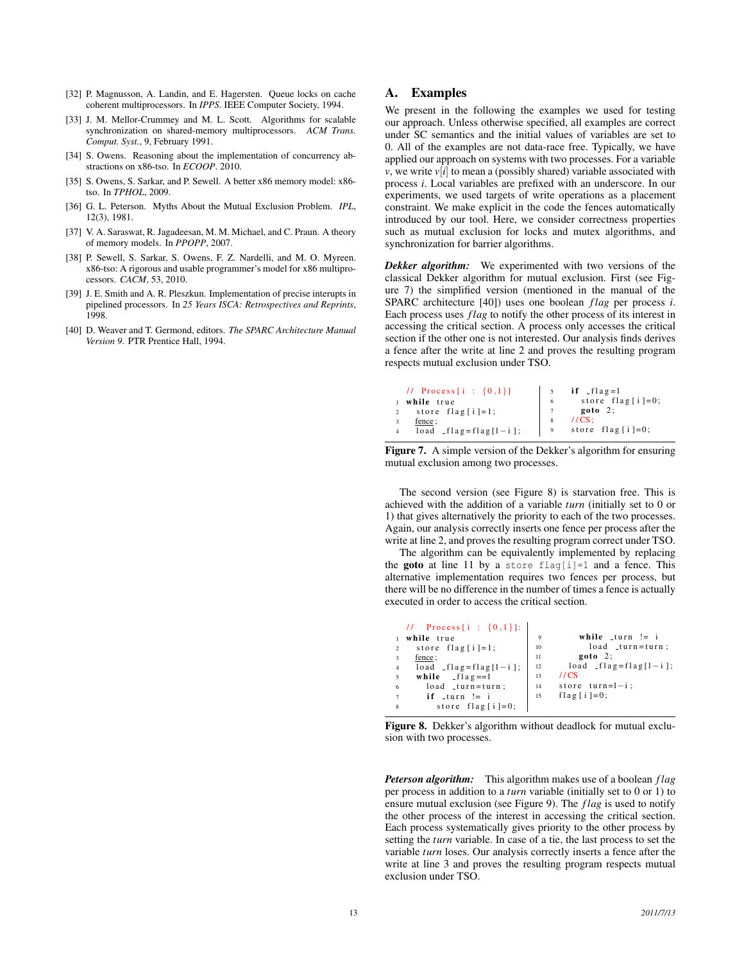- [32] P. Magnusson, A. Landin, and E. Hagersten. Queue locks on cache coherent multiprocessors. In *IPPS*. IEEE Computer Society, 1994.
- [33] J. M. Mellor-Crummey and M. L. Scott. Algorithms for scalable synchronization on shared-memory multiprocessors. *ACM Trans. Comput. Syst.*, 9, February 1991.
- [34] S. Owens. Reasoning about the implementation of concurrency abstractions on x86-tso. In *ECOOP*. 2010.
- [35] S. Owens, S. Sarkar, and P. Sewell. A better x86 memory model: x86tso. In *TPHOL*, 2009.
- [36] G. L. Peterson. Myths About the Mutual Exclusion Problem. *IPL*, 12(3), 1981.
- [37] V. A. Saraswat, R. Jagadeesan, M. M. Michael, and C. Praun. A theory of memory models. In *PPOPP*, 2007.
- [38] P. Sewell, S. Sarkar, S. Owens, F. Z. Nardelli, and M. O. Myreen. x86-tso: A rigorous and usable programmer's model for x86 multiprocessors. *CACM*, 53, 2010.
- [39] J. E. Smith and A. R. Pleszkun. Implementation of precise interupts in pipelined processors. In *25 Years ISCA: Retrospectives and Reprints*, 1998.
- [40] D. Weaver and T. Germond, editors. *The SPARC Architecture Manual Version 9*. PTR Prentice Hall, 1994.

# A. Examples

We present in the following the examples we used for testing our approach. Unless otherwise specified, all examples are correct under SC semantics and the initial values of variables are set to 0. All of the examples are not data-race free. Typically, we have applied our approach on systems with two processes. For a variable *v*, we write  $v[i]$  to mean a (possibly shared) variable associated with process *i*. Local variables are prefixed with an underscore. In our experiments, we used targets of write operations as a placement constraint. We make explicit in the code the fences automatically introduced by our tool. Here, we consider correctness properties such as mutual exclusion for locks and mutex algorithms, and synchronization for barrier algorithms.

*Dekker algorithm:* We experimented with two versions of the classical Dekker algorithm for mutual exclusion. First (see Figure 7) the simplified version (mentioned in the manual of the SPARC architecture [40]) uses one boolean *f lag* per process *i*. Each process uses *f lag* to notify the other process of its interest in accessing the critical section. A process only accesses the critical section if the other one is not interested. Our analysis finds derives a fence after the write at line 2 and proves the resulting program respects mutual exclusion under TSO.

| // Process [i : $\{0,1\}$ ]       | 5 if $\int$ flag=1<br>6 store flag[i]=0;<br>7 goto 2;<br>8 //CS;<br>9 store flag[i]=0; |
|-----------------------------------|----------------------------------------------------------------------------------------|
| 1 while true                      |                                                                                        |
| 2 store flag $[i] = 1$ ;          |                                                                                        |
| fence;                            |                                                                                        |
| 4 $\log_2 f \log f \log [1 - i];$ |                                                                                        |

```
Figure 7. A simple version of the Dekker's algorithm for ensuring
mutual exclusion among two processes.
```
The second version (see Figure 8) is starvation free. This is achieved with the addition of a variable *turn* (initially set to 0 or 1) that gives alternatively the priority to each of the two processes. Again, our analysis correctly inserts one fence per process after the write at line 2, and proves the resulting program correct under TSO.

The algorithm can be equivalently implemented by replacing the **goto** at line 11 by a store flag[i]=1 and a fence. This alternative implementation requires two fences per process, but there will be no difference in the number of times a fence is actually executed in order to access the critical section.

|                | // Process [i : $\{0,1\}$ ]: |    |                                |
|----------------|------------------------------|----|--------------------------------|
|                | while true                   |    | while $turn := i$              |
| $\overline{2}$ | store $flag[i]=1;$           | 10 | $load$ _turn=turn;             |
|                | fence;                       | 11 | $goto 2$ ;                     |
| $\overline{4}$ | $load - flag = flag[1 - i];$ | 12 | $load$ $-flag = flag [1 - i];$ |
| 5              | while $If \log z = 1$        | 13 | 1/CS                           |
| 6              | $load$ _turn=turn;           | 14 | store $turn=1-i$ ;             |
|                | $if$ _turn != i              | 15 | flag $[i] = 0$ ;               |
| 8              | store $flag[i]=0$ ;          |    |                                |

Figure 8. Dekker's algorithm without deadlock for mutual exclusion with two processes.

*Peterson algorithm:* This algorithm makes use of a boolean *f lag* per process in addition to a *turn* variable (initially set to 0 or 1) to ensure mutual exclusion (see Figure 9). The *f lag* is used to notify the other process of the interest in accessing the critical section. Each process systematically gives priority to the other process by setting the *turn* variable. In case of a tie, the last process to set the variable *turn* loses. Our analysis correctly inserts a fence after the write at line 3 and proves the resulting program respects mutual exclusion under TSO.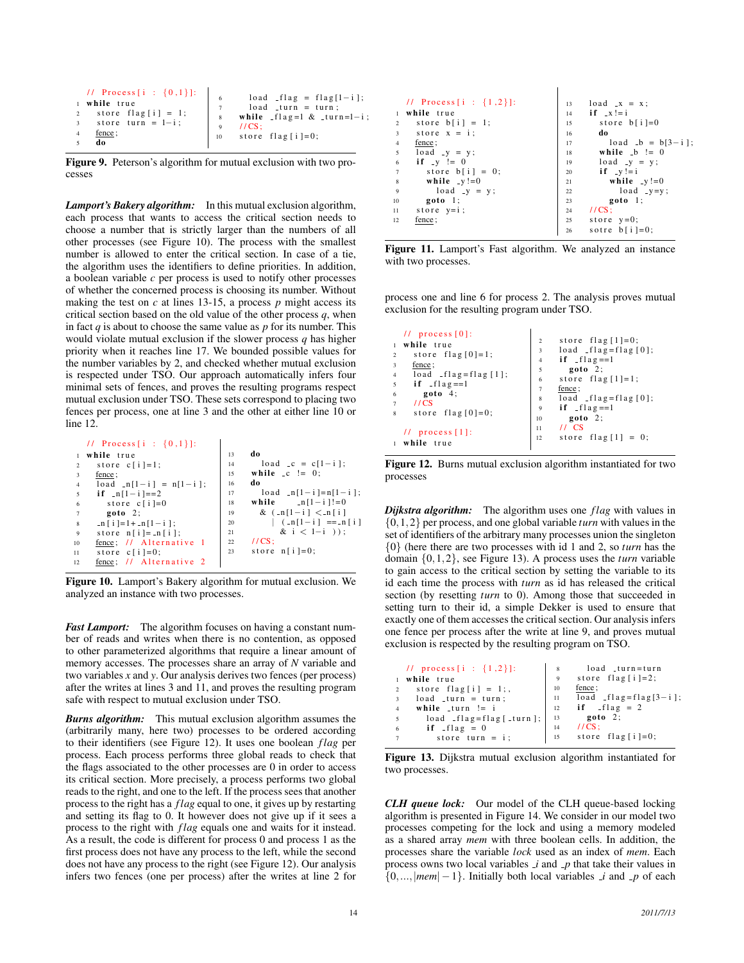| // Process [i : $\{0,1\}$ ]: | load $-flag = flag[1-i];$                                                   |
|------------------------------|-----------------------------------------------------------------------------|
| 1 while true                 | $load$ _turn = turn;                                                        |
| store flag[i] = 1;           | 8 while $-flag = 1 & \text{turn} = 1 - i$ ;                                 |
| 3 store turn = $1-i$ ;       | $1/CS$ :                                                                    |
| fence:                       | $\begin{array}{ l }\n\hline\n10 \quad \text{store flag}[i]=0;\n\end{array}$ |
| do                           |                                                                             |

Figure 9. Peterson's algorithm for mutual exclusion with two processes

*Lamport's Bakery algorithm:* In this mutual exclusion algorithm, each process that wants to access the critical section needs to choose a number that is strictly larger than the numbers of all other processes (see Figure 10). The process with the smallest number is allowed to enter the critical section. In case of a tie, the algorithm uses the identifiers to define priorities. In addition, a boolean variable *c* per process is used to notify other processes of whether the concerned process is choosing its number. Without making the test on  $c$  at lines 13-15, a process  $p$  might access its critical section based on the old value of the other process *q*, when in fact *q* is about to choose the same value as *p* for its number. This would violate mutual exclusion if the slower process *q* has higher priority when it reaches line 17. We bounded possible values for the number variables by 2, and checked whether mutual exclusion is respected under TSO. Our approach automatically infers four minimal sets of fences, and proves the resulting programs respect mutual exclusion under TSO. These sets correspond to placing two fences per process, one at line 3 and the other at either line 10 or line 12.

```
// Process[i : \{0,1\}]:1 while true
       store c[i]=1;fence ;
      \overline{load} _n [1-i] = n[1-i];
      if [n[1-i] == 2]store c[i]=0goto 2;n[i]=1+1n[1-i];store n[i]=n[i];10 \frac{\text{fence}}{\text{store}}; // Alternative
       store c[i] = 0;12 fence; // Alternative 2
                                            13 do
                                            14 load _c = c[1-i];<br>15 while _c != 0;
                                                   while \text{c} != 0;
                                            16 do
                                            17 load n [1-i]=n[1-i];<br>18 while n[1-i] = 018 while \ln[1 - i]! = 0<br>19 & \ln[1 - i] < \ln[i]19 & (_n [1- i ] < _n [ i ]<br>20 | (_n [1- i 1 = = n
                                            20 | (\text{ln}[1 - i]) == n[i]<br>
21 & i < 1-i )):
                                            21 & i < 1-i ));<br>
22 //CS;
                                                   1/ CS :
                                            23 store n[i] = 0;
```
Figure 10. Lamport's Bakery algorithm for mutual exclusion. We analyzed an instance with two processes.

*Fast Lamport:* The algorithm focuses on having a constant number of reads and writes when there is no contention, as opposed to other parameterized algorithms that require a linear amount of memory accesses. The processes share an array of *N* variable and two variables *x* and *y*. Our analysis derives two fences (per process) after the writes at lines 3 and 11, and proves the resulting program safe with respect to mutual exclusion under TSO.

*Burns algorithm:* This mutual exclusion algorithm assumes the (arbitrarily many, here two) processes to be ordered according to their identifiers (see Figure 12). It uses one boolean *f lag* per process. Each process performs three global reads to check that the flags associated to the other processes are 0 in order to access its critical section. More precisely, a process performs two global reads to the right, and one to the left. If the process sees that another process to the right has a *f lag* equal to one, it gives up by restarting and setting its flag to 0. It however does not give up if it sees a process to the right with *f lag* equals one and waits for it instead. As a result, the code is different for process 0 and process 1 as the first process does not have any process to the left, while the second does not have any process to the right (see Figure 12). Our analysis infers two fences (one per process) after the writes at line 2 for

|                | // Process [i : $\{1,2\}$ ]: | 13 | $load$ $_x = x$ ;  |
|----------------|------------------------------|----|--------------------|
|                | while true                   | 14 | if $-x! = i$       |
| $\overline{2}$ | store $b[i] = 1$ ;           | 15 | store $b[i]=0$     |
| 3              | store $x = i$ ;              | 16 | do                 |
| $\overline{4}$ | fence;                       | 17 | $load_b = b[3-i];$ |
| 5              | $load$ $-y = y;$             | 18 | while $-b := 0$    |
| 6              | if $-y := 0$                 | 19 | $load_y = y$ ;     |
| $\overline{7}$ | store $b[i] = 0$ ;           | 20 | if $-y!=i$         |
| 8              | while $-y!=0$                | 21 | while $-y!=0$      |
| 9              | $load$ $-y = y$ ;            | 22 | $load$ $-y=y$ ;    |
| 10             | goto 1;                      | 23 | goto 1;            |
| 11             | store $y=i$ ;                | 24 | $1/CS$ :           |
| 12             | fence;                       | 25 | store $y=0$ ;      |
|                |                              | 26 | sotre $b[i]=0$ ;   |

 $\overline{\phantom{a}}$ 

Figure 11. Lamport's Fast algorithm. We analyzed an instance with two processes.

process one and line 6 for process 2. The analysis proves mutual exclusion for the resulting program under TSO.

|                     | $11$ process $[0]$ :                 | $\overline{2}$ | store $flag [1]=0;$           |
|---------------------|--------------------------------------|----------------|-------------------------------|
| $\mathbf{1}$        | while true                           |                | $load -flag = flag [0];$      |
| $\overline{2}$      | store $flag[0]=1;$                   | 3              |                               |
|                     |                                      | $\overline{4}$ | if $-flag == 1$               |
| 3<br>$\overline{4}$ | fence ;<br>$load - flag = flag [1];$ | 5              | $goto 2$ ;                    |
|                     |                                      | 6              | store $flag [1]=1;$           |
| 5<br>6              | if $-flag == 1$<br>goto 4;           | $\overline{7}$ | fence ;                       |
|                     |                                      | 8              | $load$ $_{1}flag = flag [0];$ |
| $\overline{7}$<br>8 | 11CS<br>store flag $[0]=0$ ;         | 9              | if $_{\text{flag}} == 1$      |
|                     |                                      | 10             | $goto 2$ ;                    |
|                     | $11$ process [1]:                    | 11             | $11 \text{ CS}$               |
| $\mathbf{1}$        | while true                           | 12             | store $flag [1] = 0;$         |

Figure 12. Burns mutual exclusion algorithm instantiated for two processes

*Dijkstra algorithm:* The algorithm uses one *flag* with values in {0,1,2} per process, and one global variable *turn* with values in the set of identifiers of the arbitrary many processes union the singleton {0} (here there are two processes with id 1 and 2, so *turn* has the domain {0,1,2}, see Figure 13). A process uses the *turn* variable to gain access to the critical section by setting the variable to its id each time the process with *turn* as id has released the critical section (by resetting *turn* to 0). Among those that succeeded in setting turn to their id, a simple Dekker is used to ensure that exactly one of them accesses the critical section. Our analysis infers one fence per process after the write at line 9, and proves mutual exclusion is respected by the resulting program on TSO.

|                | // process [i : $\{1,2\}$ ]:          | 8              | load _turn=turn                |
|----------------|---------------------------------------|----------------|--------------------------------|
|                | 1 while true                          | $\overline{9}$ | store $flag[i]=2$ ;            |
| $\overline{2}$ | store flag[i] = 1;,                   | 10             | fence;                         |
| 3 <sup>1</sup> | $load$ _turn = turn;                  | -11            | $load$ $_{1}flag = flag[3-i];$ |
| $\overline{4}$ | while $turn := i$                     | 12             | if $-flag = 2$                 |
| $\overline{5}$ | $load$ $_{1}flag = flag$ $_{1}curl$ ; | 13             | $goto$ 2;                      |
| 6              | $if$ $-flag = 0$                      | 14             | $1/CS$ ;                       |
| $\overline{7}$ | store turn = $i$ ;                    |                | $15$ store flag [i]=0;         |
|                |                                       |                |                                |

Figure 13. Dijkstra mutual exclusion algorithm instantiated for two processes.

*CLH queue lock:* Our model of the CLH queue-based locking algorithm is presented in Figure 14. We consider in our model two processes competing for the lock and using a memory modeled as a shared array *mem* with three boolean cells. In addition, the processes share the variable *lock* used as an index of *mem*. Each process owns two local variables  $\vec{\mu}$  and  $\vec{p}$  that take their values in  $\{0, \ldots, |mem| - 1\}$ . Initially both local variables *i* and *p* of each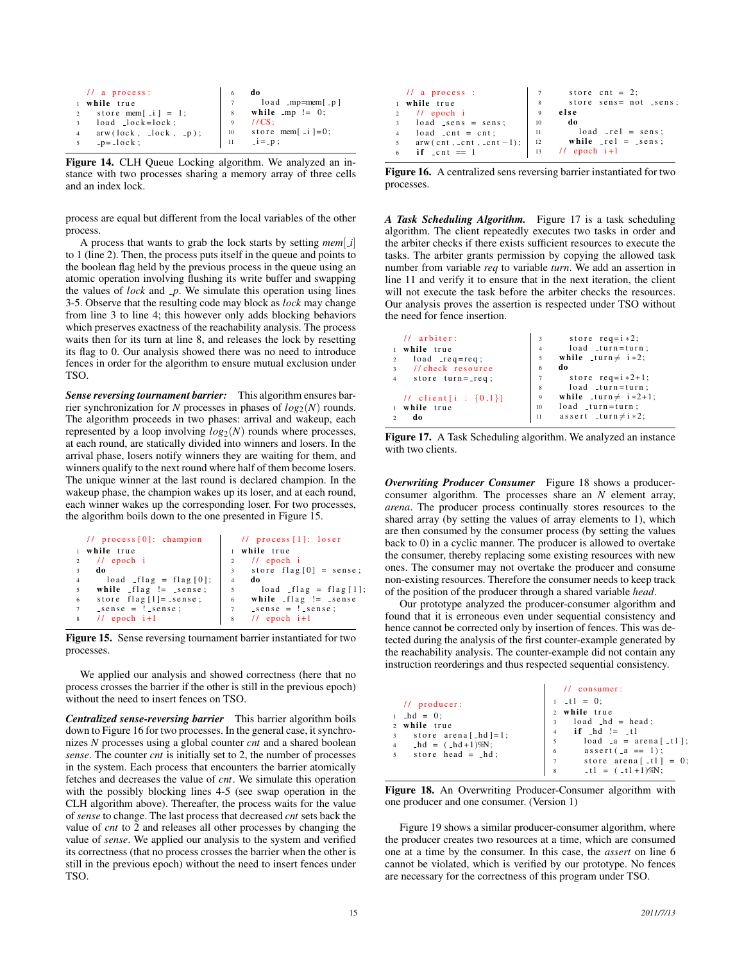|                | $\frac{1}{2}$ a process: |              | do                    |
|----------------|--------------------------|--------------|-----------------------|
|                | 1 while true             |              | $load$ _mp=mem $[-p]$ |
| $2^{\circ}$    | store mem $[i] = 1$ ;    |              | while $mp := 0$ ;     |
| $\overline{3}$ | $load$ $lock = lock$ ;   | $\mathbf{Q}$ | $1/CS$ :              |
|                | $arw(lock, -lock, -p);$  | 10           | store mem[ $-i$ ]=0;  |
| 5              | $-p = -1$ ock;           | 11           | $-i = -p$ :           |

Figure 14. CLH Queue Locking algorithm. We analyzed an instance with two processes sharing a memory array of three cells and an index lock.

process are equal but different from the local variables of the other process.

A process that wants to grab the lock starts by setting *mem*[ *i*] to 1 (line 2). Then, the process puts itself in the queue and points to the boolean flag held by the previous process in the queue using an atomic operation involving flushing its write buffer and swapping the values of *lock* and *p*. We simulate this operation using lines 3-5. Observe that the resulting code may block as *lock* may change from line 3 to line 4; this however only adds blocking behaviors which preserves exactness of the reachability analysis. The process waits then for its turn at line 8, and releases the lock by resetting its flag to 0. Our analysis showed there was no need to introduce fences in order for the algorithm to ensure mutual exclusion under TSO.

*Sense reversing tournament barrier:* This algorithm ensures barrier synchronization for *N* processes in phases of  $log_2(N)$  rounds. The algorithm proceeds in two phases: arrival and wakeup, each represented by a loop involving  $log_2(N)$  rounds where processes, at each round, are statically divided into winners and losers. In the arrival phase, losers notify winners they are waiting for them, and winners qualify to the next round where half of them become losers. The unique winner at the last round is declared champion. In the wakeup phase, the champion wakes up its loser, and at each round, each winner wakes up the corresponding loser. For two processes, the algorithm boils down to the one presented in Figure 15.

| 1 while true<br>while true<br>$\frac{1}{2}$ epoch i<br>$11$ epoch i<br>2                                         |  |
|------------------------------------------------------------------------------------------------------------------|--|
|                                                                                                                  |  |
|                                                                                                                  |  |
| store $flag[0] = sense;$<br>do<br>$\overline{3}$<br>3                                                            |  |
| $load$ $_{1}flag$ = $flag[0];$<br>do<br>$\overline{4}$<br>$\overline{4}$                                         |  |
| while $flag := sesnes;$<br>$load$ $_{1}$ $_{1}$ $_{2}$ $=$ $flag [1];$<br>5<br>5                                 |  |
| while $_{\text{flag}}$ $!=$ $_{\text{sense}}$<br>store $flag[1] = sense;$<br>6<br>6                              |  |
| $\text{--sense} = !\text{--sense};$<br>$\text{--sense} = !\text{--sense};$<br>$7\phantom{.0}$<br>$7\overline{ }$ |  |
| $11$ epoch $i+1$<br>$11$ epoch $i+1$<br>8                                                                        |  |

Figure 15. Sense reversing tournament barrier instantiated for two processes.

We applied our analysis and showed correctness (here that no process crosses the barrier if the other is still in the previous epoch) without the need to insert fences on TSO.

*Centralized sense-reversing barrier* This barrier algorithm boils down to Figure 16 for two processes. In the general case, it synchronizes *N* processes using a global counter *cnt* and a shared boolean *sense*. The counter *cnt* is initially set to 2, the number of processes in the system. Each process that encounters the barrier atomically fetches and decreases the value of *cnt*. We simulate this operation with the possibly blocking lines 4-5 (see swap operation in the CLH algorithm above). Thereafter, the process waits for the value of *sense* to change. The last process that decreased *cnt* sets back the value of *cnt* to 2 and releases all other processes by changing the value of *sense*. We applied our analysis to the system and verified its correctness (that no process crosses the barrier when the other is still in the previous epoch) without the need to insert fences under TSO.

|                | $11$ a process :              |     | store cnt = $2$ ;                        |
|----------------|-------------------------------|-----|------------------------------------------|
|                | 1 while true                  | 8   | store sens= not _sens;                   |
|                | $\frac{1}{2}$ // epoch i      | 9   | else                                     |
|                | $3$ load _sens = sens;        | 10  | do                                       |
| $\overline{4}$ | $load$ $_cnt = cnt;$          | -11 | $load$ $_{\text{rel}}$ = sens;           |
|                | 5 $arw (cnt, _cnt, _cnt -1);$ |     | $12$ while $\text{rel} = \text{ssens}$ ; |
|                | if $\text{ent} = 1$           | 13  | $1/$ epoch $i+1$                         |

Figure 16. A centralized sens reversing barrier instantiated for two processes.

*A Task Scheduling Algorithm.* Figure 17 is a task scheduling algorithm. The client repeatedly executes two tasks in order and the arbiter checks if there exists sufficient resources to execute the tasks. The arbiter grants permission by copying the allowed task number from variable *req* to variable *turn*. We add an assertion in line 11 and verify it to ensure that in the next iteration, the client will not execute the task before the arbiter checks the resources. Our analysis proves the assertion is respected under TSO without the need for fence insertion.

|                | $11$ arbiter:              | 3              | store $req=i *2;$                |
|----------------|----------------------------|----------------|----------------------------------|
|                | 1 while true               | $\overline{4}$ | $load$ _turn=turn;               |
| $\overline{c}$ | $load\_req = req;$         | 5              | while $turn \neq i * 2$ ;        |
| $3^{\circ}$    | // check resource          | 6              | do                               |
| $\overline{4}$ | store $turn = -req$ ;      | $\overline{7}$ | store $req=i *2+1;$              |
|                |                            | 8              | $load$ _turn=turn;               |
|                | // client [i : $\{0,1\}$ ] | $\overline{9}$ | while $turn \neq i * 2 + 1$ ;    |
|                | 1 while true               | 10             | $load$ _turn=turn;               |
| $\overline{a}$ | do                         | 11             | assert $_t$ turn $\neq$ i $*2$ ; |
|                |                            |                |                                  |

Figure 17. A Task Scheduling algorithm. We analyzed an instance with two clients.

*Overwriting Producer Consumer* Figure 18 shows a producerconsumer algorithm. The processes share an *N* element array, *arena*. The producer process continually stores resources to the shared array (by setting the values of array elements to 1), which are then consumed by the consumer process (by setting the values back to 0) in a cyclic manner. The producer is allowed to overtake the consumer, thereby replacing some existing resources with new ones. The consumer may not overtake the producer and consume non-existing resources. Therefore the consumer needs to keep track of the position of the producer through a shared variable *head*.

Our prototype analyzed the producer-consumer algorithm and found that it is erroneous even under sequential consistency and hence cannot be corrected only by insertion of fences. This was detected during the analysis of the first counter-example generated by the reachability analysis. The counter-example did not contain any instruction reorderings and thus respected sequential consistency.

| $1 - t1 = 0;$<br>$\frac{1}{\sqrt{2}}$ producer:<br>2 while true<br>$1$ $-hd = 0$ ;<br>$3$ load $-hd = head;$<br>2 while true<br>$if$ $hd$ $!=$ $-t1$<br>3 store arena [_hd ] = 1;<br>4 $-hd = (-hd+1)\%N;$<br>6 $assert(.a == 1)$ ;<br>$5$ store head = $-hd$ ; | $11$ consumer:                                                                             |
|-----------------------------------------------------------------------------------------------------------------------------------------------------------------------------------------------------------------------------------------------------------------|--------------------------------------------------------------------------------------------|
|                                                                                                                                                                                                                                                                 | $load \text{ a} = area \text{ } [$<br>7 store arena [_t1] = 0;<br>$-t1 = (-t1+1)\%N;$<br>8 |

Figure 18. An Overwriting Producer-Consumer algorithm with one producer and one consumer. (Version 1)

Figure 19 shows a similar producer-consumer algorithm, where the producer creates two resources at a time, which are consumed one at a time by the consumer. In this case, the *assert* on line 6 cannot be violated, which is verified by our prototype. No fences are necessary for the correctness of this program under TSO.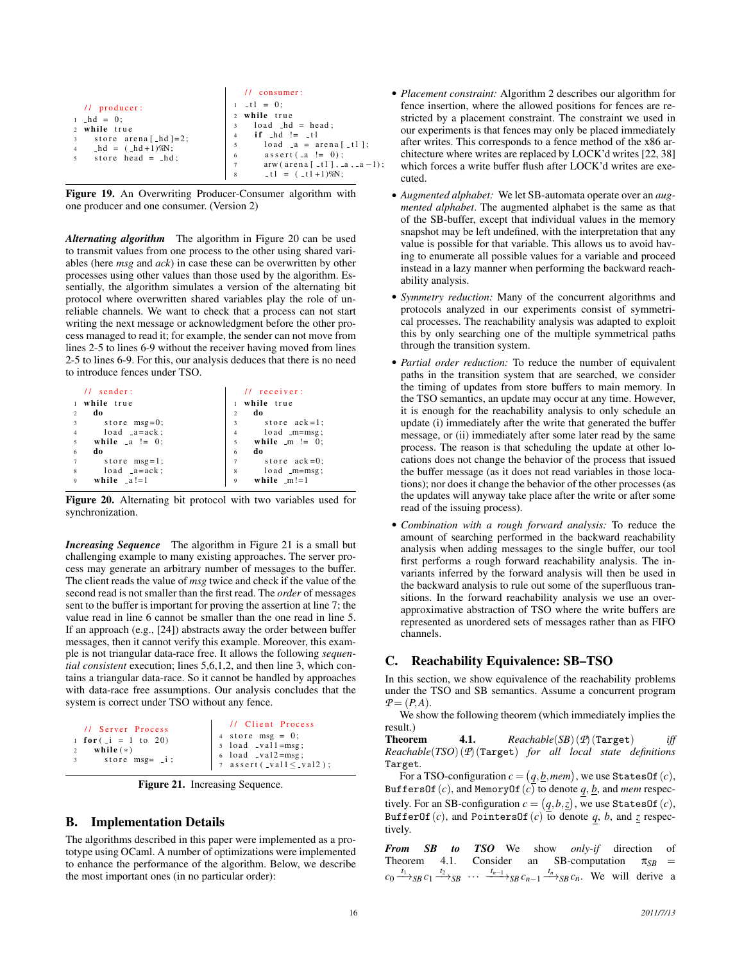|                                                                                                                                                     | $11$ consumer:                                                                                                                                                                                                                                 |
|-----------------------------------------------------------------------------------------------------------------------------------------------------|------------------------------------------------------------------------------------------------------------------------------------------------------------------------------------------------------------------------------------------------|
| $11$ producer:<br>$1$ $-hd = 0$ ;<br>2 while true<br>3 store arena [ $hd$ ]=2;<br>$-hd = (-hd+1)\%N;$<br>$\overline{4}$<br>$5$ store head = $-hd$ ; | $-t1 = 0;$<br>2 while true<br>$3$ load $-hd = head;$<br>$if$ $-hd$ $!=$ $-t1$<br>$\overline{4}$<br>$load \text{ a} = area \text{ } [$<br>5<br>$\text{assert}(\text{a} != 0);$<br>6<br>$arw$ (arena [ _t1 ], _a, _a -1);<br>$-t1 = (-t1+1)\%N;$ |

Figure 19. An Overwriting Producer-Consumer algorithm with one producer and one consumer. (Version 2)

*Alternating algorithm* The algorithm in Figure 20 can be used to transmit values from one process to the other using shared variables (here *msg* and *ack*) in case these can be overwritten by other processes using other values than those used by the algorithm. Essentially, the algorithm simulates a version of the alternating bit protocol where overwritten shared variables play the role of unreliable channels. We want to check that a process can not start writing the next message or acknowledgment before the other process managed to read it; for example, the sender can not move from lines 2-5 to lines 6-9 without the receiver having moved from lines 2-5 to lines 6-9. For this, our analysis deduces that there is no need to introduce fences under TSO.

| $11$ sender:          | $11$ receiver:                    |
|-----------------------|-----------------------------------|
| while true            | while true                        |
| do                    | do                                |
| $\mathfrak{D}$        | $\overline{2}$                    |
| store $msg=0$ ;       | store $ack = 1$ ;                 |
| 3                     | 3                                 |
| $load$ $-a = ack$ ;   | $load$ _m=msg;                    |
| $\overline{4}$        | $\overline{4}$                    |
| $\overline{5}$        | while $\mathbf{m} := 0$ ;         |
| while $\Box a := 0$ ; | 5                                 |
| do                    | do                                |
| 6                     | 6                                 |
| store $msg=1$ ;       | store $ack=0$ ;<br>$\overline{7}$ |
| $load$ $-a = ack$ ;   | $load$ $_m = msg$ :               |
| 8                     | 8                                 |
| while $a!=1$          | while $_m!=1$                     |
| 9                     | $\mathbf{Q}$                      |
|                       |                                   |

Figure 20. Alternating bit protocol with two variables used for synchronization.

*Increasing Sequence* The algorithm in Figure 21 is a small but challenging example to many existing approaches. The server process may generate an arbitrary number of messages to the buffer. The client reads the value of *msg* twice and check if the value of the second read is not smaller than the first read. The *order* of messages sent to the buffer is important for proving the assertion at line 7; the value read in line 6 cannot be smaller than the one read in line 5. If an approach (e.g., [24]) abstracts away the order between buffer messages, then it cannot verify this example. Moreover, this example is not triangular data-race free. It allows the following *sequential consistent* execution; lines 5,6,1,2, and then line 3, which contains a triangular data-race. So it cannot be handled by approaches with data-race free assumptions. Our analysis concludes that the system is correct under TSO without any fence.

| // Server Process<br>1 for $(i = 1 to 20)$<br>while $(*)$<br>$\overline{2}$<br>store $msg = -i$ ;<br>$\overline{\mathbf{3}}$ | // Client Process<br>4 store msg = 0;<br>5 load _val1=msg;<br>6 load _val2=msg;<br>7 assert(_val1 $\le$ _val2); |
|------------------------------------------------------------------------------------------------------------------------------|-----------------------------------------------------------------------------------------------------------------|
|------------------------------------------------------------------------------------------------------------------------------|-----------------------------------------------------------------------------------------------------------------|

Figure 21. Increasing Sequence.

# B. Implementation Details

The algorithms described in this paper were implemented as a prototype using OCaml. A number of optimizations were implemented to enhance the performance of the algorithm. Below, we describe the most important ones (in no particular order):

- *Placement constraint:* Algorithm 2 describes our algorithm for fence insertion, where the allowed positions for fences are restricted by a placement constraint. The constraint we used in our experiments is that fences may only be placed immediately after writes. This corresponds to a fence method of the x86 architecture where writes are replaced by LOCK'd writes [22, 38] which forces a write buffer flush after LOCK'd writes are executed.
- *Augmented alphabet:* We let SB-automata operate over an *augmented alphabet*. The augmented alphabet is the same as that of the SB-buffer, except that individual values in the memory snapshot may be left undefined, with the interpretation that any value is possible for that variable. This allows us to avoid having to enumerate all possible values for a variable and proceed instead in a lazy manner when performing the backward reachability analysis.
- *Symmetry reduction:* Many of the concurrent algorithms and protocols analyzed in our experiments consist of symmetrical processes. The reachability analysis was adapted to exploit this by only searching one of the multiple symmetrical paths through the transition system.
- *Partial order reduction:* To reduce the number of equivalent paths in the transition system that are searched, we consider the timing of updates from store buffers to main memory. In the TSO semantics, an update may occur at any time. However, it is enough for the reachability analysis to only schedule an update (i) immediately after the write that generated the buffer message, or (ii) immediately after some later read by the same process. The reason is that scheduling the update at other locations does not change the behavior of the process that issued the buffer message (as it does not read variables in those locations); nor does it change the behavior of the other processes (as the updates will anyway take place after the write or after some read of the issuing process).
- *Combination with a rough forward analysis:* To reduce the amount of searching performed in the backward reachability analysis when adding messages to the single buffer, our tool first performs a rough forward reachability analysis. The invariants inferred by the forward analysis will then be used in the backward analysis to rule out some of the superfluous transitions. In the forward reachability analysis we use an overapproximative abstraction of TSO where the write buffers are represented as unordered sets of messages rather than as FIFO channels.

## C. Reachability Equivalence: SB–TSO

In this section, we show equivalence of the reachability problems under the TSO and SB semantics. Assume a concurrent program  $P = (P, A)$ .

We show the following theorem (which immediately implies the result.)

Theorem 4.1. *Reachable*(*SB*) (*P*) (Target) *iff Reachable*(*TSO*) (*P*) (Target) *for all local state definitions* Target*.*

For a TSO-configuration  $c = (q, \underline{b}, \textit{mem})$ , we use <code>StatesOf</code>  $(c)$ , BuffersOf(*c*), and MemoryOf(*c*) to denote *q*, *<u>b</u>*, and *mem* respectively. For an SB-configuration  $c = (q, b, \underline{z})$ , we use StatesOf  $(c)$ , BufferOf(*c*), and PointersOf(*c*) to denote  $q$ ,  $b$ , and  $z$  respectively.

**From SB to TSO** We show *only-if* direction of Theorem 4.1. Consider an SB-computation  $\pi_{SB}$  = Consider an SB-computation  $\pi_{SB}$  =  $c_0 \xrightarrow{t_1} s_B c_1 \xrightarrow{t_2} s_B \cdots \xrightarrow{t_{n-1}} s_B c_{n-1} \xrightarrow{t_n} s_B c_n$ . We will derive a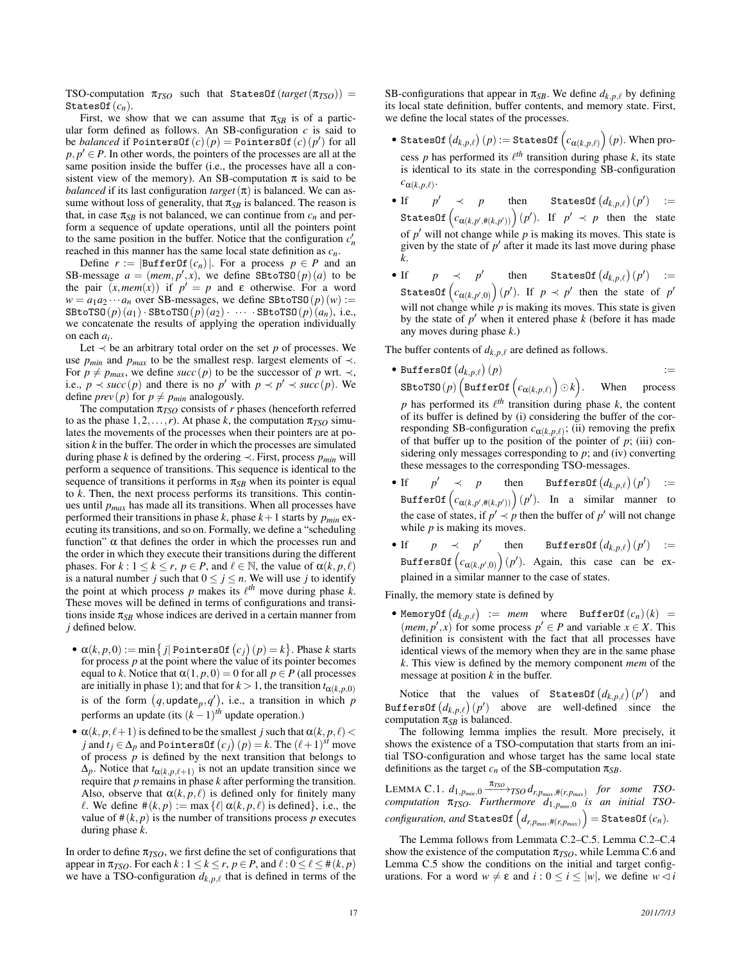TSO-computation  $\pi_{TSO}$  such that StatesOf( $target(\pi_{TSO})$ ) = StatesOf $(c_n)$ .

First, we show that we can assume that  $\pi_{SB}$  is of a particular form defined as follows. An SB-configuration  $c$  is said to be *balanced* if PointersOf  $(c)(p) =$  PointersOf  $(c)(p')$  for all  $p, p' \in P$ . In other words, the pointers of the processes are all at the same position inside the buffer (i.e., the processes have all a consistent view of the memory). An SB-computation  $\pi$  is said to be *balanced* if its last configuration *target*  $(\pi)$  is balanced. We can assume without loss of generality, that  $\pi_{SB}$  is balanced. The reason is that, in case  $\pi_{SB}$  is not balanced, we can continue from  $c_n$  and perform a sequence of update operations, until all the pointers point to the same position in the buffer. Notice that the configuration  $c'_n$ reached in this manner has the same local state definition as *cn*.

Define  $r := |\text{BufferOf}(c_n)|$ . For a process  $p \in P$  and an SB-message  $a = (mem, p', x)$ , we define SBtoTSO( $p$ )( $a$ ) to be the pair  $(x, mem(x))$  if  $p' = p$  and  $\varepsilon$  otherwise. For a word  $w = a_1 a_2 \cdots a_n$  over SB-messages, we define SBtoTSO( $p$ )( $w$ ) :=  $\texttt{SBot}(\mathbf{p})\left(\mathbf{a}_1\right)\cdot \texttt{SBot}(\mathbf{p})\left(\mathbf{a}_2\right)\cdot \cdots \cdot \texttt{SBot}(\mathbf{p})\left(\mathbf{a}_n\right), \text{ i.e.,}$ we concatenate the results of applying the operation individually on each *ai* .

Let  $\prec$  be an arbitrary total order on the set *p* of processes. We use  $p_{min}$  and  $p_{max}$  to be the smallest resp. largest elements of  $\prec$ . For  $p \neq p_{max}$ , we define *succ* (*p*) to be the successor of *p* wrt.  $\prec$ , i.e.,  $p \prec succ(p)$  and there is no  $p'$  with  $p \prec p' \prec succ(p)$ . We define *prev* (*p*) for  $p \neq p_{min}$  analogously.

The computation  $\pi_{TSO}$  consists of *r* phases (henceforth referred to as the phase  $1, 2, \ldots, r$ ). At phase *k*, the computation  $\pi_{TSO}$  simulates the movements of the processes when their pointers are at position *k* in the buffer. The order in which the processes are simulated during phase *k* is defined by the ordering  $\prec$ . First, process  $p_{min}$  will perform a sequence of transitions. This sequence is identical to the sequence of transitions it performs in  $\pi_{SB}$  when its pointer is equal to *k*. Then, the next process performs its transitions. This continues until *pmax* has made all its transitions. When all processes have performed their transitions in phase  $k$ , phase  $k+1$  starts by  $p_{min}$  executing its transitions, and so on. Formally, we define a "scheduling function" α that defines the order in which the processes run and the order in which they execute their transitions during the different phases. For  $k: 1 \leq k \leq r$ ,  $p \in P$ , and  $\ell \in \mathbb{N}$ , the value of  $\alpha(k, p, \ell)$ is a natural number *j* such that  $0 \le j \le n$ . We will use *j* to identify the point at which process  $p$  makes its  $\ell^{th}$  move during phase  $k$ . These moves will be defined in terms of configurations and transitions inside  $\pi_{SB}$  whose indices are derived in a certain manner from *j* defined below.

- $\bullet$   $\alpha(k, p, 0) := \min\left\{j \mid \text{PointsOf}(c_j)(p) = k\right\}.$  Phase *k* starts for process *p* at the point where the value of its pointer becomes equal to *k*. Notice that  $\alpha(1, p, 0) = 0$  for all  $p \in P$  (all processes are initially in phase 1); and that for  $k > 1$ , the transition  $t_{\alpha(k,p,0)}$ is of the form  $(q, \text{update}_p, q')$ , i.e., a transition in which *p* performs an update (its (*k* −1) *th* update operation.)
- $\alpha(k, p, \ell+1)$  is defined to be the smallest *j* such that  $\alpha(k, p, \ell)$  < *j* and *t<sub>j</sub>* ∈  $\Delta_p$  and PointersOf  $(c_j)(p) = k$ . The  $(\ell+1)^{st}$  move of process  $p$  is defined by the next transition that belongs to  $\Delta_p$ . Notice that  $t_{\alpha(k,p,\ell+1)}$  is not an update transition since we require that *p* remains in phase *k* after performing the transition. Also, observe that  $\alpha(k, p, \ell)$  is defined only for finitely many  $\ell$ . We define  $\#(k, p) := \max{\{\ell | \alpha(k, p, \ell) \text{ is defined}}\}, \text{ i.e., the}$ value of  $\#(k, p)$  is the number of transitions process p executes during phase *k*.

In order to define  $\pi_{TSO}$ , we first define the set of configurations that appear in  $\pi_{TSO}$ . For each  $k: 1 \leq k \leq r$ ,  $p \in P$ , and  $\ell: 0 \leq \ell \leq \#(k, p)$ we have a TSO-configuration  $d_{k,p,\ell}$  that is defined in terms of the

SB-configurations that appear in  $\pi_{SB}$ . We define  $d_{k,p,\ell}$  by defining its local state definition, buffer contents, and memory state. First, we define the local states of the processes.

- $\bullet \ \text{\texttt{StatesOf}}\left(d_{k,p,\ell}\right)(p) := \text{\texttt{StatesOf}}\left(c_{\alpha(k,p,\ell)}\right)(p).$  When process *p* has performed its  $\ell^{th}$  transition during phase *k*, its state is identical to its state in the corresponding SB-configuration  $c_{\alpha(k,p,\ell)}$ .
- If  $p' \prec p$  $\left\{ \begin{array}{ccc} \prec & p & \text{then} & \text{StatesOf}\left(d_{k,p,\ell}\right)(p') & \text{:=} \end{array} \right.$ StatesOf  $\left(c_{\alpha(k,p',\#(k,p'))}\right)(p')$ . If  $p' \prec p$  then the state of  $p'$  will not change while  $p$  is making its moves. This state is given by the state of  $p'$  after it made its last move during phase *k*.
- If  $p \prec p'$  then StatesOf  $(d_{k,p,\ell})(p') :=$ StatesOf  $\left(c_{\alpha(k,p',0)}\right)(p')$ . If  $p \prec p'$  then the state of  $p'$ will not change while  $p$  is making its moves. This state is given by the state of  $p'$  when it entered phase  $k$  (before it has made any moves during phase *k*.)

The buffer contents of  $d_{k,p,\ell}$  are defined as follows.

 $\bullet$  BuffersOf $\big(d_{k,p,\ell}\big)$  $(p)$  :=  $\texttt{SBroTSO}(p) \left( \texttt{BufferOf}\left( c_{\bm{\alpha}(k, p, \ell)} \right) \odot k \right)$ When process

*p* has performed its  $\ell^{th}$  transition during phase *k*, the content of its buffer is defined by (i) considering the buffer of the corresponding SB-configuration  $c_{\alpha(k,p,\ell)}$ ; (ii) removing the prefix of that buffer up to the position of the pointer of  $p$ ; (iii) considering only messages corresponding to *p*; and (iv) converting these messages to the corresponding TSO-messages.

- If  $p'$  $\left\langle \begin{array}{cccc} p & \text{then} & \text{BuffersOf}\left(d_{k,p,\ell}\right)(p') & \text{if} \end{array} \right\rangle$ BufferOf $\left(c_{\alpha(k, p^{\prime}, \#(k, p^{\prime}) )}\right)(p^{\prime})$ . In a similar manner to the case of states, if  $p' \prec p$  then the buffer of  $p'$  will not change while *p* is making its moves.
- If  $p \prec p'$  $\text{buffer} \qquad \text{BuffersOf} \left( d_{k,p,\ell} \right) (p') \quad :=$ BuffersOf $\left(c_{\alpha(k,p',0)}\right)(p').$  Again, this case can be explained in a similar manner to the case of states.

Finally, the memory state is defined by

• MemoryOf  $(d_{k,p,\ell})$  := *mem* where BufferOf $(c_n)(k)$  = (*mem*,  $p'$ , *x*) for some process  $p' \in P$  and variable  $x \in X$ . This definition is consistent with the fact that all processes have identical views of the memory when they are in the same phase *k*. This view is defined by the memory component *mem* of the message at position *k* in the buffer.

Notice that the values of StatesOf  $(d_{k,p,\ell})$   $(p'$ ) and  $\text{BuffersOf} (d_{k,p,\ell})(p')$  above are well-defined since the computation  $\pi_{SB}$  is balanced.

The following lemma implies the result. More precisely, it shows the existence of a TSO-computation that starts from an initial TSO-configuration and whose target has the same local state definitions as the target  $c_n$  of the SB-computation  $\pi_{SB}$ .

 $\text{LEMMA C.1. } d_{1,p_{min},0} \xrightarrow{\pi_{TSO}} \text{TSO} \cdot d_{r,p_{max},\#(r,p_{max})}$  for some TSO*computation* π*TSO. Furthermore d*1,*pmin*,<sup>0</sup> *is an initial TSO-* $\hat{f}_{r, p_{max}, \#(r, p_{max})} \Big) = \texttt{StatesOf}\left(c_{n}\right).$ 

The Lemma follows from Lemmata C.2–C.5. Lemma C.2–C.4 show the existence of the computation  $\pi_{TSO}$ , while Lemma C.6 and Lemma C.5 show the conditions on the initial and target configurations. For a word *w* ≠ ε and *i* : 0 ≤ *i* ≤ |*w*|, we define *w*  $\lhd$  *i*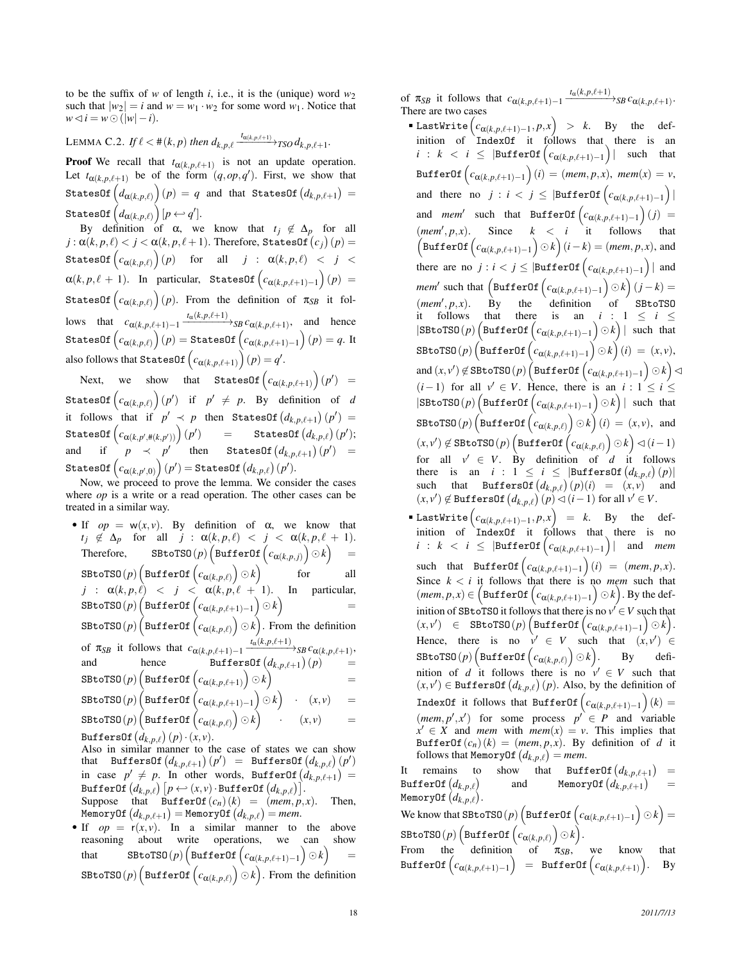to be the suffix of *w* of length *i*, i.e., it is the (unique) word  $w_2$ such that  $|w_2| = i$  and  $w = w_1 \cdot w_2$  for some word  $w_1$ . Notice that  $w \triangleleft i = w \odot (|w| - i).$ 

 $\sum_{i=1}^{n}$  LEMMA C.2. *If*  $\ell < \#(k, p)$  then  $d_{k, p, \ell} \xrightarrow{t_{\alpha(k, p, \ell+1)}} TSO \, d_{k, p, \ell+1}$ .

**Proof** We recall that  $t_{\alpha(k,p,\ell+1)}$  is not an update operation. Let  $t_{\alpha(k,p,\ell+1)}$  be of the form  $(q, op, q')$ . First, we show that  $\text{\texttt{StatesOf}}\left(d_{\boldsymbol{\alpha}(k, p, \ell)}\right)(p) \,=\, q$  and that  $\text{\texttt{StatesOf}}\left(d_{k, p, \ell+1}\right) \,=\, 0$  $\texttt{StatesOf}\left(d_{\boldsymbol{\alpha}(k, p, \ell)}\right)[p \leftarrow q'].$ 

By definition of  $\alpha$ , we know that  $t_j \notin \Delta_p$  for all  $j$  :  $\alpha(k,p,\ell) < j < \alpha(k,p,\ell+1).$  Therefore, StatesOf  $\left(c_{j}\right)\left(p\right) = 0$  $\texttt{StatesOf}\left(c_{\alpha(k,p,\ell)}\right)(p) \quad \text{ for } \quad \text{all} \quad j \; : \; \alpha(k,p,\ell) \; < \; j \; < \;$  $\alpha(k, p, \ell + 1)$ . In particular, StatesOf  $\left(c_{\alpha(k, p, \ell+1)-1}\right)(p) =$ StatesOf  $\left(c_{\alpha(k, p, \ell)}\right)(p)$ . From the definition of  $\pi_{SB}$  it follows that  $c_{\alpha(k,p,\ell+1)-1}$   $\xrightarrow{t_{\alpha}(k,p,\ell+1)}$  *sB*  $c_{\alpha(k,p,\ell+1)}$ , and hence  $\mathsf{StatesOf}\left(c_{\alpha(k,p,\ell)}\right)(p) = \mathsf{StatesOf}\left(c_{\alpha(k,p,\ell+1)-1}\right)(p) = q.$  It also follows that StatesOf  $\left(c_{\alpha(k,p,\ell+1)}\right)(p) = q'.$ 

Next, we show that StatesOf  $\left(c_{\alpha(k,p,\ell+1)}\right)(p') =$  $\textsf{StatesOf}\left(c_{\alpha(k,p,\ell)}\right)(p') \ \ \text{ if } \ \ p' \ \neq \ p . \ \ \textsf{By} \ \ \text{definition of} \ \ d$ it follows that if  $p' \prec p$  then StatesOf  $(d_{k,p,\ell+1})(p') =$  $\text{\texttt{StatesOf}}\left(c_{\alpha(k, p^{\prime}, \#(k, p^{\prime}))}\right)(p^{\prime})$  $)$  = StatesOf  $\left( d_{k,p,\ell} \right) (p^{\prime});$ and if  $p \prec p'$  then StatesOf  $(d_{k,p,\ell+1})(p') =$  $\mathsf{StatesOf}\left(c_{\alpha(k, p', 0)}\right)(p') = \mathsf{StatesOf}\left(d_{k, p, \ell}\right)(p').$ 

Now, we proceed to prove the lemma. We consider the cases where *op* is a write or a read operation. The other cases can be treated in a similar way.

• If  $op = w(x, v)$ . By definition of  $\alpha$ , we know that  $t_j \notin \Delta_p$  for all  $j : \alpha(k, p, \ell) < j < \alpha(k, p, \ell + 1)$ .  $\text{Therefore, } \qquad \texttt{SBroTSO}(p) \left( \texttt{BufferOf} \left( c_{\alpha(k,p,j)} \right) \odot k \right)$ =  $\texttt{SBroTSO}(p) \left( \texttt{BufferOf}\left( c_{\bm{\alpha}(k, p, \ell)} \right) \odot k \right)$ all  $j$  :  $\alpha(k, p, \ell)$  <  $j$  <  $\alpha(k, p, \ell + 1)$ . In particular,  $\texttt{S}\texttt{B}\texttt{to}\texttt{TSO}(p) \left( \texttt{BufferOf}\left( c_{\bm{\alpha}(k, p, \ell+1) - 1} \right) \odot k \right)$ =  $\texttt{SBot}(\rho) \left( \texttt{BufferOf}\left( c_{\alpha(k, \rho, \ell)} \right) \odot k \right)$ . From the definition of  $\pi_{SB}$  it follows that  $c_{\alpha(k,p,\ell+1)-1} \xrightarrow{t_{\alpha}(k,p,\ell+1)} SB \, c_{\alpha(k,p,\ell+1)},$ and hence BuffersOf  $(d_{k,p,\ell+1})(p)$  =  $\texttt{S}\texttt{B}\texttt{to}\texttt{TSO}(p) \Big(\texttt{BufferOf}\left(c_{\pmb{\alpha}(k,p,\ell+1)}\right) \odot k\Big)$ =  $\texttt{S}\texttt{B}\texttt{toT}\texttt{S0}\left(p\right) \Big(\texttt{BufferOf}\left(c_{\alpha(k,p,\ell+1)-1}\right) \odot k\Big) \quad \text{.} \quad (x,v) \quad \quad \textit{=}$  $\texttt{SEtoTSO}(p)\left(\texttt{BufferOf}\left(c_{\bm{\alpha}(k, p, \ell)}\right) \odot k\right)$  $(x, y)$  $\texttt{BufferSOf}\left(d_{k,p,\ell}\right)(p)\cdot(x,v).$ Also in similar manner to the case of states we can show

 ${\rm that} \quad {\tt BuffersOf} \left( {d_{k,p,\ell + 1}} \right)(p') \;\; = \;\; {\tt BuffersOf} \left( {d_{k,p,\ell} } \right)(p')$ in case  $p' \neq p$ . In other words, BufferOf  $(d_{k,p,\ell+1})$  =  $\texttt{BufferOf}\left(d_{k,p,\ell}\right)\left[p \leftarrow (x,v)\cdot\texttt{BufferOf}\left(d_{k,p,\ell}\right)\right].$ Suppose that BufferOf $(c_n)(k) = (mem, p, x)$ . Then,

 $\texttt{MemoryOf}\left(d_{k, p, \ell+1}\right) = \texttt{MemoryOf}\left(d_{k, p, \ell}\right) = \textit{mem}.$ • If  $op = r(x, y)$ . In a similar manner to the above reasoning about write operations, we can show reasoning about write operations, we can that SBtoTSO(*p*)  $\left($ BufferOf $\left(c_{\alpha(k,p,\ell+1)-1}\right) \odot k\right)$ =  $\texttt{SBot}(\rho) \left( \texttt{BufferOf}\left( c_{\alpha(k, \rho, \ell)} \right) \odot k \right)$ . From the definition of  $\pi_{SB}$  it follows that  $c_{\alpha(k,p,\ell+1)-1}$   $\xrightarrow{t_{\alpha}(k,p,\ell+1)}{}_{SB}c_{\alpha(k,p,\ell+1)}$ . There are two cases

- $\textsf{LastWrite}\left(c_{\alpha(k, p, \ell+1)-1}, p, x\right)$  > *k*. By the definition of IndexOf it follows that there is an *i* : *k* < *i* ≤  $|\text{BufferOf}(\textit{c}_{\alpha(k,p,\ell+1)-1})|$  such that  $\texttt{BufferOf}\left(c_{\alpha(k, p, \ell+1)-1}\right)(i) = (\textit{mem}, p, \textit{x}), \ \textit{mem}(\textit{x}) = \textit{v},$ and there no  $j : i < j \leq |\text{BufferOf}\left(c_{\alpha(k,p,\ell+1)-1}\right)|$ and *mem*<sup>'</sup> such that BufferOf  $\left(c_{\alpha(k,p,\ell+1)-1}\right)(j)$  =  $(mem', p, x)$ . Since  $k < i$  it follows that  $\left(\texttt{BufferOf}\left(c_{\alpha(k, p, \ell+1)-1}\right) \odot k\right) (i-k) = (mem, p, x),$  and there are no  $j : i < j \leq |\texttt{BufferOf}\left(c_{\alpha(k, p, \ell+1)-1}\right)|$  and  $\mathit{mem'}$  such that  $\left(\mathtt{BufferOf}\left(c_{\alpha(k, p, \ell+1)-1}\right) \odot k\right) (j-k) =$  $(mem', p, x)$ . By the definition of SBtoTSO it follows that there is an  $i : 1 \le i \le$  $|\texttt{SBot}(\mathit{p})\left(\texttt{BufferOf}\left(c_{\alpha(k,\mathit{p},\ell+1)-1}\right)\odot k\right)|$  such that  $\texttt{S}\texttt{B}\texttt{toT}\texttt{S0}\left(p\right) \left(\texttt{BufferOf}\left(c_{\alpha(k,p,\ell+1)-1}\right) \odot k\right)(i) \ = \ (x,v),$  $\texttt{and} \left( x, v' \right) \not\in \texttt{SBroTSO}\left( p \right) \left( \texttt{BufferOf} \left( c_{\alpha(k, p, \ell+1) - 1} \right) \odot k \right) \lhd$  $(i-1)$  for all  $v' \in V$ . Hence, there is an  $i : 1 \le i \le$  $|\texttt{SBot} \texttt{OSO}(p) \left( \texttt{BufferOf}\left( c_{\alpha(k,p,\ell+1)-1} \right) \odot k \right)| \text{ such that }$  $\texttt{SBotOSO}(p) \left( \texttt{BufferOf}\left( c_{\alpha(k,p,\ell)} \right) \odot k \right) (i) \, = \, (x,v),$  and  $(x,v')\not\in \texttt{SBroTSO}\left(p\right)\left(\texttt{BufferOf}\left(c_{\alpha(k,p,\ell)}\right)\odot k\right) \lhd (i-1)$ for all  $v' \in V$ . By definition of *d* it follows there is an *i* :  $1 \leq i \leq |\text{BufferSOf}(d_{k,p,\ell})(p)|$ such that BuffersOf $(d_{k,p,\ell})(p)(i) = (x,v)$  and  $(x, v') \notin \text{BuffersOf} (d_{k, p, \ell}) (p) \lhd (i-1) \text{ for all } v' \in V.$
- $\textsf{LastWrite}\left(c_{\alpha(k, p, \ell+1)-1}, p, x\right)$  = *k*. By the definition of IndexOf it follows that there is no *i* : *k* < *i* ≤  $|\texttt{BufferOf}\left(c_{\alpha(k,p,\ell+1)-1}\right)|$  and *mem* such that BufferOf  $(c_{\alpha(k,p,\ell+1)-1})(i) = (mem, p, x)$ . Since  $k < i$  it follows that there is no *mem* such that  $(\textit{mem}, p, x) \in \left( \texttt{BufferOf}\left( c_{\alpha(k, p, \ell+1)-1} \right) \odot k \right)$ . By the definition of SBtoTSO it follows that there is no  $v' \in V$  such that  $(x,v') \in \texttt{SBroTSO}(p) \Big(\texttt{BufferOf}\left(c_{\alpha(k,p,\ell+1)-1}\right) \odot k\Big).$ Hence, there is no  $v' \in V$  such that  $(x, v') \in$  $\texttt{S}\texttt{B}\texttt{to}\texttt{TSO}(p) \Big(\texttt{BufferOf}\left(c_{\alpha(k,p,\ell)}\right) \odot k\Big). \qquad \texttt{By} \qquad \text{defi-}$ nition of *d* it follows there is no  $v' \in V$  such that  $(x, v') \in \text{BuffersOf}(d_{k, p, \ell})(p)$ . Also, by the definition of  $\texttt{IndexOf} \text{ it follows that } \texttt{BufferOf}\left(c_{\alpha(k,p,\ell+1)-1}\right)(k)=$  $(mem, p', x')$  for some process  $p' \in P$  and variable  $x' \in X$  and *mem* with *mem*(*x*) = *v*. This implies that BufferOf( $c_n$ )( $k$ ) = (*mem*,  $p, x$ ). By definition of *d* it follows that MemoryOf  $(d_{k,p,\ell}) =$  *mem*.

It remains to show that BufferOf  $(d_{k,p,\ell+1})$ =  $\texttt{BufferOf}\left(d_{k,p,\ell}\right)$ and MemoryOf  $(d_{k,p,\ell+1})$ = MemoryOf $(d_{k,p,\ell}).$  $\mathsf{We}$  know that  $\mathtt{SEt}$ oTSO $(p)\left(\mathtt{BufferOf}\left(c_{\alpha(k,p,\ell+1)-1}\right) \odot k\right) = 0$  $\texttt{SBroTSO}(p)\left(\texttt{BufferOf}\left(c_{\bm{\alpha}(k, p, \ell)}\right) \odot k\right)$ . From the definition of  $\pi_{SB}$ , we know that

 $\texttt{BufferOf}\left(c_{\alpha(k, p, \ell+1)-1}\right)$  =  $\texttt{BufferOf}\left(c_{\alpha(k, p, \ell+1)}\right)$ . By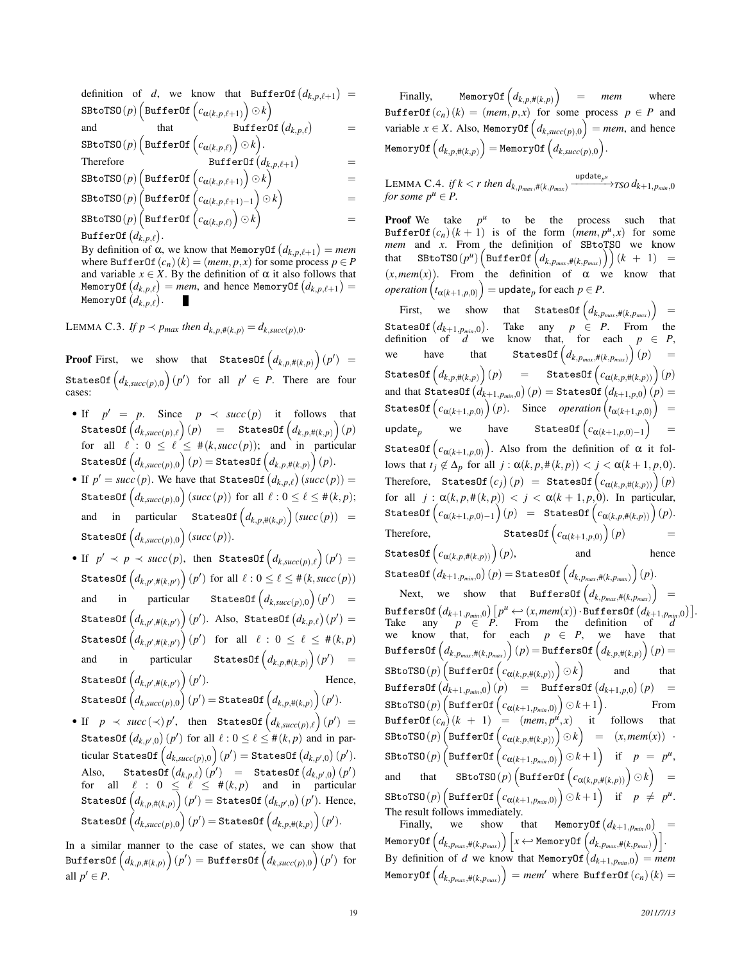definition of *d*, we know that BufferOf  $(d_{k,p,\ell+1})$  =  $\texttt{SEtoTSO}(p)\left(\texttt{BufferOf}\left(c_{\bm{\alpha}(k, p, \ell+1)}\right) \odot k\right)$ and that BufferOf  $(d_{k,p,\ell})$ =  $\texttt{SEtoTSO}(p)\left(\texttt{BufferOf}\left(c_{\bm{\alpha}(k, p, \ell)}\right) \odot k\right)$ . Therefore BufferOf  $\left(d_{k,p,\ell+1}\right)$ =  $\texttt{SEtoTSO}(p)\left(\texttt{BufferOf}\left(c_{\bm{\alpha}(k, p, \ell+1)}\right) \odot k\right)$ =  $\texttt{S}\texttt{B}\texttt{to}\texttt{TSO}(p) \left( \texttt{BufferOf}\left( c_{\pmb{\alpha}(k, p, \ell+1) - 1} \right) \odot k \right)$ =  $\texttt{SEtoTSO}(p)\left(\texttt{BufferOf}\left(c_{\bm{\alpha}(k, p, \ell)}\right) \odot k\right)$ =  $\texttt{BufferOf}\left(d_{k,p,\ell}\right).$ 

By definition of  $\alpha$ , we know that MemoryOf  $(d_{k,p,\ell+1}) = mem$ where BufferOf $(c_n)(k) = (mem, p, x)$  for some process  $p \in P$ and variable  $x \in X$ . By the definition of  $\alpha$  it also follows that  $\mathsf{MemoryOf}\left(d_{k, p, \ell}\right) = \textit{mem}, \text{ and hence } \mathsf{MemoryOf}\left(d_{k, p, \ell+1}\right) = \emptyset$ MemoryOf $\big(d_{k,p,\ell}\big).$ 

LEMMA C.3. *If*  $p \prec p_{max}$  *then*  $d_{k,p,\#(k,p)} = d_{k,succ}(p)$ ,0.

**Proof** First, we show that  $\texttt{StatesOf}\left(d_{k,p,\#(k,p)}\right)(p') =$  $\texttt{StatesOf}\left(d_{k,succ(p),0}\right)(p')\;\;\text{for\;\;all}\;\;p'\,\in\,P. \;\;\text{There\;\;are\;\;four}$ cases:

- If  $p' = p$ . Since  $p \prec succ(p)$  it follows that  $\texttt{StatesOf}\left(d_{k,\textit{succ}(p),\ell}\right)(p)$  =  $\texttt{StatesOf}\left(d_{k,p,\#(k,p)}\right)(p)$ for all  $\ell : 0 \leq \ell \leq \ell \leq \ell$  (*k*, *succ* (*p*)); and in particular  $\text{\texttt{StatesOf}}\left(d_{k,\text{\textit{succ}}(p),0}\right)(p)=\text{\texttt{StatesOf}}\left(d_{k,p,\text{\textit{H}}(k,p)}\right)(p).$
- If  $p' = succ(p)$ . We have that StatesOf  $(d_{k,p,\ell})(succ(p)) =$  $\texttt{StatesOf}\left(d_{k,succ(p),0}\right)(succ(p)) \text{ for all } \ell: 0 \leq \ell \leq \#(k,p);$ and in particular StatesOf  $\left(d_{k,p,\#(k,p)}\right)(succ(p)) =$  $\texttt{StatesOf}\left(d_{k,succ(p),0}\right)(succ(p)).$
- If  $p' \prec p \prec succ(p)$ , then StatesOf  $(d_{k, succ(p), \ell})(p') =$  $\texttt{StatesOf}\left(d_{k,p';\#(k,p')}\right)(p') \text{ for all } \ell: 0 \leq \ell \leq \#(k,\textit{succ}(p))$ and in particular StatesOf $\left( d_{k,succ(p),0} \right) (p')$  =  $\textsf{StatesOf}\left(d_{k,p',\#(k,p')}\right)(p'). \ \ \textsf{Also}, \ \ \textsf{StatesOf}\left(d_{k,p,\ell}\right)(p')=0$  $\texttt{StatesOf}\left(d_{k,p';\#(k,p')}\right)(p') \;\;\text{ for }\;\; \text{all} \;\;\ell \,:\, 0 \,\leq \,\ell \,\leq \,\#(k,p)$ and in particular StatesOf $\left( d_{k,p,\#(k,p)} \right)(p')$  =  $\text{\texttt{StatesOf}}\left(d_{k, p', \#(k, p')}\right)(p')$ Hence.  $\mathsf{StatesOf}\left(d_{k,succ(p),0}\right)(p') = \mathsf{StatesOf}\left(d_{k,p,\#(k,p)}\right)(p').$
- If  $p \prec succ(\prec) p'$ , then StatesOf  $(d_{k,succ(p),\ell})(p') =$ StatesOf  $\big(d_{k,p',0}\big)\big(p'\big)$  for all  $\ell: 0 \leq \ell \leq \#(k,p)$  and in par- $\text{ticular StatesOf}\left(d_{k,\textit{succ}(p),0}\right)(p') = \texttt{StatesOf}\left(d_{k,p',0}\right)(p').$  $\text{Also, } \quad \text{StatesOf}\left(d_{k,p,\ell}\right)(p') \quad = \quad \text{StatesOf}\left(d_{k,p',0}\right)(p')$ for all  $\ell : 0 \leq \ell \leq \ell \leq \ell$  and in particular  $\mathsf{StatesOf}\left(d_{k,p,\#(k,p)}\right)(p') = \mathsf{StatesOf}\left(d_{k,p',0}\right)(p').$  Hence,  $\mathsf{StatesOf}\left(d_{k,succ(p),0}\right)(p') = \mathsf{StatesOf}\left(d_{k,p,\#(k,p)}\right)(p').$

In a similar manner to the case of states, we can show that  $\texttt{BuffersOf}\left(d_{k,p,\#(k,p)}\right)(p') = \texttt{BuffersOf}\left(d_{k,succ(p),0}\right)(p') \text{ for }$ all  $p' \in P$ .

Finally, MemoryOf  $(d_{k,p,\#(k,p)})$  = *mem* where BufferOf( $c_n$ )( $k$ ) = (*mem*,  $p, x$ ) for some process  $p \in P$  and variable  $x \in X$ . Also, MemoryOf  $\left( d_{k, succ(p),0} \right) = mem$ , and hence  $\texttt{MemoryOf}\left(d_{k, p, \#(k, p)}\right) = \texttt{MemoryOf}\left(d_{k, succ(p), 0}\right).$ 

 $\text{LEMMA C.4. if } k < r \text{ then } d_{k,p_{max},\#(k,p_{max})} \xrightarrow{\text{update}_{p^{\mu}}} \text{TSO } d_{k+1,p_{min},0}$ *for some*  $p^u \in P$ .

**Proof** We take  $p^u$  to be the process such that BufferOf( $c_n$ ) ( $k + 1$ ) is of the form (*mem*,  $p^u$ , *x*) for some *mem* and *x*. From the definition of SBtoTSO we know  ${\rm that}$  SBtoTSO( $p^u$ ) $\Bigl( {\tt BufferOf} \left(d_{k,p_{max},\#(k,p_{max})}\right)\Bigr)(k + 1) =$  $(x, mem(x))$ . From the definition of  $\alpha$  we know that  $\mathit{operation}\left(t_{\alpha(k+1,p,0)}\right)=\mathsf{update}_p \text{ for each }p\in P.$ 

First, we show that StatesOf  $(d_{k,p_{max},\#(k,p_{max})})$ =  $\text{\texttt{StatesOf}}\left(d_{k+1,p_{\textit{min}},0}\right)$ Take any  $p \in P$ . From the definition of *d* we know that, for each  $p \in P$ ,<br>we have that StatesOf  $(d_{h,n} + (h,n))$  (*n*) = we have that StatesOf  $(d_{k,p_{max},\#(k,p_{max})})(p)$  =  $\text{\texttt{StatesOf}}\left(d_{k,p,\#(k,p)}\right)$  $\left( p \right)$  = StatesOf  $\left( c_{\alpha(k,p,\#(k,p))} \right) (p)$ and that StatesOf  $\left( d_{k+1,p_{min},0} \right)(p) = \texttt{StatesOf} \left( d_{k+1,p,0} \right)(p) =$  $\textsf{StatesOf}\left(c_{\alpha(k+1,p,0)}\right)(p).$  Since *operation*  $\left(t_{\alpha(k+1,p,0)}\right)$  =  $\textsf{update}_p$  we have StatesOf $\Big( c_{\alpha(k+1,p,0)-1} \Big)$ = StatesOf  $\left(c_{\alpha(k+1, p, 0)}\right)$ . Also from the definition of  $\alpha$  it follows that  $t_j \notin \Delta_p$  for all  $j : \alpha(k, p, \#(k, p)) < j < \alpha(k + 1, p, 0)$ .  $\text{Therefore, } \text{ StatesOf}\left(c_{j}\right)(p) = \text{ StatesOf}\left(c_{\alpha(k,p,\#(k,p))}\right)(p)$ for all  $j : \alpha(k, p, \#(k, p)) < j < \alpha(k + 1, p, 0)$ . In particular,  $\texttt{StatesOf}\left(c_{\alpha(k+1,p,0)-1}\right)(p)$  =  $\texttt{StatesOf}\left(c_{\alpha(k,p,\#(k,p))}\right)(p).$ Therefore,  $\texttt{StatesOf}\left(c_{\alpha(k+1,p,0)}\right)(p)$  =  $\texttt{StatesOf}\left(c_{\alpha(k,p,\#(k,p))}\right)$ (*p*), and hence  $\mathsf{StatesOf}\left(d_{k+1,p_{min},0}\right)(p) = \mathsf{StatesOf}\left(d_{k,p_{max},\#(k,p_{max})}\right)(p).$ Next, we show that BuffersOf $\left(d_{k,p_{max},\#(k,p_{max})}\right)$  =  $\text{BufferSOf } \left(d_{k+1,p_{min},0}\right) \left[p^u \longleftrightarrow (x, \textit{mem}(x)) \cdot \text{BufferSOf } \left(d_{k+1,p_{min},0}\right)\right].$ Take any  $p \in P$ . From the definition of *d* we know that, for each  $p \in P$ , we have that  $\texttt{BufferSOf}\left(d_{k,p_{max},\#(k,p_{max})}\right)(p)\!=\!\texttt{BufferSOf}\left(d_{k,p,\#(k,p)}\right)(p)\!=\!\texttt{BufferSOf}\left(d_{k,p,\#(k,p)}\right)(p)\!=\!\texttt{BufferSOf}\left(d_{k,p,\#(k,p)}\right)(p)\!=\!\texttt{BufferSOf}\left(d_{k,p,\#(k,p)}\right)(p)\!=\!\texttt{BufferSOf}\left(d_{k,p,\#(k,p)}\right)(p)\!=\!\texttt{BufferSOf}\left(d_{k,p,\#(k,p)}\right)(p)\!=\!\texttt{LeftSOf}\left(d_{k,p,\#(k,p)}\right)(p)\!=\!\texttt{RightSOf$  $\texttt{SBroTSO}(p) \left( \texttt{BufferOf}\left( c_{\bm{\alpha}(k, p, \#(k, p))} \right) \odot k \right)$ and that  $\texttt{BuffersOf}\left(d_{k+1,p_{min},0}\right)(p)$  =  $\texttt{BuffersOf}\left(d_{k+1,p,0}\right)(p)$  =  $\texttt{S}\texttt{B}\texttt{to}\texttt{TSO}(p)\left(\texttt{BufferOf}\left(c_{\alpha(k+1,p_{min},0)}\right) \odot k+1\right)$ . From  $\text{BufferOf}(c_n)(k + 1) = (mem, p^u, x) \text{ it follows that}$  $\texttt{SBotTSO}(p) \left( \texttt{BufferOf} \left( c_{\alpha(k,p,\#(k,p))} \right) \odot k \right) \hspace{2mm} = \hspace{2mm} (x, \textit{mem}(x)) \hspace{2mm} \cdot$  $\texttt{SBroTSO}(p) \left( \texttt{BufferOf}\left( c_{\alpha(k+1, p_{min}, 0)} \right) \odot k + 1 \right) \quad \text{if} \quad p = p^u,$ and that  $\texttt{SBtoTSO}(p) \left( \texttt{BufferOf} \left( c_{\alpha(k,p,\#(k,p))} \right) \odot k \right) =$  $\texttt{SBroTSO}(p) \left( \texttt{BufferOf}\left( c_{\alpha(k+1, p_{min}, 0)} \right) \odot k + 1 \right) \quad \text{if} \quad p ~\neq~ p^u.$ The result follows immediately. Finally, we show that MemoryOf  $(d_{k+1,p_{min},0})$  =

 $\mathsf{MemoryOf}\left(d_{k, p_{max}, \#(k, p_{max})}\right)\left[x \longleftrightarrow \mathsf{MemoryOf}\left(d_{k, p_{max}, \#(k, p_{max})}\right)\right].$ By definition of *d* we know that MemoryOf  $(d_{k+1,p_{min},0}) = mem$  $\mathsf{MemoryOf}\left(d_{k, p_{max}, \#(k, p_{max})}\right) = mem'$  where  $\mathtt{BufferOf}\left(c_{n}\right)(k) = 0$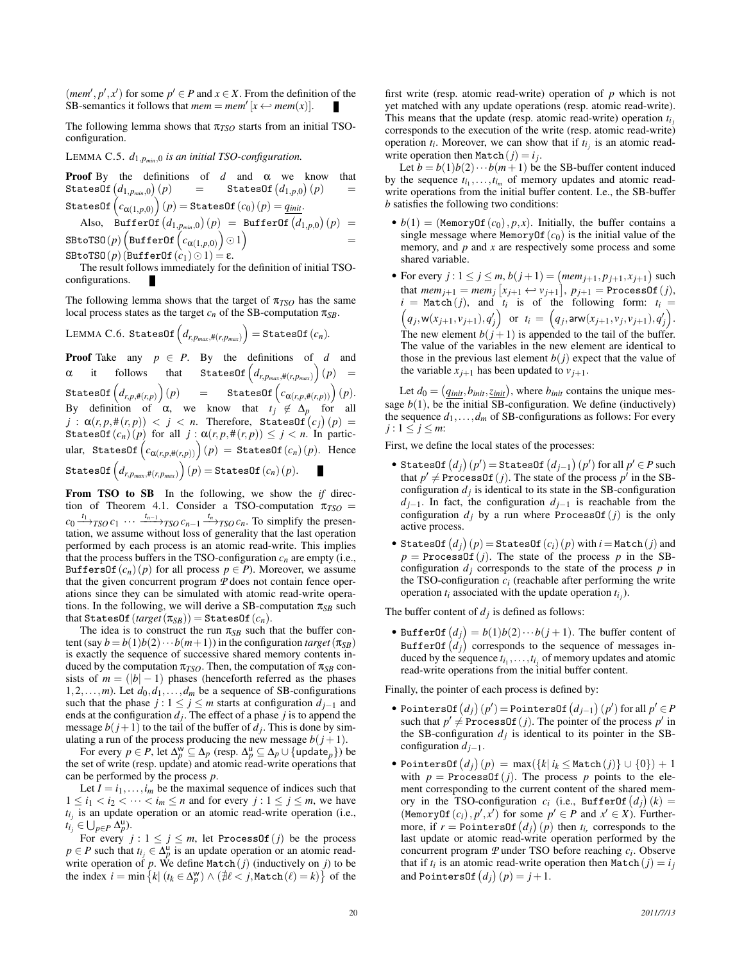(*mem'*, *p'*, *x'*) for some  $p' \in P$  and  $x \in X$ . From the definition of the SB-semantics it follows that  $mem = mem'[x \leftrightarrow mem(x)].$ 

The following lemma shows that  $\pi_{TSO}$  starts from an initial TSOconfiguration.

LEMMA C.5. *d*1,*pmin*,<sup>0</sup> *is an initial TSO-configuration.*

**Proof** By the definitions of  $d$  and  $\alpha$  we know that StatesOf *d*1,*pmin*,<sup>0</sup>  $(p)$  = StatesOf  $(d_{1,p,0})(p)$  =  $\texttt{StatesOf}\left(c_{\bm{\alpha}(1,p,0)}\right)(p)\hspace{-0.5mm}=\hspace{-0.5mm}\texttt{StatesOf}\left(c_{0}\right)(p)\hspace{-0.5mm}=\hspace{-0.5mm}\underline{q_{\textit{init}}}.$ 

 $\text{Also, } \text{BufferOf}\left(d_{1,p_{min},0}\right)(p) = \text{BufferOf}\left(d_{1,p,0}\right)(p) =$  $\texttt{SBot}(\rho) \left( \texttt{BufferOf}\left( c_{\pmb{\alpha}(1, p, 0)} \right) \odot 1 \right)$ 

SBtoTSO(p)( $\text{BufferOf}(c_1) \odot 1$ ) = ε.

The result follows immediately for the definition of initial TSOconfigurations.

The following lemma shows that the target of  $\pi_{TSO}$  has the same local process states as the target  $c_n$  of the SB-computation  $\pi_{SB}$ .

 $\text{LEMMA C.6. StatesOf}\left(d_{r,p_{max},\#(r,p_{max})}\right) = \text{StatesOf}(c_n).$ 

**Proof** Take any  $p \in P$ . By the definitions of *d* and  $\alpha$  it follows that StatesOf  $(d_{r,p_{max},\#(r,p_{max})})(p)$  =  $\texttt{StatesOf}\left(d_{r,p,\#(r,p)}\right)(p) \quad \quad \texttt{=}\quad \quad \texttt{StatesOf}\left(c_{\alpha(r,p,\#(r,p))}\right)(p).$ By definition of  $\alpha$ , we know that  $t_j \notin \Delta_p$  for all  $j$  :  $\alpha(r, p, \#(r, p)) \, < \, j \, < \, n.$  Therefore, StatesOf $\big( c_j \big) \, (p) \, = \, 0$ StatesOf( $c_n$ ) (*p*) for all  $j : \alpha(r, p, \#(r, p)) \leq j < n$ . In partic- $\text{ular, } \text{ StatesOf}\left(c_{\alpha(r,p,\#(r,p))}\right)(p) = \text{StatesOf}(c_n)(p). \text{ Hence}$  $\mathsf{StatesOf}\left(d_{r,p_{max},\#(r,p_{max})}\right)(p) = \mathsf{StatesOf}\left(c_n\right)(p).$ 

From TSO to SB In the following, we show the *if* direction of Theorem 4.1. Consider a TSO-computation  $\pi_{TSO}$  =  $c_0 \xrightarrow{t_1}$ <sub>*TSO</sub>*  $c_1 \cdots \xrightarrow{t_{n-1}}$ <sub>*TSO*</sub>  $c_{n-1} \xrightarrow{t_n}$ <sub>*TSO*</sub>  $c_n$ . To simplify the presen-</sub> tation, we assume without loss of generality that the last operation performed by each process is an atomic read-write. This implies that the process buffers in the TSO-configuration  $c_n$  are empty (i.e., BuffersOf( $c_n$ )( $p$ ) for all process  $p \in P$ ). Moreover, we assume that the given concurrent program *P* does not contain fence operations since they can be simulated with atomic read-write operations. In the following, we will derive a SB-computation  $\pi_{SB}$  such that StatesOf  $(target(\pi_{SB}))$  = StatesOf  $(c_n)$ .

The idea is to construct the run  $\pi_{SB}$  such that the buffer content (say  $b = b(1)b(2)\cdots b(m+1)$ ) in the configuration *target* ( $\pi_{SB}$ ) is exactly the sequence of successive shared memory contents induced by the computation  $\pi_{TSO}$ . Then, the computation of  $\pi_{SB}$  consists of  $m = (|b| - 1)$  phases (henceforth referred as the phases 1,2,...,*m*). Let  $d_0, d_1, \ldots, d_m$  be a sequence of SB-configurations such that the phase *j* :  $1 \le j \le m$  starts at configuration  $d_{j-1}$  and ends at the configuration  $d_j$ . The effect of a phase  $j$  is to append the message  $b(j+1)$  to the tail of the buffer of  $d_j$ . This is done by simulating a run of the process producing the new message  $b(j+1)$ .

For every  $p \in P$ , let  $\Delta_p^{\mathsf{w}} \subseteq \Delta_p$  (resp.  $\Delta_p^{\mathsf{u}} \subseteq \Delta_p \cup \{\mathsf{update}_p\})$  be the set of write (resp. update) and atomic read-write operations that can be performed by the process *p*.

Let  $I = i_1, \ldots, i_m$  be the maximal sequence of indices such that  $1 \leq i_1 < i_2 < \cdots < i_m \leq n$  and for every  $j : 1 \leq j \leq m$ , we have  $t_{i_j}$  is an update operation or an atomic read-write operation (i.e.,  $t_{i_j} \in \bigcup_{p \in P} \overline{\Delta_p^{\mathsf{u}}}.$ 

For every  $j: 1 \leq j \leq m$ , let ProcessOf(*j*) be the process  $p \in P$  such that  $t_{i_j} \in \Delta_p^u$  is an update operation or an atomic readwrite operation of  $p$ . We define Match $(j)$  (inductively on  $j$ ) to be the index  $i = \min \{ k | (t_k \in \Delta_p^w) \wedge (\nexists \ell < j, \text{Match}(\ell) = k) \}$  of the

first write (resp. atomic read-write) operation of *p* which is not yet matched with any update operations (resp. atomic read-write). This means that the update (resp. atomic read-write) operation  $t_i$ corresponds to the execution of the write (resp. atomic read-write) operation  $t_i$ . Moreover, we can show that if  $t_{i_j}$  is an atomic readwrite operation then  $\text{Match}(j) = i_j$ .

Let  $b = b(1)b(2)\cdots b(m+1)$  be the SB-buffer content induced by the sequence  $t_{i_1}, \ldots, t_{i_m}$  of memory updates and atomic readwrite operations from the initial buffer content. I.e., the SB-buffer *b* satisfies the following two conditions:

- $b(1) = (MemoryOf(c<sub>0</sub>), p, x)$ . Initially, the buffer contains a single message where MemoryOf $(c_0)$  is the initial value of the memory, and *p* and *x* are respectively some process and some shared variable.
- For every *j* :  $1 \le j \le m$ ,  $b(j + 1) = (mem_{j+1}, p_{j+1}, x_{j+1})$  such that  $\textit{mem}_{j+1} = \textit{mem}_{j} [x_{j+1} \leftrightarrow v_{j+1}], p_{j+1} = \text{ProcessOf}(j),$  $i = \text{Match}(j)$ , and  $t_i$  is of the following form:  $t_i =$  $(q_j, w(x_{j+1}, v_{j+1}), q'_j)$  or  $t_i = (q_j, \text{arw}(x_{j+1}, v_j, v_{j+1}), q'_j).$ The new element  $b(j+1)$  is appended to the tail of the buffer. The value of the variables in the new element are identical to those in the previous last element  $b(j)$  expect that the value of the variable  $x_{i+1}$  has been updated to  $v_{i+1}$ .

Let  $d_0 = (q_{init}, b_{init}, z_{init})$ , where  $b_{init}$  contains the unique message  $b(1)$ , be the initial SB-configuration. We define (inductively) the sequence  $d_1$ ,..., $d_m$  of SB-configurations as follows: For every  $j: 1 \leq j \leq m$ :

First, we define the local states of the processes:

- $\bullet$  StatesOf  $(d_j)(p') =$ StatesOf  $(d_{j-1})(p')$  for all  $p' \in P$  such that  $p' \neq$  ProcessOf (*j*). The state of the process  $p'$  in the SBconfiguration  $d_j$  is identical to its state in the SB-configuration *d*<sub>*j*−1</sub>. In fact, the configuration *d*<sub>*j*−1</sub> is reachable from the configuration  $d_j$  by a run where ProcessOf( $j$ ) is the only active process.
- $\bullet$  StatesOf  $\left( d_{j}\right) (p) =$  StatesOf  $\left( c_{i}\right) (p)$  with  $i$  = Match  $\left( j\right)$  and  $p = \text{ProcessOf}(j)$ . The state of the process *p* in the SBconfiguration  $d_j$  corresponds to the state of the process  $p$  in the TSO-configuration  $c_i$  (reachable after performing the write operation  $t_i$  associated with the update operation  $t_{i_j}$ ).

The buffer content of  $d_j$  is defined as follows:

• BufferOf  $(d_j) = b(1)b(2)\cdots b(j+1)$ . The buffer content of  $\texttt{BufferOf}\left(d_{j}\right)$  corresponds to the sequence of messages induced by the sequence  $t_{i_1}, \ldots, t_{i_j}$  of memory updates and atomic read-write operations from the initial buffer content.

Finally, the pointer of each process is defined by:

- PointersOf  $(d_j)(p') = \text{PointsOf}(d_{j-1})(p')$  for all  $p' \in P$ such that  $p' \neq$  ProcessOf (*j*). The pointer of the process  $p'$  in the SB-configuration  $d_j$  is identical to its pointer in the SBconfiguration *dj*−1.
- $\bullet$  PointersOf  $(d_j)(p) = \max(\{k | i_k \leq \texttt{Match}(j)\} \cup \{0\}) + 1$ with  $p = \text{ProcessOf}(j)$ . The process p points to the element corresponding to the current content of the shared memory in the TSO-configuration  $c_i$  (i.e., BufferOf  $(d_j)(k)$  = (MemoryOf  $(c_i)$ ,  $p', x'$ ) for some  $p' \in P$  and  $x' \in X$ ). Furthermore, if  $r = \text{PointsOf}(d_j)(p)$  then  $t_{i_r}$  corresponds to the last update or atomic read-write operation performed by the concurrent program *P* under TSO before reaching *c<sup>i</sup>* . Observe that if  $t_i$  is an atomic read-write operation then  $\text{Match}(j) = i_j$ and PointersOf  $(d_j)(p) = j + 1$ .

=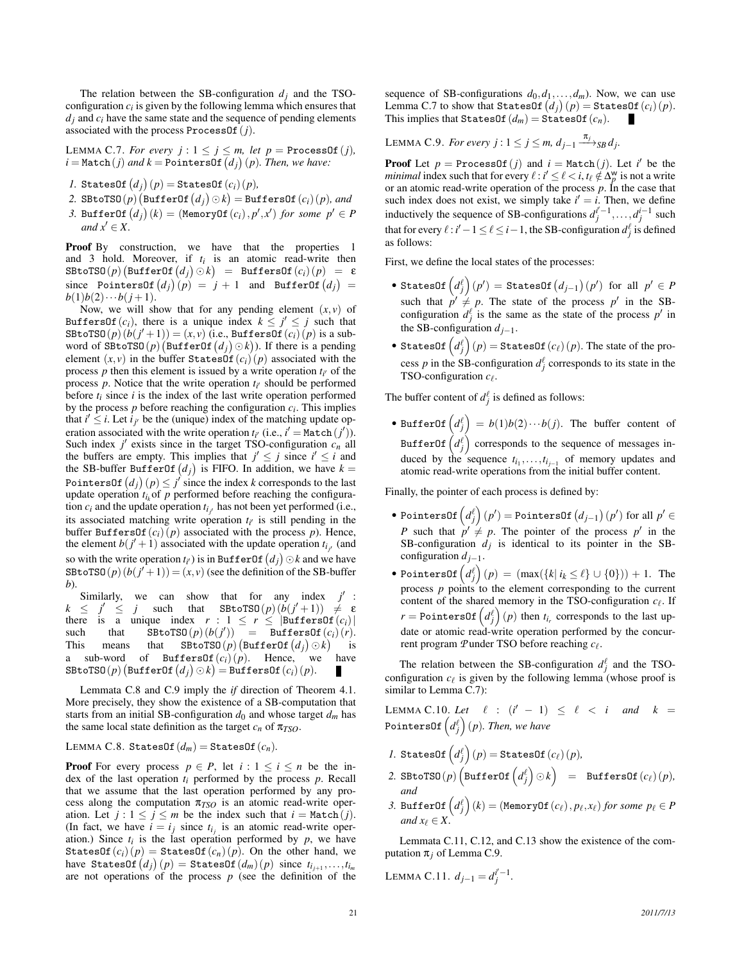The relation between the SB-configuration  $d_i$  and the TSOconfiguration  $c_i$  is given by the following lemma which ensures that  $d_i$  and  $c_i$  have the same state and the sequence of pending elements associated with the process ProcessOf(*j*).

LEMMA C.7. *For every*  $j: 1 \leq j \leq m$ , *let*  $p = \text{ProcessOf}(j)$ ,  $i = \text{Match}(j)$  and  $k = \text{PointsOf}(d_j)(p)$ . Then, we have:

- $I.$  StatesOf  $(d_j)(p) =$  StatesOf  $(c_i)(p)$ *,*
- $2.$  SBtoTSO( $p$ )  $\left(\text{BufferOf}(d_j) \odot k\right) = \text{BufferSOf}(c_i)(p)$ *, and*
- *3.* BufferOf  $(d_j)(k) = ($ MemoryOf $(c_i), p', x')$  for some  $p' \in P$ *and*  $x' \in X$ .

Proof By construction, we have that the properties 1 and 3 hold. Moreover, if  $t_i$  is an atomic read-write then  $\texttt{SBroTSO}(p) \big( \texttt{BufferOf}\, \big(d_j\big) \odot k \big) \;\; = \;\; \texttt{BufferSOf}\, \big(c_i\big) \big( p \big) \;\; = \;\; \texttt{\&}$  $\text{since} \quad \text{PointsOf} \left( d_j \right) (p) = j + 1 \quad \text{and} \quad \text{BufferOf} \left( d_j \right) = j$  $b(1)b(2)\cdots b(j+1).$ 

Now, we will show that for any pending element  $(x, v)$  of BuffersOf(*c<sub>i</sub>*), there is a unique index  $k \leq j' \leq j$  such that  $\texttt{SBtoTSO}(p)\left(b(j'+1)\right) = (x,v)$  (i.e.,  $\texttt{BuffersOf}\left(c_i\right)(p)$  is a subword of  $\texttt{SBC}(\mathcal{p})$  (BufferOf  $(d_j) \odot k$ )). If there is a pending element  $(x, y)$  in the buffer StatesOf $(c_i)(p)$  associated with the process  $p$  then this element is issued by a write operation  $t_{i'}$  of the process  $p$ . Notice that the write operation  $t_{i'}$  should be performed before  $t_i$  since  $i$  is the index of the last write operation performed by the process  $p$  before reaching the configuration  $c_i$ . This implies that  $i' \leq i$ . Let  $i_{j'}$  be the (unique) index of the matching update operation associated with the write operation  $t_{i'}$  (i.e.,  $i' = \text{Match}(j')$ ). Such index  $j'$  exists since in the target TSO-configuration  $c_n$  all the buffers are empty. This implies that  $j' \leq j$  since  $i' \leq i$  and the SB-buffer BufferOf  $(d_j)$  is FIFO. In addition, we have  $k =$ Pointers0f  $(d_j)(p) \leq j'$  since the index *k* corresponds to the last update operation  $t_{i_k}$  of  $p$  performed before reaching the configuration  $c_i$  and the update operation  $t_{i_j}$  has not been yet performed (i.e., its associated matching write operation  $t_{i'}$  is still pending in the buffer BuffersOf $(c_i)(p)$  associated with the process p). Hence, the element  $b(j' + 1)$  associated with the update operation  $t_{i_j}$  (and so with the write operation  $t_{i'}$ ) is in BufferOf  $(d_j) \odot k$  and we have SBtoTSO( $p$ )  $(b(j'+1)) = (x, v)$  (see the definition of the SB-buffer *b*).

Similarly, we can show that for any index  $j'$ :  $k \leq$  $\ell \leq j$  such that  $\text{S BtoTSO}(p) (b(j'+1)) \neq \epsilon$ there is a unique index  $r : 1 \le r \le |\text{BufferSOf}(c_i)|$ <br>such that  $\text{SBr}_0(\text{D}(b(i'))) = \text{BufferSOf}(c_i)(r)$ .  $\text{such}$  that  $\text{SBroTSO}(p)(b(j')) = \text{BufferSOf}(c_i)(r).$ This means that  $\texttt{SBroTSO}(p)$  (BufferOf  $(d_j) \odot k$ ) is a sub-word of BuffersOf $(c_i)(p)$ . Hence, we have  $\texttt{SBroTSO}(p) \left( \texttt{BufferOf} \left(d_j\right) \odot k \right) = \texttt{BufferSOf} \left( c_i \right) (p).$ 

Lemmata C.8 and C.9 imply the *if* direction of Theorem 4.1. More precisely, they show the existence of a SB-computation that starts from an initial SB-configuration  $d_0$  and whose target  $d_m$  has the same local state definition as the target  $c_n$  of  $\pi_{TSO}$ .

LEMMA C.8. StatesOf $(d_m)$  = StatesOf $(c_n)$ .

**Proof** For every process  $p \in P$ , let  $i: 1 \leq i \leq n$  be the index of the last operation *ti* performed by the process *p*. Recall that we assume that the last operation performed by any process along the computation  $\pi_{TSO}$  is an atomic read-write operation. Let  $j: 1 \leq j \leq m$  be the index such that  $i = \text{Match}(j)$ . (In fact, we have  $i = i_j$  since  $t_{i_j}$  is an atomic read-write operation.) Since  $t_i$  is the last operation performed by  $p$ , we have StatesOf( $c_i$ ) ( $p$ ) = StatesOf( $c_n$ ) ( $p$ ). On the other hand, we  $\textsf{have } \textsf{StatesOf}\left(d_j\right)(p) = \textsf{StatesOf}\left(d_m\right)(p) \text{ since } t_{i_{j+1}},\ldots,t_{i_m}$ are not operations of the process *p* (see the definition of the sequence of SB-configurations  $d_0, d_1, \ldots, d_m$ ). Now, we can use  $\text{Lemma C.7 to show that `StatesOf(d_j)(p)` = `StatesOf(c_i)(p)`.}$ This implies that StatesOf  $(d_m)$  = StatesOf  $(c_n)$ .

LEMMA C.9. *For every j* :  $1 \le j \le m$ ,  $d_{j-1} \xrightarrow{\pi_j}_{SB} d_j$ .

**Proof** Let  $p =$  ProcessOf(*j*) and  $i =$  Match(*j*). Let *i*<sup> $\prime$ </sup> be the *minimal* index such that for every  $\ell : i' \leq \ell < i$ ,  $t_{\ell} \notin \Delta_p^w$  is not a write or an atomic read-write operation of the process *p*. In the case that such index does not exist, we simply take  $i' = i$ . Then, we define inductively the sequence of SB-configurations  $d_j^{i'-1}, \ldots, d_j^{i-1}$  such that for every  $\ell$  : *i'*  $-1 \leq \ell \leq i-1$ , the SB-configuration  $d_j^{\ell}$  is defined as follows:

First, we define the local states of the processes:

- $\bullet$  StatesOf  $\left( d_{j}^{\ell} \right) (p') =$  StatesOf  $\left( d_{j-1} \right) (p')$  for all  $p' \in P$ such that  $p' \neq p$ . The state of the process  $p'$  in the SBconfiguration  $d_j^{\ell}$  is the same as the state of the process  $p'$  in the SB-configuration  $d_{j-1}$ .
- $\bullet$  StatesOf  $\left( d_{j}^{\ell}\right) (p)=$  StatesOf  $\left( c_{\ell}\right) (p).$  The state of the process *p* in the SB-configuration  $d_j^{\ell}$  corresponds to its state in the TSO-configuration  $c_{\ell}$ .

The buffer content of  $d_j^{\ell}$  is defined as follows:

• BufferOf  $\left( d_j^{\ell} \right) = b(1)b(2) \cdots b(j)$ . The buffer content of BufferOf  $\left( d_{j}^{\ell}\right)$  corresponds to the sequence of messages induced by the sequence  $t_{i_1}, \ldots, t_{i_{j-1}}$  of memory updates and atomic read-write operations from the initial buffer content.

Finally, the pointer of each process is defined by:

- $\bullet$  PointersOf  $\left( d_{j}^{\ell}\right) (p^{\prime})=$  PointersOf  $\left( d_{j-1}\right) (p^{\prime})$  for all  $p^{\prime}\in\mathbb{R}$ *P* such that  $p' \neq p$ . The pointer of the process  $p'$  in the SB-configuration  $d_j$  is identical to its pointer in the SBconfiguration *dj*−1.
- PointersOf  $\left( d_j^\ell \right) (p) = (\max (\{ k \vert i_k \leq \ell \} \cup \{ 0 \})) + 1$ . The process  $p$  points to the element corresponding to the current content of the shared memory in the TSO-configuration  $c_{\ell}$ . If  $r = \text{PointsOf}\left(d_j^{\ell}\right)(p)$  then  $t_{i_r}$  corresponds to the last update or atomic read-write operation performed by the concurrent program *P* under TSO before reaching *c*` .

The relation between the SB-configuration  $d_j^{\ell}$  and the TSOconfiguration  $c_{\ell}$  is given by the following lemma (whose proof is similar to Lemma C.7):

LEMMA C.10. Let  $\ell : (i' - 1) \leq \ell < i$  and  $k =$ PointersOf *d* ` *j* (*p*)*. Then, we have*

- $I.$  StatesOf  $\left( d_{j}^{\ell} \right) (p) = \texttt{StatesOf} \left( c_{\ell} \right) (p),$
- $2. \; \texttt{B} \texttt{toT} \texttt{S0}\left( p \right) \left( \texttt{BufferOf} \left( d^{\ell}_{j} \right) \odot k \right) \;\; = \;\; \texttt{BufferSOf} \left( c_{\ell} \right) (p),$ *and*
- *3.* BufferOf  $\left( d_j^\ell \right) (k) = \left( \text{\tt MemoryOf}\left( c_\ell \right), p_\ell, x_\ell \right)$  for some  $p_\ell \in P$ *and*  $x_\ell \in X$ .

Lemmata C.11, C.12, and C.13 show the existence of the computation  $\pi_i$  of Lemma C.9.

LEMMA C.11. 
$$
d_{j-1} = d_j^{i'-1}
$$
.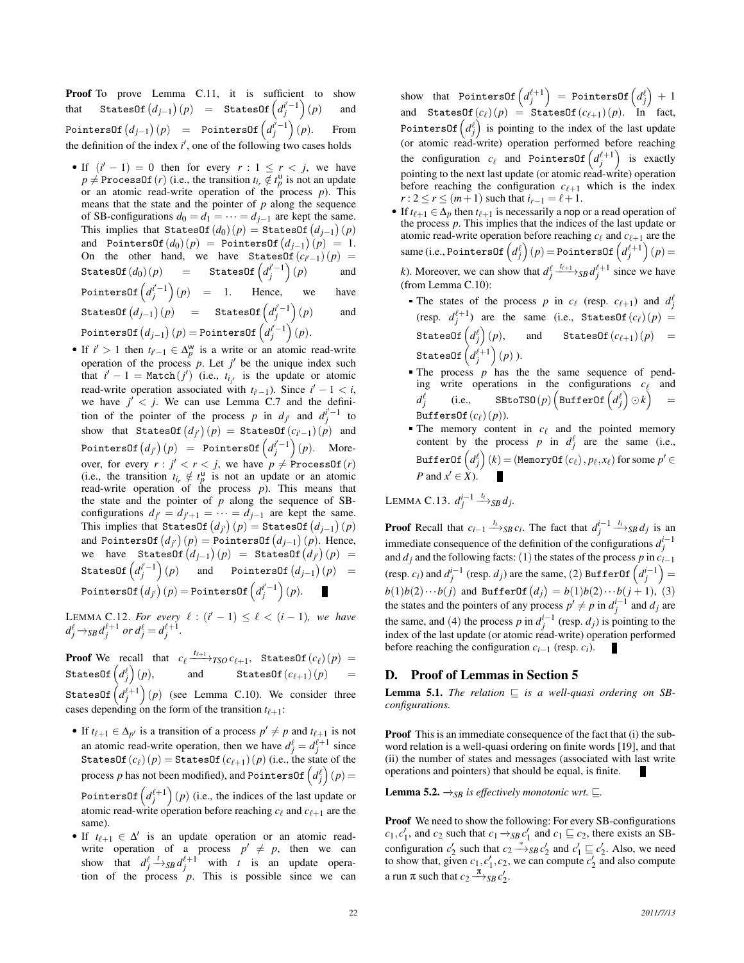Proof To prove Lemma C.11, it is sufficient to show that StatesOf  $(d_{j-1})(p)$  = StatesOf  $\left(d_j^{i'-1}\right)(p)$  and  $\text{PointsOf}\left(d_{j-1}\right)(p) = \text{PointsOf}\left(d_j^{i^{\prime}-1}\right)$ (*p*). From the definition of the index  $i'$ , one of the following two cases holds

- If  $(i'-1) = 0$  then for every  $r: 1 \le r < j$ , we have  $p \neq$  ProcessOf(*r*) (i.e., the transition  $t_{i_r} \notin t_p^{\text{u}}$  is not an update or an atomic read-write operation of the process *p*). This means that the state and the pointer of *p* along the sequence of SB-configurations  $d_0 = d_1 = \cdots = d_{j-1}$  are kept the same. This implies that StatesOf  $(d_0)(p) =$  StatesOf  $(d_{j-1})(p)$ and PointersOf $(d_0)(p)$  = PointersOf $(d_{j-1})(p) = 1$ . On the other hand, we have StatesOf( $c_{i'-1}$ ) (*p*) =  $\texttt{StatesOf}\left(d_{0}\right)\left(p\right)$  =  $\texttt{StatesOf}\left(d_{j}^{i^{\prime}-1}\right)\left(p\right)$  and PointersOf  $\left(d_j^{i'-1}\right)(p)$  = 1. Hence, we have  $\texttt{StatesOf}\left(d_{j-1}\right)(p) = \texttt{StatesOf}\left(d_j^{i'-1}\right)(p)$  and  $\text{PointsOf}\left(d_{j-1}\right)(p) = \text{PointsOf}\left(d_j^{i^{\prime}-1}\right)(p).$
- If  $i' > 1$  then  $t_{i'-1} \in \Delta_p^w$  is a write or an atomic read-write operation of the process  $p$ . Let  $j'$  be the unique index such that  $i' - 1 = \text{Match}(j')$  (i.e.,  $t_{i_j}$  is the update or atomic read-write operation associated with  $t_{i'-1}$ ). Since  $i'-1 < i$ , we have  $j' < j$ . We can use Lemma C.7 and the definition of the pointer of the process *p* in  $d_j$  and  $d_j^{i'-1}$  to show that  $\texttt{StatesOf}\left(d_{j'}\right)(p) = \texttt{StatesOf}\left(c_{i'-1}\right)(p)$  and  $\text{PointsOf}\left(d_{j'}\right)(p) = \text{PointsOf}\left(d_{j}^{i'-1}\right)(p).$  Moreover, for every  $r : j' < r < j$ , we have  $p \neq$  ProcessOf(*r*) (i.e., the transition  $t_{i_r} \notin t_p^{\mathsf{u}}$  is not an update or an atomic read-write operation of the process *p*). This means that the state and the pointer of *p* along the sequence of SBconfigurations  $d_{j'} = d_{j'+1} = \cdots = d_{j-1}$  are kept the same. This implies that StatesOf  $(d_{j'})$   $(p) =$  StatesOf  $(d_{j-1})$   $(p)$ and PointersOf  $\left( d_{j^{\prime}} \right) (p) =$  PointersOf  $\left( d_{j-1} \right) (p)$ . Hence,  $\mathsf{wave}$   $\mathsf{StatesOf}\left(d_{j-1}\right)(p) = \mathsf{StatesOf}\left(d_{j'}\right)(p) =$ StatesOf  $\left( d^{i^{\prime}-1}_j \right)$  $(p)$  and PointersOf  $(d_{j-1})(p)$  =  $\textsf{PointsOf}\left(d_{j'}\right)(p) = \textsf{PointsOf}\left(d_j^{i'-1}\right)(p).$

**LEMMA C.12.** For every  $\ell$  : ( $i' - 1$ ) ≤  $\ell$  < ( $i - 1$ ), we have  $d_j^{\ell} \rightarrow$ *SB* $d_j^{\ell+1}$  or  $d_j^{\ell} = d_j^{\ell+1}$ .

**Proof** We recall that  $c_{\ell} \xrightarrow{t_{\ell+1}} TSO C_{\ell+1}$ , StatesOf( $c_{\ell}$ ) (*p*) =  $\texttt{StatesOf}\left(d_{j}^{\ell}\right)$ and StatesOf $(c_{\ell+1})$  (*p*) StatesOf  $\left( d_{j}^{\ell+1}\right) (p)$  (see Lemma C.10). We consider three cases depending on the form of the transition  $t_{\ell+1}$ :

- If  $t_{\ell+1} \in \Delta_{p'}$  is a transition of a process  $p' \neq p$  and  $t_{\ell+1}$  is not an atomic read-write operation, then we have  $d_j^{\ell} = d_j^{\ell+1}$  since StatesOf $(c_{\ell})(p)$  = StatesOf $(c_{\ell+1})(p)$  (i.e., the state of the process  $p$  has not been modified), and PointersOf  $\left( d_{j}^{\ell}\right) (p)=$ Pointers0f  $\left( d_{j}^{\ell+1}\right) (p)$  (i.e., the indices of the last update or atomic read-write operation before reaching  $c_\ell$  and  $c_{\ell+1}$  are the same).
- If  $t_{\ell+1} \in \Delta'$  is an update operation or an atomic readwrite operation of a process  $p' \neq p$ , then we can show that  $d_j^{\ell} \xrightarrow{t}$  s<sub>B</sub>  $d_j^{\ell+1}$  with *t* is an update operation of the process  $p$ . This is possible since we can

 $\mathsf{show} \textrm{\ \ that \ } \mathsf{PointsOf}\left(d_j^{\ell+1}\right) \ = \ \mathsf{PointsOf}\left(d_j^{\ell}\right) \ + \ 1$ and StatesOf( $c_{\ell}$ ) (*p*) = StatesOf( $c_{\ell+1}$ ) (*p*). In fact, PointersOf  $\left( d_{j}^{\ell} \right)$  is pointing to the index of the last update (or atomic read-write) operation performed before reaching the configuration  $c_{\ell}$  and PointersOf  $\left(d_j^{\ell+1}\right)$  is exactly pointing to the next last update (or atomic read-write) operation before reaching the configuration  $c_{\ell+1}$  which is the index *r* :  $2 \le r \le (m+1)$  such that  $i_{r-1} = \ell + 1$ .

- If  $t_{\ell+1} \in \Delta_p$  then  $t_{\ell+1}$  is necessarily a nop or a read operation of the process *p*. This implies that the indices of the last update or atomic read-write operation before reaching  $c_\ell$  and  $c_{\ell+1}$  are the  $\textsf{same (i.e., PointersOf} \left( d_j^{\ell} \right) (p) \!=\!\textsf{PointsOf} \left( d_j^{\ell+1} \right) (p) \!=\!$ *k*). Moreover, we can show that  $d_j^{\ell} \xrightarrow{t_{\ell+1}}$  *SB*  $d_j^{\ell+1}$  since we have (from Lemma C.10):
	- The states of the process *p* in  $c_{\ell}$  (resp.  $c_{\ell+1}$ ) and  $d_j^{\ell}$  $(\text{resp. } d_j^{\ell+1})$  are the same (i.e., StatesOf( $c_{\ell}$ ) (*p*) =  $\texttt{StatesOf}\left(d_{j}^{\ell}\right)$ and StatesOf $(c_{\ell+1})$  (*p*) =  ${\tt StatesOf}\left(d^{\ell+1}_j\right)(p)$  ).
	- $\blacksquare$  The process  $p$  has the the same sequence of pending write operations in the configurations  $c_{\ell}$  and  $d_j^{\ell}$  $\qquad \qquad \texttt{SBroTSO}(p) \left( \texttt{BufferOf} \left(d^{\ell}_{j}\right) \odot k \right)$ = BuffersOf $(c_{\ell})(p)$ ).
	- The memory content in  $c_\ell$  and the pointed memory content by the process *p* in  $d_j^{\ell}$  are the same (i.e.,  $\texttt{BufferOf}\left(d_{j}^{\ell}\right)(k) = (\texttt{MemoryOf}\left(c_{\ell}\right), p_{\ell}, x_{\ell}) \text{ for some } p' \in$ *P* and  $x' \in X$ ).

LEMMA C.13.  $d_j^{i-1} \stackrel{t_i}{\longrightarrow}$ <sub>SB</sub> $d_j$ .

**Proof** Recall that  $c_{i-1} \xrightarrow{t_i} s_B c_i$ . The fact that  $d_j^{i-1} \xrightarrow{t_i} s_B d_j$  is an immediate consequence of the definition of the configurations  $d_j^{i-1}$ and  $d_j$  and the following facts: (1) the states of the process  $p$  in  $c_{i-1}$ (resp. *c<sub>i</sub>*) and  $d_j^{i-1}$  (resp. *d<sub>j</sub>*) are the same, (2) BufferOf  $\left(d_j^{i-1}\right)$  =  $b(1)b(2)\cdots b(j)$  and BufferOf  $(d_j) = b(1)b(2)\cdots b(j+1)$ , (3) the states and the pointers of any process  $p' \neq p$  in  $d_j^{i-1}$  and  $d_j$  are the same, and (4) the process *p* in  $d_j^{i-1}$  (resp. *d<sub>j</sub>*) is pointing to the index of the last update (or atomic read-write) operation performed before reaching the configuration  $c_{i-1}$  (resp.  $c_i$ ).

## D. Proof of Lemmas in Section 5

**Lemma 5.1.** *The relation*  $\sqsubseteq$  *is a well-quasi ordering on SBconfigurations.*

Proof This is an immediate consequence of the fact that (i) the subword relation is a well-quasi ordering on finite words [19], and that (ii) the number of states and messages (associated with last write operations and pointers) that should be equal, is finite.

**Lemma 5.2.**  $\rightarrow$ <sub>*SB</sub> is effectively monotonic wrt.*  $\sqsubseteq$ *.*</sub>

Proof We need to show the following: For every SB-configurations  $c_1, c'_1$ , and  $c_2$  such that  $c_1 \rightarrow_{SB} c'_1$  and  $c_1 \sqsubseteq c_2$ , there exists an SBconfiguration  $c_2'$  such that  $c_2 \rightarrow s_B c_2'$  and  $c_1' \sqsubseteq c_2'$ . Also, we need to show that, given  $c_1$ ,  $c'_1$ ,  $c_2$ , we can compute  $c'_2$  and also compute a run  $\pi$  such that  $c_2 \stackrel{\pi}{\longrightarrow}_{SB} c'_2$ .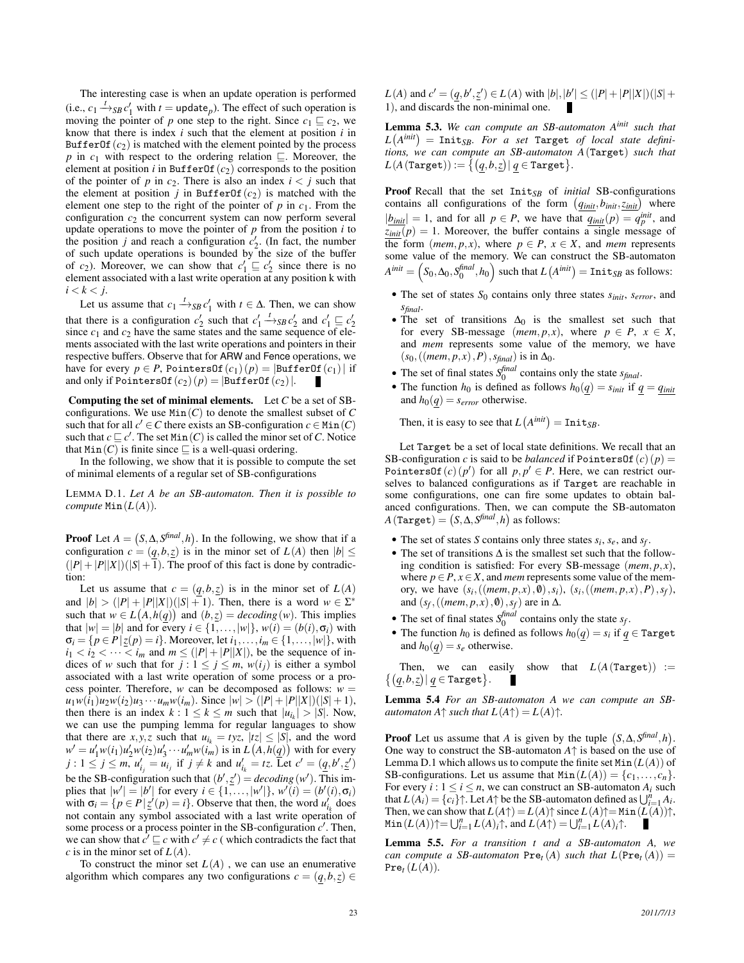The interesting case is when an update operation is performed (i.e.,  $c_1 \stackrel{t}{\rightarrow}$ *SB*  $c'_1$  with  $t =$  update<sub>*p*</sub>). The effect of such operation is moving the pointer of *p* one step to the right. Since  $c_1 \sqsubseteq c_2$ , we know that there is index *i* such that the element at position *i* in BufferOf $(c_2)$  is matched with the element pointed by the process *p* in  $c_1$  with respect to the ordering relation  $\Box$ . Moreover, the element at position *i* in BufferOf $(c_2)$  corresponds to the position of the pointer of *p* in  $c_2$ . There is also an index  $i < j$  such that the element at position  $j$  in BufferOf( $c_2$ ) is matched with the element one step to the right of the pointer of  $p$  in  $c_1$ . From the configuration  $c_2$  the concurrent system can now perform several update operations to move the pointer of *p* from the position *i* to the position *j* and reach a configuration  $c'_2$ . (In fact, the number of such update operations is bounded by the size of the buffer of *c*<sub>2</sub>). Moreover, we can show that  $c'_1 \sqsubseteq c'_2$  since there is no element associated with a last write operation at any position k with  $i < k < j$ .

Let us assume that  $c_1 \stackrel{t}{\rightarrow}$  *SB*  $c'_1$  with  $t \in \Delta$ . Then, we can show that there is a configuration  $c'_2$  such that  $c'_1 \xrightarrow{t}_{SB} c'_2$  and  $c'_1 \sqsubseteq c'_2$  since  $c_1$  and  $c_2$  have the same states and the same sequence of elements associated with the last write operations and pointers in their respective buffers. Observe that for ARW and Fence operations, we have for every  $p \in P$ , PointersOf $(c_1)(p) = |\text{BufferOf}(c_1)|$  if and only if PointersOf $(c_2)(p) = |\text{BufferOf}(c_2)|$ .

Computing the set of minimal elements. Let *C* be a set of SBconfigurations. We use  $Min(C)$  to denote the smallest subset of  $C$ such that for all  $c' \in C$  there exists an SB-configuration  $c \in Min(C)$ such that  $c \sqsubseteq c'$ . The set Min(*C*) is called the minor set of *C*. Notice that  $Min(C)$  is finite since  $\sqsubseteq$  is a well-quasi ordering.

In the following, we show that it is possible to compute the set of minimal elements of a regular set of SB-configurations

LEMMA D.1. *Let A be an SB-automaton. Then it is possible to compute*  $Min(L(A))$ *.* 

**Proof** Let  $A = (S, \Delta, S^{final}, h)$ . In the following, we show that if a configuration  $c = (q, b, z)$  is in the minor set of  $L(A)$  then  $|b| \leq$  $(|P|+|P||X|)(|S|+1)$ . The proof of this fact is done by contradiction:

Let us assume that  $c = (q, b, z)$  is in the minor set of  $L(A)$ and  $|b| > (|P| + |P||X|)(|S| + 1)$ . Then, there is a word  $w \in \Sigma^*$ such that  $w \in L(A, h(q))$  and  $(b, z) = decoding(w)$ . This implies that  $|w| = |b|$  and for every  $i \in \{1, ..., |w|\}$ ,  $w(i) = (b(i), \sigma_i)$  with  $\sigma_i = \{ p \in P | \underline{z}(p) = i \}.$  Moreover, let  $i_1, ..., i_m \in \{1, ..., |w|\}$ , with  $i_1 < i_2 < \cdots < i_m$  and  $m \leq (|P| + |P||X|)$ , be the sequence of indices of *w* such that for  $j: 1 \leq j \leq m$ ,  $w(i_j)$  is either a symbol associated with a last write operation of some process or a process pointer. Therefore, *w* can be decomposed as follows:  $w =$  $u_1w(i_1)u_2w(i_2)u_3\cdots u_mw(i_m)$ . Since  $|w|>(|P|+|P||X|)(|S|+1)$ , then there is an index  $k: 1 \leq k \leq m$  such that  $|u_{i_k}| > |S|$ . Now, we can use the pumping lemma for regular languages to show that there are  $x, y, z$  such that  $u_{i_k} = tyz$ ,  $|tz| \le |S|$ , and the word  $w' = u'_1 w(i_1) u'_2 w(i_2) u'_3 \cdots u'_m w(i_m)$  is in  $L(A, h(q))$  with for every  $j : 1 \leq j \leq m$ ,  $u'_{ij} = u_{ij}$  if  $j \neq k$  and  $u'_{ik} = tz$ . Let  $c' = (\underline{q}, b', \underline{z}')$ be the SB-configuration such that  $(b', \underline{z}') = decoding(w')$ . This implies that  $|w'| = |b'|$  for every  $i \in \{1, ..., |w'|\}$ ,  $w'(i) = (b'(i), \sigma_i)$ with  $\sigma_i = \{ p \in P | \underline{z}'(p) = i \}.$  Observe that then, the word  $u'_{i_k}$  does not contain any symbol associated with a last write operation of some process or a process pointer in the SB-configuration  $c'$ . Then, we can show that  $c' \sqsubseteq c$  with  $c' \neq c$  (which contradicts the fact that *c* is in the minor set of  $L(A)$ .

To construct the minor set  $L(A)$ , we can use an enumerative algorithm which compares any two configurations  $c = (q, b, z) \in$ 

 $L(A)$  and  $c' = (q, b', \underline{z}') \in L(A)$  with  $|b|, |b'| \leq (|P| + |P||X|)(|S| +$ 1), and discards the non-minimal one.

Lemma 5.3. *We can compute an SB-automaton Ainit such that*  $L(A^{init}) = \text{Init}_{SB}$ *. For a set* Target *of local state definitions, we can compute an SB-automaton A*(Target) *such that*  $L(A(\texttt{Target})) := \big\{ \big( \underline{q}, \underline{b}, \underline{z} \big) \big| \, \underline{q} \in \texttt{Target} \big\}.$ 

Proof Recall that the set Init*SB* of *initial* SB-configurations contains all configurations of the form  $(q_{init}, b_{init}, z_{init})$  where  $|\underline{b_{\text{init}}}| = 1$ , and for all  $p \in P$ , we have that  $\underline{q_{\text{init}}}(p) = q_p^{\text{init}}$ , and  $z_{init}(p) = 1$ . Moreover, the buffer contains a single message of the form (*mem*, *p*, *x*), where  $p \in P$ ,  $x \in X$ , and *mem* represents some value of the memory. We can construct the SB-automaton  $A^{init} = \left(S_0, \Delta_0, S_0^{final}, h_0\right)$  such that  $L\left(A^{init}\right) = \texttt{Init}_{SB}$  as follows:

- The set of states *S*<sup>0</sup> contains only three states *sinit*, *serror*, and *sfinal*.
- The set of transitions  $\Delta_0$  is the smallest set such that for every SB-message (*mem*,  $p$ ,  $x$ ), where  $p \in P$ ,  $x \in X$ , and *mem* represents some value of the memory, we have  $(s_0,((\text{mem}, p, x), P), s_{\text{final}})$  is in  $\Delta_0$ .
- The set of final states  $S_0^{final}$  contains only the state  $s_{final}$ .
- The function  $h_0$  is defined as follows  $h_0(q) = s_{init}$  if  $q = q_{init}$ and  $h_0(q) = s_{error}$  otherwise.

Then, it is easy to see that  $L(A^{init}) = \text{Init}_{SB}$ .

Let Target be a set of local state definitions. We recall that an SB-configuration *c* is said to be *balanced* if  $PointersOf(c)(p) =$ Pointers0f(*c*)(*p'*) for all  $p, p' \in P$ . Here, we can restrict ourselves to balanced configurations as if Target are reachable in some configurations, one can fire some updates to obtain balanced configurations. Then, we can compute the SB-automaton  $A(\texttt{Target}) = (S, \Delta, S^{\text{final}}, h)$  as follows:

- The set of states *S* contains only three states  $s_i$ ,  $s_e$ , and  $s_f$ .
- The set of transitions ∆ is the smallest set such that the following condition is satisfied: For every SB-message (*mem*, *p*, *x*), where  $p \in P$ ,  $x \in X$ , and *mem* represents some value of the memory, we have  $(s_i, ((mem, p, x), \emptyset), s_i), (s_i, ((mem, p, x), P), s_f)$ , and  $(s_f, ((mem, p, x), \emptyset), s_f)$  are in  $\Delta$ .
- The set of final states  $S_0^{final}$  contains only the state  $s_f$ .
- The function  $h_0$  is defined as follows  $h_0(q) = s_i$  if  $q \in \text{Target}$ and  $h_0(q) = s_e$  otherwise.

 $\{(\underline{q}, b, \underline{z}) | \underline{q} \in \texttt{Target}\}.$ Then, we can easily show that  $L(A(\text{Target})) :=$ 

Lemma 5.4 *For an SB-automaton A we can compute an SBautomaton*  $A \uparrow$  *such that*  $L(A \uparrow) = L(A) \uparrow$ .

**Proof** Let us assume that *A* is given by the tuple  $(S, \Delta, S^{\text{final}}, h)$ . One way to construct the SB-automaton *A*↑ is based on the use of Lemma D.1 which allows us to compute the finite set  $Min(L(A))$  of SB-configurations. Let us assume that  $Min(L(A)) = \{c_1, \ldots, c_n\}.$ For every  $i: 1 \le i \le n$ , we can construct an SB-automaton  $A_i$  such that  $L(A_i) = \{c_i\} \uparrow$ . Let  $A \uparrow$  be the SB-automaton defined as  $\bigcup_{i=1}^n A_i$ . Then, we can show that  $L(A^{\uparrow}) = L(A)^{\uparrow}$  since  $L(A)^{\uparrow} = \text{Min}(L(A))^{\uparrow}$ ,  $\text{Min}(L(A)) \uparrow = \bigcup_{i=1}^{n} L(A)_{i} \uparrow$ , and  $L(A \uparrow) = \bigcup_{i=1}^{n} L(A)_{i} \uparrow$ .

Lemma 5.5. *For a transition t and a SB-automaton A, we can compute a SB-automaton*  $Pre_t(A)$  *such that*  $L(Pre_t(A)) =$  $Pre_t(L(A)).$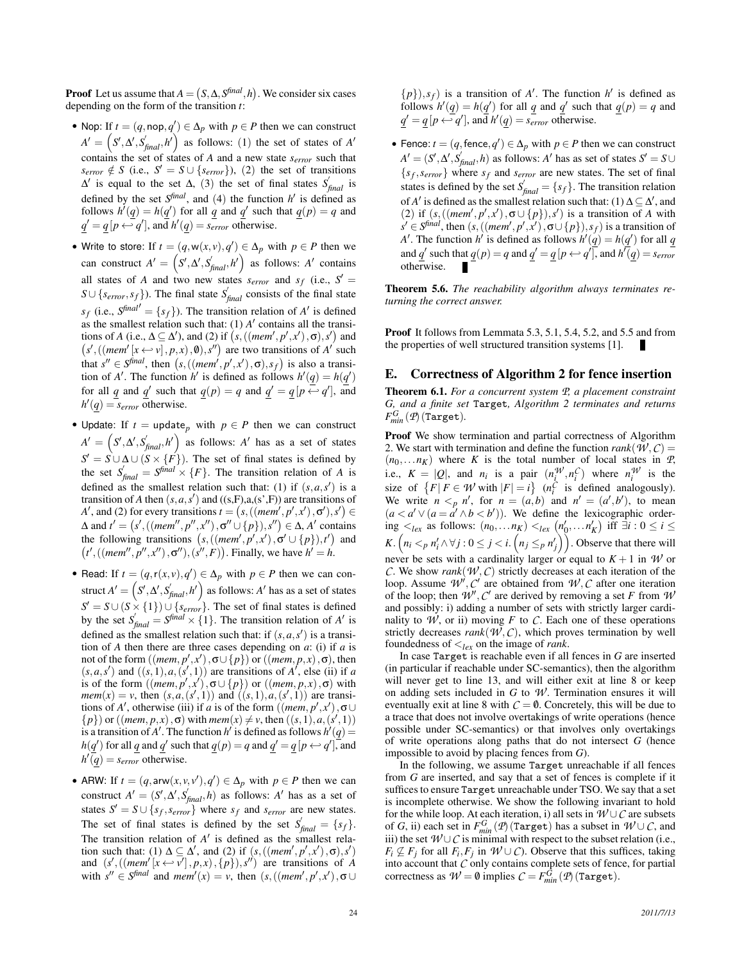**Proof** Let us assume that  $A = (S, \Delta, S^{final}, h)$ . We consider six cases depending on the form of the transition *t*:

- Nop: If  $t = (q, \text{nop}, q') \in \Delta_p$  with  $p \in P$  then we can construct  $A' = \left(S', \Delta', S'_{final}, h'\right)$  as follows: (1) the set of states of *A'* contains the set of states of *A* and a new state *serror* such that  $s_{error} \notin S$  (i.e.,  $S' = S \cup \{s_{error}\}\)$ , (2) the set of transitions ∆ 0 is equal to the set ∆, (3) the set of final states *S* 0 *final* is defined by the set  $S^{final}$ , and (4) the function  $h'$  is defined as follows  $h'(q) = h(q')$  for all *q* and *q*' such that  $q(p) = q$  and  $q' = q[p \leftrightarrow q']$ , and  $h'(q) = s_{error}$  otherwise.
- Write to store: If  $t = (q, w(x, v), q') \in \Delta_p$  with  $p \in P$  then we can construct  $A' = \left( S', \Delta', S'_{\text{final}}, h' \right)$  as follows: A' contains all states of *A* and two new states  $s_{error}$  and  $s_f$  (i.e.,  $S' =$  $S \cup \{s_{error}, s_f\}$ ). The final state  $S_{final}$  consists of the final state  $s_f$  (i.e.,  $S^{final'} = \{s_f\}$ ). The transition relation of *A*' is defined as the smallest relation such that:  $(1)$  *A'* contains all the transitions of *A* (i.e.,  $\Delta \subseteq \Delta'$ ), and (2) if  $(s, ((mem', p', x'), \sigma), s')$  and  $(s', ((mem' [x \leftrightarrow v], p, x), 0), s'')$  are two transitions of *A*' such that  $s'' \in S^{final}$ , then  $(s, ((mem', p', x'), \sigma), s_f)$  is also a transition of *A'*. The function *h'* is defined as follows  $h'(q) = h(q')$ for all  $q$  and  $q'$  such that  $q(p) = q$  and  $q' = q[p \leftrightarrow q']$ , and  $h'(q) = s_{error}$  otherwise.
- Update: If  $t =$  update<sub>p</sub> with  $p \in P$  then we can construct  $A' = \left(S', \Delta', S'_{final}, h'\right)$  as follows: A' has as a set of states  $S' = S \cup \Delta \cup (S \times \{F\})$ . The set of final states is defined by the set  $S'_{final} = S^{final} \times \{F\}$ . The transition relation of *A* is defined as the smallest relation such that: (1) if  $(s, a, s')$  is a transition of *A* then  $(s, a, s')$  and  $((s, F), a, (s', F))$  are transitions of *A'*, and (2) for every transitions  $t = (s, ((mem', p', x'), \sigma'), s') \in$  $Δ$  and  $t' = (s', ((mem'', p'', x''), σ'' \cup \{p\}), s'') \in Δ$ , *A'* contains the following transitions  $(s, ((mem', p', x'), \sigma' \cup \{p\}), t')$  and  $(t', ((mem'', p'', x''), \sigma''), (s'', F))$ . Finally, we have  $h' = h$ .
- Read: If  $t = (q, r(x, v), q') \in \Delta_p$  with  $p \in P$  then we can construct  $A' = \left( S', \Delta', S'_{final}, h' \right)$  as follows:  $A'$  has as a set of states  $S' = S \cup (S \times \{1\}) \cup \{s_{error}\}.$  The set of final states is defined by the set  $S'_{final} = S^{final} \times \{1\}$ . The transition relation of *A'* is defined as the smallest relation such that: if  $(s, a, s')$  is a transition of *A* then there are three cases depending on *a*: (i) if *a* is not of the form  $((mem, p', x'), \sigma \cup \{p\})$  or  $((mem, p, x), \sigma)$ , then  $(s, a, s')$  and  $((s, 1), a, (s', 1))$  are transitions of A', else (ii) if *a* is of the form  $((\text{mem}, p', x'), \sigma \cup \{p\})$  or  $((\text{mem}, p, x), \sigma)$  with *mem*(*x*) = *v*, then  $(s, a, (s', 1))$  and  $((s, 1), a, (s', 1))$  are transitions of *A'*, otherwise (iii) if *a* is of the form  $((\text{mem}, p', x'), \sigma \cup$  ${p}$ ) or ((*mem, p, x*),  $\sigma$ ) with *mem*(*x*)  $\neq v$ , then ((*s*, 1), *a*,(*s*<sup>'</sup>, 1)) is a transition of A'. The function  $h'$  is defined as follows  $h'(q) =$  $h(\underline{q}')$  for all  $\underline{q}$  and  $\underline{q}'$  such that  $\underline{q}(p) = q$  and  $\underline{q}' = \underline{q}[p \leftarrow q']$ , and  $h'(q) = s_{error}$  otherwise.
- ARW: If  $t = (q, \text{arw}(x, v, v'), q') \in \Delta_p$  with  $p \in P$  then we can construct  $A' = (S', \Delta', S'_{final}, h)$  as follows: A' has as a set of states  $S' = S \cup \{s_f, s_{error}\}$  where  $s_f$  and  $s_{error}$  are new states. The set of final states is defined by the set  $S'_{final} = \{s_f\}.$ The transition relation of  $A'$  is defined as the smallest relation such that: (1)  $\Delta \subseteq \Delta'$ , and (2) if  $(s,((mem', p', x'), \sigma), s')$ and  $(s',((\text{mem'}[x \leftrightarrow v'], p, x), \{p\}), s'')$  are transitions of *A* with  $s'' \in S^{final}$  and  $mem'(x) = v$ , then  $(s, ((mem', p', x'), \sigma \cup$

 $\{p\}, s_f$ ) is a transition of *A'*. The function *h'* is defined as follows  $h'(q) = h(q')$  for all *q* and *q*' such that  $q(p) = q$  and  $q' = q[p \leftrightarrow q']$ , and  $h'(q) = s_{error}$  otherwise.

• Fence:  $t = (q, \text{fence}, q') \in \Delta_p$  with  $p \in P$  then we can construct  $A' = (S', \Delta', S'_{final}, h)$  as follows: *A*<sup> $\prime$ </sup> has as set of states  $S' = S \cup$  ${s_f, s_{error}}$  where  $s_f$  and  $s_{error}$  are new states. The set of final states is defined by the set  $S'_{final} = \{s_f\}$ . The transition relation of *A'* is defined as the smallest relation such that: (1)  $\Delta \subseteq \Delta'$ , and (2) if  $(s, ((mem', p', x'), \sigma \cup \{p\}), s')$  is a transition of *A* with  $s' \in S^{final}$ , then  $(s, ((mem', p', x'), \sigma \cup \{p\}), s_f)$  is a transition of *A*<sup> $\prime$ </sup>. The function *h*<sup> $\prime$ </sup> is defined as follows  $h'(q) = h(q')$  for all *q* and  $\underline{q}$ <sup>'</sup> such that  $\underline{q}(p) = q$  and  $\underline{q}$ <sup>'</sup> =  $\underline{q}[p \leftrightarrow q'$ <sup>'</sup>, and  $h'(\underline{q}) = s_{error}$ otherwise.

Theorem 5.6. *The reachability algorithm always terminates returning the correct answer.*

Proof It follows from Lemmata 5.3, 5.1, 5.4, 5.2, and 5.5 and from the properties of well structured transition systems [1].

## E. Correctness of Algorithm 2 for fence insertion

Theorem 6.1. *For a concurrent system P, a placement constraint G, and a finite set* Target*, Algorithm 2 terminates and returns*  $F_{min}^G$  (*P*) (Target).

Proof We show termination and partial correctness of Algorithm 2. We start with termination and define the function *rank*( $W, C$ ) =  $(n_0,...n_K)$  where *K* is the total number of local states in *P*, i.e.,  $K = |Q|$ , and  $n_i$  is a pair  $(n_i^{\mathcal{W}}, n_i^{\mathcal{C}})$  where  $n_i^{\mathcal{W}}$  is the size of  $\{F | F \in W \text{ with } |F| = i\}$   $(n_i^C \text{ is defined analogously}).$ We write  $n \leq_p n'$ , for  $n = (a, b)$  and  $n' = (a', b')$ , to mean  $(a < a' \vee (a = a' \wedge b < b'))$ . We define the lexicographic order- $\lim_{K \to \infty}$  as follows:  $(n_0, \ldots, n_K) <_{lex} (n'_0, \ldots, n'_K)$  iff ∃*i* : 0 ≤ *i* ≤ *K*.  $\left(n_i <_p n'_i \land \forall j : 0 \leq j < i$ .  $\left(n_j \leq_p n'_j\right)\right)$ . Observe that there will never be sets with a cardinality larger or equal to  $K + 1$  in *W* or *C*. We show *rank*( $W$ ,  $C$ ) strictly decreases at each iteration of the loop. Assume  $W', C'$  are obtained from  $W, C$  after one iteration of the loop; then  $W'$ ,  $C'$  are derived by removing a set *F* from  $W$ and possibly: i) adding a number of sets with strictly larger cardinality to  $W$ , or ii) moving  $F$  to  $C$ . Each one of these operations strictly decreases  $rank(W, C)$ , which proves termination by well foundedness of <*lex* on the image of *rank*.

In case Target is reachable even if all fences in *G* are inserted (in particular if reachable under SC-semantics), then the algorithm will never get to line 13, and will either exit at line 8 or keep on adding sets included in  $G$  to  $W$ . Termination ensures it will eventually exit at line 8 with  $C = \emptyset$ . Concretely, this will be due to a trace that does not involve overtakings of write operations (hence possible under SC-semantics) or that involves only overtakings of write operations along paths that do not intersect *G* (hence impossible to avoid by placing fences from *G*).

In the following, we assume Target unreachable if all fences from *G* are inserted, and say that a set of fences is complete if it suffices to ensure Target unreachable under TSO. We say that a set is incomplete otherwise. We show the following invariant to hold for the while loop. At each iteration, i) all sets in  $W \cup C$  are subsets of *G*, ii) each set in  $F_{min}^G$  (*P*) (Target) has a subset in  $W \cup C$ , and iii) the set  $W \cup C$  is minimal with respect to the subset relation (i.e.,  $F_i \nsubseteq F_j$  for all  $F_i, F_j$  in  $W \cup C$ ). Observe that this suffices, taking into account that *C* only contains complete sets of fence, for partial correctness as  $W = \emptyset$  implies  $C = F_{min}^{\tilde{G}}(\mathcal{P})$  (Target).